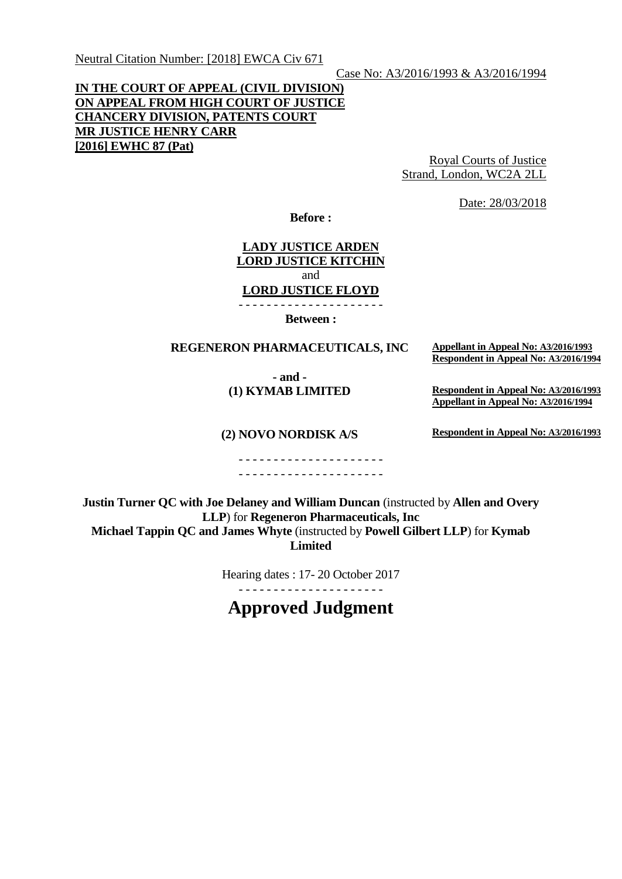Neutral Citation Number: [2018] EWCA Civ 671

### Case No: A3/2016/1993 & A3/2016/1994

## **IN THE COURT OF APPEAL (CIVIL DIVISION) ON APPEAL FROM HIGH COURT OF JUSTICE CHANCERY DIVISION, PATENTS COURT MR JUSTICE HENRY CARR [2016] EWHC 87 (Pat)**

Royal Courts of Justice Strand, London, WC2A 2LL

Date: 28/03/2018

**Before :**

# **LADY JUSTICE ARDEN LORD JUSTICE KITCHIN** and **LORD JUSTICE FLOYD**

- - - - - - - - - - - - - - - - - - - - -

**Between :**

### **REGENERON PHARMACEUTICALS, INC Appellant in Appeal No: A3/2016/1993**

**- and - (1) KYMAB LIMITED** **Respondent in Appeal No: A3/2016/1994**

**Respondent in Appeal No: A3/2016/1993 Appellant in Appeal No: A3/2016/1994**

**(2) NOVO NORDISK A/S**

**Respondent in Appeal No: A3/2016/1993**

- - - - - - - - - - - - - - - - - - - - - - - - - - - - - - - - - - - - - - - - - -

**Justin Turner QC with Joe Delaney and William Duncan** (instructed by **Allen and Overy LLP**) for **Regeneron Pharmaceuticals, Inc Michael Tappin QC and James Whyte** (instructed by **Powell Gilbert LLP**) for **Kymab Limited**

Hearing dates : 17- 20 October 2017

- - - - - - - - - - - - - - - - - - - - -

**Approved Judgment**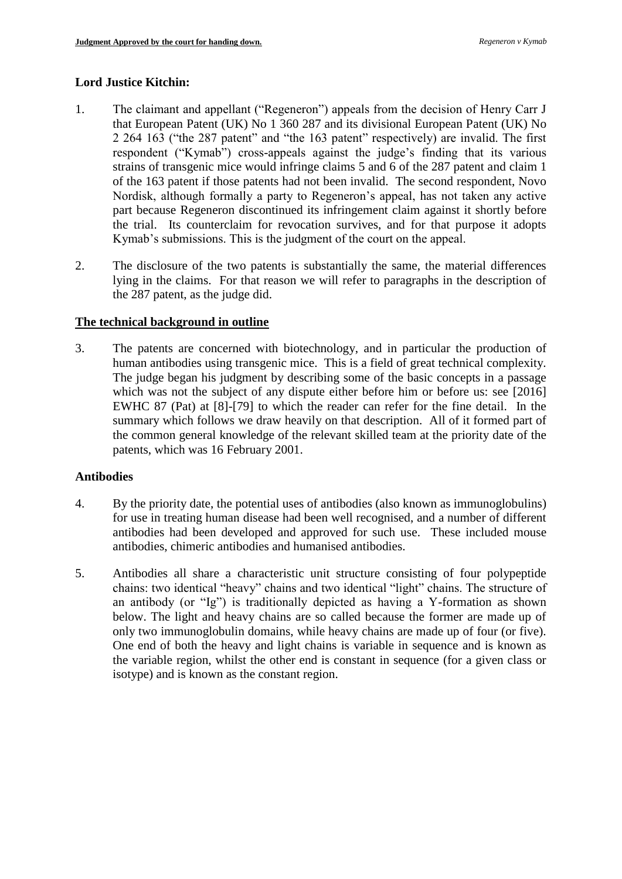## **Lord Justice Kitchin:**

- 1. The claimant and appellant ("Regeneron") appeals from the decision of Henry Carr J that European Patent (UK) No 1 360 287 and its divisional European Patent (UK) No 2 264 163 ("the 287 patent" and "the 163 patent" respectively) are invalid. The first respondent ("Kymab") cross-appeals against the judge's finding that its various strains of transgenic mice would infringe claims 5 and 6 of the 287 patent and claim 1 of the 163 patent if those patents had not been invalid. The second respondent, Novo Nordisk, although formally a party to Regeneron's appeal, has not taken any active part because Regeneron discontinued its infringement claim against it shortly before the trial. Its counterclaim for revocation survives, and for that purpose it adopts Kymab's submissions. This is the judgment of the court on the appeal.
- 2. The disclosure of the two patents is substantially the same, the material differences lying in the claims. For that reason we will refer to paragraphs in the description of the 287 patent, as the judge did.

### **The technical background in outline**

3. The patents are concerned with biotechnology, and in particular the production of human antibodies using transgenic mice. This is a field of great technical complexity. The judge began his judgment by describing some of the basic concepts in a passage which was not the subject of any dispute either before him or before us: see [2016] EWHC 87 (Pat) at [8]-[79] to which the reader can refer for the fine detail. In the summary which follows we draw heavily on that description. All of it formed part of the common general knowledge of the relevant skilled team at the priority date of the patents, which was 16 February 2001.

### **Antibodies**

- 4. By the priority date, the potential uses of antibodies (also known as immunoglobulins) for use in treating human disease had been well recognised, and a number of different antibodies had been developed and approved for such use. These included mouse antibodies, chimeric antibodies and humanised antibodies.
- 5. Antibodies all share a characteristic unit structure consisting of four polypeptide chains: two identical "heavy" chains and two identical "light" chains. The structure of an antibody (or "Ig") is traditionally depicted as having a Y-formation as shown below. The light and heavy chains are so called because the former are made up of only two immunoglobulin domains, while heavy chains are made up of four (or five). One end of both the heavy and light chains is variable in sequence and is known as the variable region, whilst the other end is constant in sequence (for a given class or isotype) and is known as the constant region.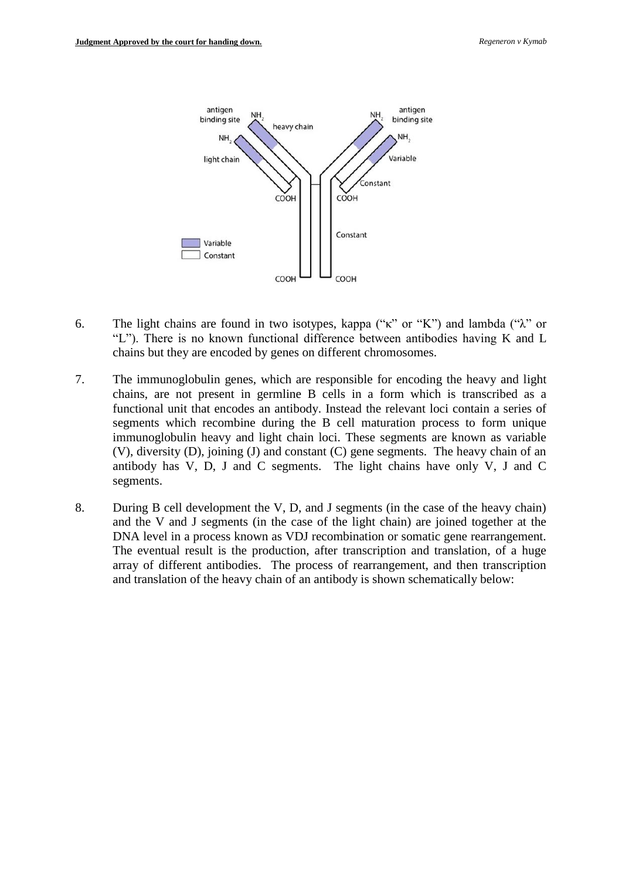

- 6. The light chains are found in two isotypes, kappa ("κ" or "K") and lambda ("λ" or "L"). There is no known functional difference between antibodies having K and L chains but they are encoded by genes on different chromosomes.
- 7. The immunoglobulin genes, which are responsible for encoding the heavy and light chains, are not present in germline B cells in a form which is transcribed as a functional unit that encodes an antibody. Instead the relevant loci contain a series of segments which recombine during the B cell maturation process to form unique immunoglobulin heavy and light chain loci. These segments are known as variable (V), diversity (D), joining (J) and constant (C) gene segments. The heavy chain of an antibody has V, D, J and C segments. The light chains have only V, J and C segments.
- 8. During B cell development the V, D, and J segments (in the case of the heavy chain) and the V and J segments (in the case of the light chain) are joined together at the DNA level in a process known as VDJ recombination or somatic gene rearrangement. The eventual result is the production, after transcription and translation, of a huge array of different antibodies. The process of rearrangement, and then transcription and translation of the heavy chain of an antibody is shown schematically below: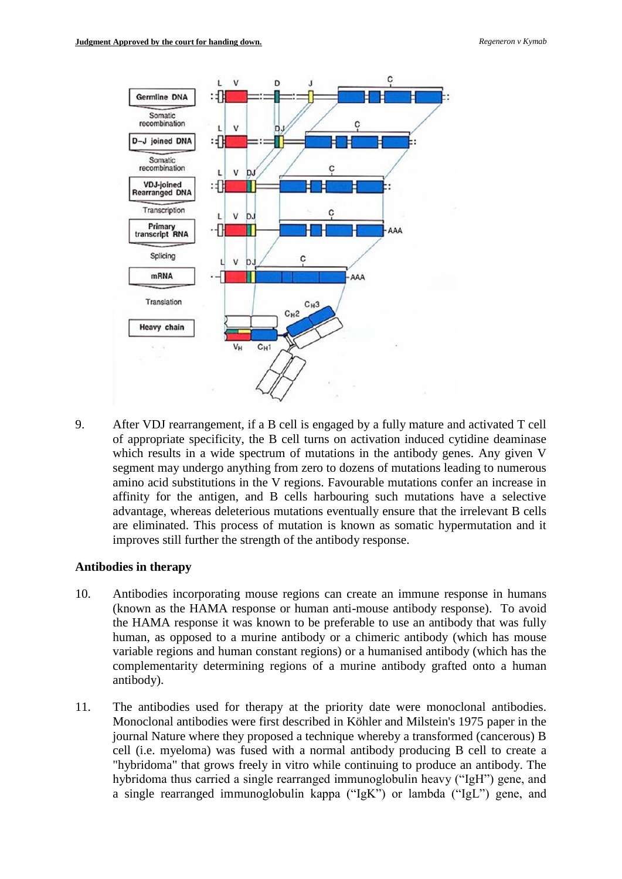

9. After VDJ rearrangement, if a B cell is engaged by a fully mature and activated T cell of appropriate specificity, the B cell turns on activation induced cytidine deaminase which results in a wide spectrum of mutations in the antibody genes. Any given V segment may undergo anything from zero to dozens of mutations leading to numerous amino acid substitutions in the V regions. Favourable mutations confer an increase in affinity for the antigen, and B cells harbouring such mutations have a selective advantage, whereas deleterious mutations eventually ensure that the irrelevant B cells are eliminated. This process of mutation is known as somatic hypermutation and it improves still further the strength of the antibody response.

### **Antibodies in therapy**

- 10. Antibodies incorporating mouse regions can create an immune response in humans (known as the HAMA response or human anti-mouse antibody response). To avoid the HAMA response it was known to be preferable to use an antibody that was fully human, as opposed to a murine antibody or a chimeric antibody (which has mouse variable regions and human constant regions) or a humanised antibody (which has the complementarity determining regions of a murine antibody grafted onto a human antibody).
- 11. The antibodies used for therapy at the priority date were monoclonal antibodies. Monoclonal antibodies were first described in Köhler and Milstein's 1975 paper in the journal Nature where they proposed a technique whereby a transformed (cancerous) B cell (i.e. myeloma) was fused with a normal antibody producing B cell to create a "hybridoma" that grows freely in vitro while continuing to produce an antibody. The hybridoma thus carried a single rearranged immunoglobulin heavy ("IgH") gene, and a single rearranged immunoglobulin kappa ("IgK") or lambda ("IgL") gene, and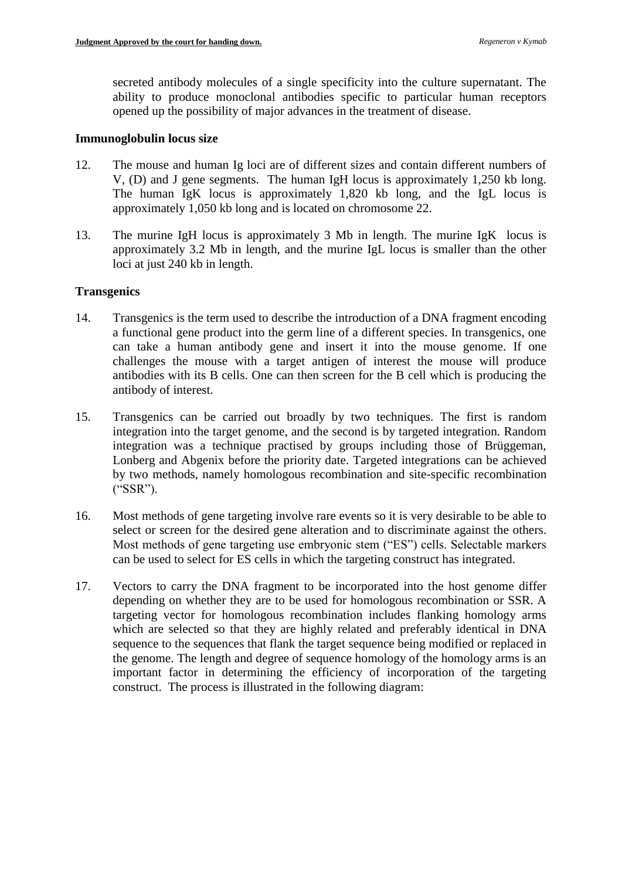secreted antibody molecules of a single specificity into the culture supernatant. The ability to produce monoclonal antibodies specific to particular human receptors opened up the possibility of major advances in the treatment of disease.

### **Immunoglobulin locus size**

- 12. The mouse and human Ig loci are of different sizes and contain different numbers of V, (D) and J gene segments. The human IgH locus is approximately 1,250 kb long. The human IgK locus is approximately 1,820 kb long, and the IgL locus is approximately 1,050 kb long and is located on chromosome 22.
- 13. The murine IgH locus is approximately 3 Mb in length. The murine IgK locus is approximately 3.2 Mb in length, and the murine IgL locus is smaller than the other loci at just 240 kb in length.

## **Transgenics**

- 14. Transgenics is the term used to describe the introduction of a DNA fragment encoding a functional gene product into the germ line of a different species. In transgenics, one can take a human antibody gene and insert it into the mouse genome. If one challenges the mouse with a target antigen of interest the mouse will produce antibodies with its B cells. One can then screen for the B cell which is producing the antibody of interest.
- 15. Transgenics can be carried out broadly by two techniques. The first is random integration into the target genome, and the second is by targeted integration. Random integration was a technique practised by groups including those of Brüggeman, Lonberg and Abgenix before the priority date. Targeted integrations can be achieved by two methods, namely homologous recombination and site-specific recombination ("SSR").
- 16. Most methods of gene targeting involve rare events so it is very desirable to be able to select or screen for the desired gene alteration and to discriminate against the others. Most methods of gene targeting use embryonic stem ("ES") cells. Selectable markers can be used to select for ES cells in which the targeting construct has integrated.
- 17. Vectors to carry the DNA fragment to be incorporated into the host genome differ depending on whether they are to be used for homologous recombination or SSR. A targeting vector for homologous recombination includes flanking homology arms which are selected so that they are highly related and preferably identical in DNA sequence to the sequences that flank the target sequence being modified or replaced in the genome. The length and degree of sequence homology of the homology arms is an important factor in determining the efficiency of incorporation of the targeting construct. The process is illustrated in the following diagram: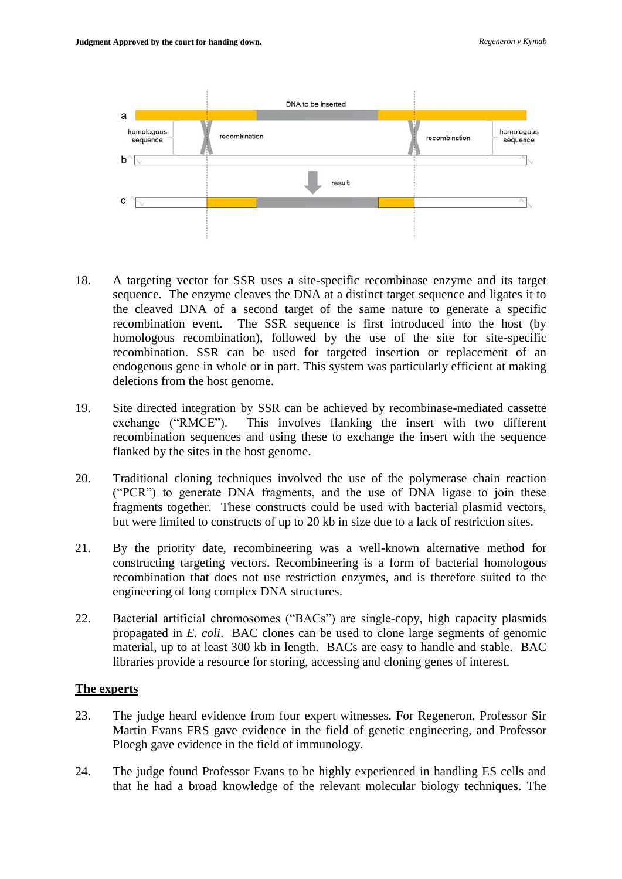

- 18. A targeting vector for SSR uses a site-specific recombinase enzyme and its target sequence. The enzyme cleaves the DNA at a distinct target sequence and ligates it to the cleaved DNA of a second target of the same nature to generate a specific recombination event. The SSR sequence is first introduced into the host (by homologous recombination), followed by the use of the site for site-specific recombination. SSR can be used for targeted insertion or replacement of an endogenous gene in whole or in part. This system was particularly efficient at making deletions from the host genome.
- 19. Site directed integration by SSR can be achieved by recombinase-mediated cassette exchange ("RMCE"). This involves flanking the insert with two different recombination sequences and using these to exchange the insert with the sequence flanked by the sites in the host genome.
- 20. Traditional cloning techniques involved the use of the polymerase chain reaction ("PCR") to generate DNA fragments, and the use of DNA ligase to join these fragments together. These constructs could be used with bacterial plasmid vectors, but were limited to constructs of up to 20 kb in size due to a lack of restriction sites.
- 21. By the priority date, recombineering was a well-known alternative method for constructing targeting vectors. Recombineering is a form of bacterial homologous recombination that does not use restriction enzymes, and is therefore suited to the engineering of long complex DNA structures.
- 22. Bacterial artificial chromosomes ("BACs") are single-copy, high capacity plasmids propagated in *E. coli*. BAC clones can be used to clone large segments of genomic material, up to at least 300 kb in length. BACs are easy to handle and stable. BAC libraries provide a resource for storing, accessing and cloning genes of interest.

## **The experts**

- 23. The judge heard evidence from four expert witnesses. For Regeneron, Professor Sir Martin Evans FRS gave evidence in the field of genetic engineering, and Professor Ploegh gave evidence in the field of immunology.
- 24. The judge found Professor Evans to be highly experienced in handling ES cells and that he had a broad knowledge of the relevant molecular biology techniques. The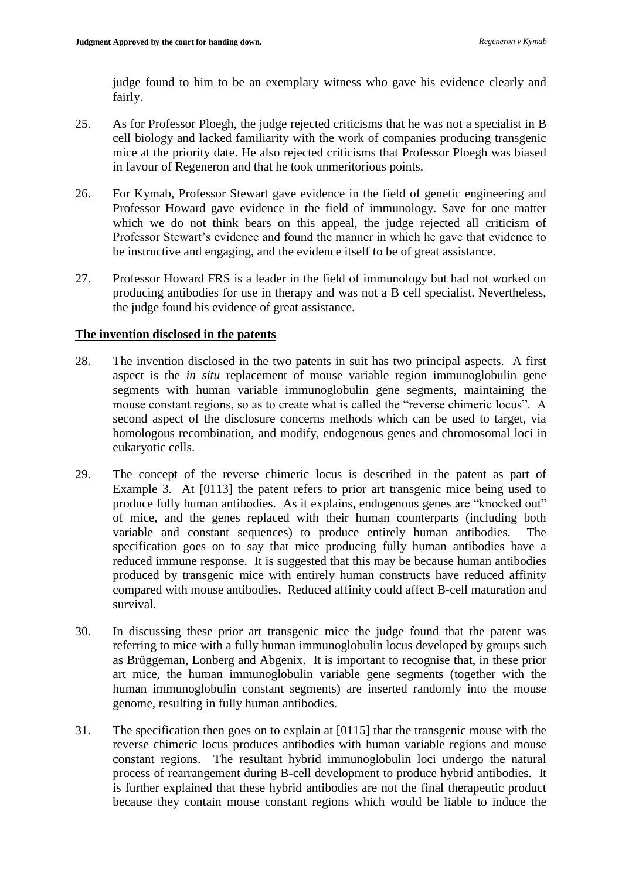judge found to him to be an exemplary witness who gave his evidence clearly and fairly.

- 25. As for Professor Ploegh, the judge rejected criticisms that he was not a specialist in B cell biology and lacked familiarity with the work of companies producing transgenic mice at the priority date. He also rejected criticisms that Professor Ploegh was biased in favour of Regeneron and that he took unmeritorious points.
- 26. For Kymab, Professor Stewart gave evidence in the field of genetic engineering and Professor Howard gave evidence in the field of immunology. Save for one matter which we do not think bears on this appeal, the judge rejected all criticism of Professor Stewart's evidence and found the manner in which he gave that evidence to be instructive and engaging, and the evidence itself to be of great assistance.
- 27. Professor Howard FRS is a leader in the field of immunology but had not worked on producing antibodies for use in therapy and was not a B cell specialist. Nevertheless, the judge found his evidence of great assistance.

## **The invention disclosed in the patents**

- 28. The invention disclosed in the two patents in suit has two principal aspects. A first aspect is the *in situ* replacement of mouse variable region immunoglobulin gene segments with human variable immunoglobulin gene segments, maintaining the mouse constant regions, so as to create what is called the "reverse chimeric locus". A second aspect of the disclosure concerns methods which can be used to target, via homologous recombination, and modify, endogenous genes and chromosomal loci in eukaryotic cells.
- 29. The concept of the reverse chimeric locus is described in the patent as part of Example 3. At [0113] the patent refers to prior art transgenic mice being used to produce fully human antibodies. As it explains, endogenous genes are "knocked out" of mice, and the genes replaced with their human counterparts (including both variable and constant sequences) to produce entirely human antibodies. The specification goes on to say that mice producing fully human antibodies have a reduced immune response. It is suggested that this may be because human antibodies produced by transgenic mice with entirely human constructs have reduced affinity compared with mouse antibodies. Reduced affinity could affect B-cell maturation and survival.
- 30. In discussing these prior art transgenic mice the judge found that the patent was referring to mice with a fully human immunoglobulin locus developed by groups such as Brüggeman, Lonberg and Abgenix. It is important to recognise that, in these prior art mice, the human immunoglobulin variable gene segments (together with the human immunoglobulin constant segments) are inserted randomly into the mouse genome, resulting in fully human antibodies.
- 31. The specification then goes on to explain at [0115] that the transgenic mouse with the reverse chimeric locus produces antibodies with human variable regions and mouse constant regions. The resultant hybrid immunoglobulin loci undergo the natural process of rearrangement during B-cell development to produce hybrid antibodies. It is further explained that these hybrid antibodies are not the final therapeutic product because they contain mouse constant regions which would be liable to induce the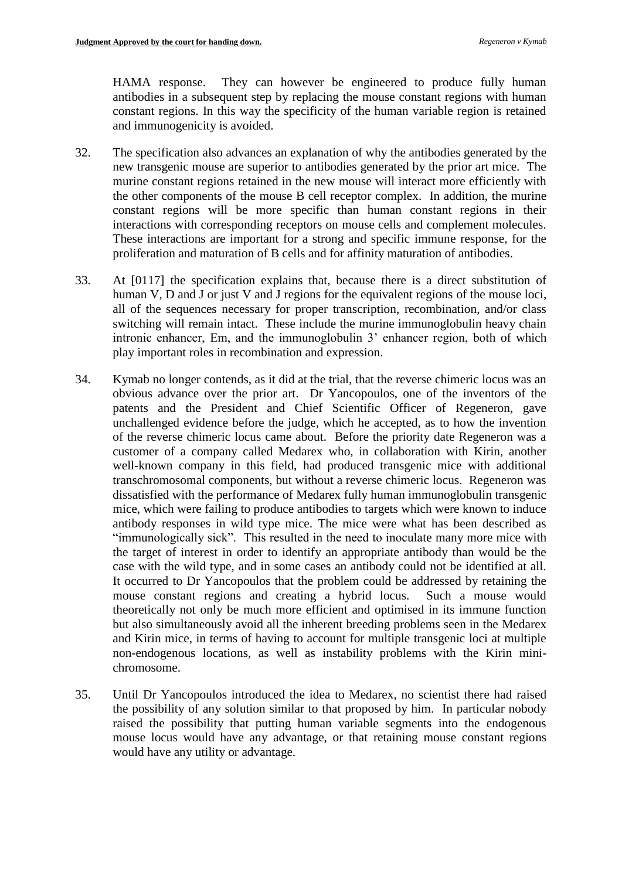HAMA response. They can however be engineered to produce fully human antibodies in a subsequent step by replacing the mouse constant regions with human constant regions. In this way the specificity of the human variable region is retained and immunogenicity is avoided.

- 32. The specification also advances an explanation of why the antibodies generated by the new transgenic mouse are superior to antibodies generated by the prior art mice. The murine constant regions retained in the new mouse will interact more efficiently with the other components of the mouse B cell receptor complex. In addition, the murine constant regions will be more specific than human constant regions in their interactions with corresponding receptors on mouse cells and complement molecules. These interactions are important for a strong and specific immune response, for the proliferation and maturation of B cells and for affinity maturation of antibodies.
- 33. At [0117] the specification explains that, because there is a direct substitution of human V, D and J or just V and J regions for the equivalent regions of the mouse loci, all of the sequences necessary for proper transcription, recombination, and/or class switching will remain intact. These include the murine immunoglobulin heavy chain intronic enhancer, Em, and the immunoglobulin 3' enhancer region, both of which play important roles in recombination and expression.
- 34. Kymab no longer contends, as it did at the trial, that the reverse chimeric locus was an obvious advance over the prior art. Dr Yancopoulos, one of the inventors of the patents and the President and Chief Scientific Officer of Regeneron, gave unchallenged evidence before the judge, which he accepted, as to how the invention of the reverse chimeric locus came about. Before the priority date Regeneron was a customer of a company called Medarex who, in collaboration with Kirin, another well-known company in this field, had produced transgenic mice with additional transchromosomal components, but without a reverse chimeric locus. Regeneron was dissatisfied with the performance of Medarex fully human immunoglobulin transgenic mice, which were failing to produce antibodies to targets which were known to induce antibody responses in wild type mice. The mice were what has been described as "immunologically sick". This resulted in the need to inoculate many more mice with the target of interest in order to identify an appropriate antibody than would be the case with the wild type, and in some cases an antibody could not be identified at all. It occurred to Dr Yancopoulos that the problem could be addressed by retaining the mouse constant regions and creating a hybrid locus. Such a mouse would theoretically not only be much more efficient and optimised in its immune function but also simultaneously avoid all the inherent breeding problems seen in the Medarex and Kirin mice, in terms of having to account for multiple transgenic loci at multiple non-endogenous locations, as well as instability problems with the Kirin minichromosome.
- 35. Until Dr Yancopoulos introduced the idea to Medarex, no scientist there had raised the possibility of any solution similar to that proposed by him. In particular nobody raised the possibility that putting human variable segments into the endogenous mouse locus would have any advantage, or that retaining mouse constant regions would have any utility or advantage.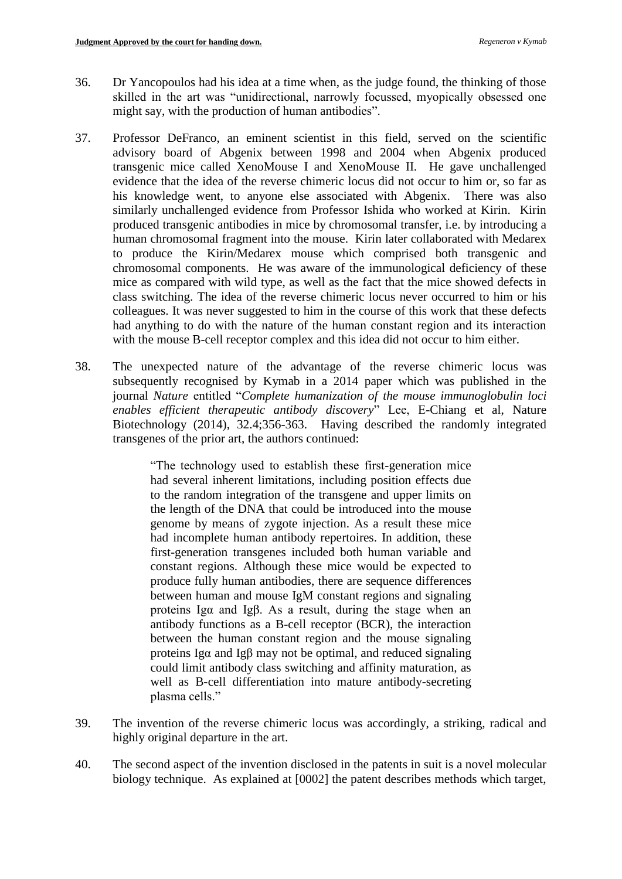- 36. Dr Yancopoulos had his idea at a time when, as the judge found, the thinking of those skilled in the art was "unidirectional, narrowly focussed, myopically obsessed one might say, with the production of human antibodies".
- 37. Professor DeFranco, an eminent scientist in this field, served on the scientific advisory board of Abgenix between 1998 and 2004 when Abgenix produced transgenic mice called XenoMouse I and XenoMouse II. He gave unchallenged evidence that the idea of the reverse chimeric locus did not occur to him or, so far as his knowledge went, to anyone else associated with Abgenix. There was also similarly unchallenged evidence from Professor Ishida who worked at Kirin. Kirin produced transgenic antibodies in mice by chromosomal transfer, i.e. by introducing a human chromosomal fragment into the mouse. Kirin later collaborated with Medarex to produce the Kirin/Medarex mouse which comprised both transgenic and chromosomal components. He was aware of the immunological deficiency of these mice as compared with wild type, as well as the fact that the mice showed defects in class switching. The idea of the reverse chimeric locus never occurred to him or his colleagues. It was never suggested to him in the course of this work that these defects had anything to do with the nature of the human constant region and its interaction with the mouse B-cell receptor complex and this idea did not occur to him either.
- 38. The unexpected nature of the advantage of the reverse chimeric locus was subsequently recognised by Kymab in a 2014 paper which was published in the journal *Nature* entitled "*Complete humanization of the mouse immunoglobulin loci enables efficient therapeutic antibody discovery*" Lee, E-Chiang et al, Nature Biotechnology (2014), 32.4;356-363. Having described the randomly integrated transgenes of the prior art, the authors continued:

"The technology used to establish these first-generation mice had several inherent limitations, including position effects due to the random integration of the transgene and upper limits on the length of the DNA that could be introduced into the mouse genome by means of zygote injection. As a result these mice had incomplete human antibody repertoires. In addition, these first-generation transgenes included both human variable and constant regions. Although these mice would be expected to produce fully human antibodies, there are sequence differences between human and mouse IgM constant regions and signaling proteins Igα and Igβ. As a result, during the stage when an antibody functions as a B-cell receptor (BCR), the interaction between the human constant region and the mouse signaling proteins Igα and Igβ may not be optimal, and reduced signaling could limit antibody class switching and affinity maturation, as well as B-cell differentiation into mature antibody-secreting plasma cells."

- 39. The invention of the reverse chimeric locus was accordingly, a striking, radical and highly original departure in the art.
- 40. The second aspect of the invention disclosed in the patents in suit is a novel molecular biology technique. As explained at [0002] the patent describes methods which target,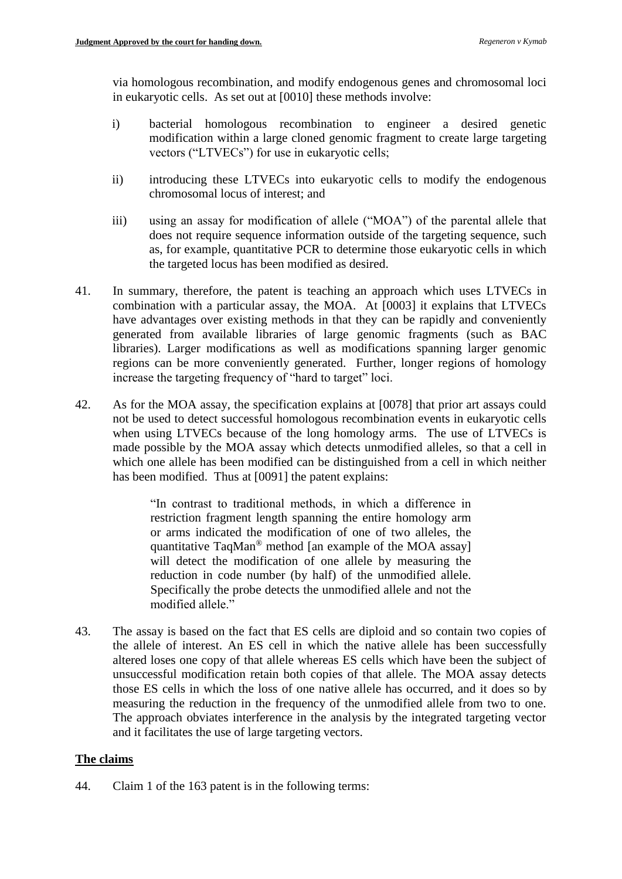via homologous recombination, and modify endogenous genes and chromosomal loci in eukaryotic cells. As set out at [0010] these methods involve:

- i) bacterial homologous recombination to engineer a desired genetic modification within a large cloned genomic fragment to create large targeting vectors ("LTVECs") for use in eukaryotic cells;
- ii) introducing these LTVECs into eukaryotic cells to modify the endogenous chromosomal locus of interest; and
- iii) using an assay for modification of allele ("MOA") of the parental allele that does not require sequence information outside of the targeting sequence, such as, for example, quantitative PCR to determine those eukaryotic cells in which the targeted locus has been modified as desired.
- 41. In summary, therefore, the patent is teaching an approach which uses LTVECs in combination with a particular assay, the MOA. At [0003] it explains that LTVECs have advantages over existing methods in that they can be rapidly and conveniently generated from available libraries of large genomic fragments (such as BAC libraries). Larger modifications as well as modifications spanning larger genomic regions can be more conveniently generated. Further, longer regions of homology increase the targeting frequency of "hard to target" loci.
- 42. As for the MOA assay, the specification explains at [0078] that prior art assays could not be used to detect successful homologous recombination events in eukaryotic cells when using LTVECs because of the long homology arms. The use of LTVECs is made possible by the MOA assay which detects unmodified alleles, so that a cell in which one allele has been modified can be distinguished from a cell in which neither has been modified. Thus at [0091] the patent explains:

"In contrast to traditional methods, in which a difference in restriction fragment length spanning the entire homology arm or arms indicated the modification of one of two alleles, the quantitative TaqMan® method [an example of the MOA assay] will detect the modification of one allele by measuring the reduction in code number (by half) of the unmodified allele. Specifically the probe detects the unmodified allele and not the modified allele."

43. The assay is based on the fact that ES cells are diploid and so contain two copies of the allele of interest. An ES cell in which the native allele has been successfully altered loses one copy of that allele whereas ES cells which have been the subject of unsuccessful modification retain both copies of that allele. The MOA assay detects those ES cells in which the loss of one native allele has occurred, and it does so by measuring the reduction in the frequency of the unmodified allele from two to one. The approach obviates interference in the analysis by the integrated targeting vector and it facilitates the use of large targeting vectors.

## **The claims**

44. Claim 1 of the 163 patent is in the following terms: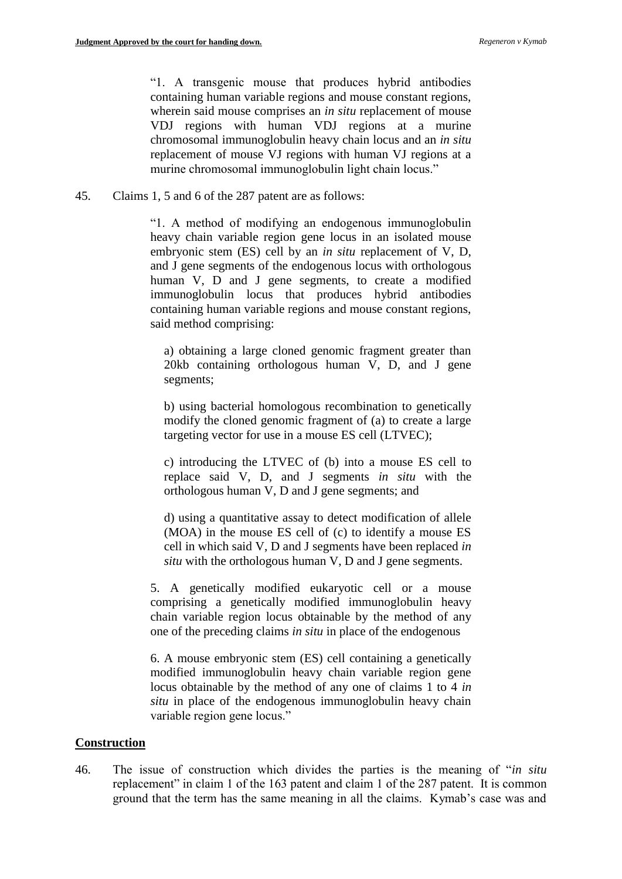"1. A transgenic mouse that produces hybrid antibodies containing human variable regions and mouse constant regions, wherein said mouse comprises an *in situ* replacement of mouse VDJ regions with human VDJ regions at a murine chromosomal immunoglobulin heavy chain locus and an *in situ* replacement of mouse VJ regions with human VJ regions at a murine chromosomal immunoglobulin light chain locus."

45. Claims 1, 5 and 6 of the 287 patent are as follows:

"1. A method of modifying an endogenous immunoglobulin heavy chain variable region gene locus in an isolated mouse embryonic stem (ES) cell by an *in situ* replacement of V, D, and J gene segments of the endogenous locus with orthologous human V, D and J gene segments, to create a modified immunoglobulin locus that produces hybrid antibodies containing human variable regions and mouse constant regions, said method comprising:

a) obtaining a large cloned genomic fragment greater than 20kb containing orthologous human V, D, and J gene segments;

b) using bacterial homologous recombination to genetically modify the cloned genomic fragment of (a) to create a large targeting vector for use in a mouse ES cell (LTVEC);

c) introducing the LTVEC of (b) into a mouse ES cell to replace said V, D, and J segments *in situ* with the orthologous human V, D and J gene segments; and

d) using a quantitative assay to detect modification of allele (MOA) in the mouse ES cell of (c) to identify a mouse ES cell in which said V, D and J segments have been replaced *in situ* with the orthologous human V, D and J gene segments.

5. A genetically modified eukaryotic cell or a mouse comprising a genetically modified immunoglobulin heavy chain variable region locus obtainable by the method of any one of the preceding claims *in situ* in place of the endogenous

6. A mouse embryonic stem (ES) cell containing a genetically modified immunoglobulin heavy chain variable region gene locus obtainable by the method of any one of claims 1 to 4 *in situ* in place of the endogenous immunoglobulin heavy chain variable region gene locus."

### **Construction**

46. The issue of construction which divides the parties is the meaning of "*in situ* replacement" in claim 1 of the 163 patent and claim 1 of the 287 patent. It is common ground that the term has the same meaning in all the claims. Kymab's case was and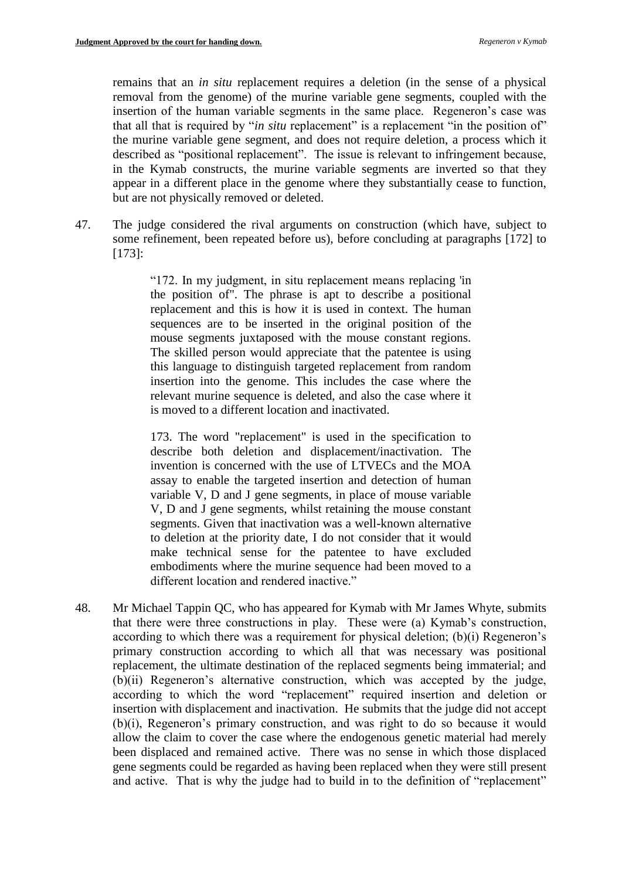remains that an *in situ* replacement requires a deletion (in the sense of a physical removal from the genome) of the murine variable gene segments, coupled with the insertion of the human variable segments in the same place. Regeneron's case was that all that is required by "*in situ* replacement" is a replacement "in the position of" the murine variable gene segment, and does not require deletion, a process which it described as "positional replacement". The issue is relevant to infringement because, in the Kymab constructs, the murine variable segments are inverted so that they appear in a different place in the genome where they substantially cease to function, but are not physically removed or deleted.

47. The judge considered the rival arguments on construction (which have, subject to some refinement, been repeated before us), before concluding at paragraphs [172] to [173]:

> "172. In my judgment, in situ replacement means replacing 'in the position of". The phrase is apt to describe a positional replacement and this is how it is used in context. The human sequences are to be inserted in the original position of the mouse segments juxtaposed with the mouse constant regions. The skilled person would appreciate that the patentee is using this language to distinguish targeted replacement from random insertion into the genome. This includes the case where the relevant murine sequence is deleted, and also the case where it is moved to a different location and inactivated.

> 173. The word "replacement" is used in the specification to describe both deletion and displacement/inactivation. The invention is concerned with the use of LTVECs and the MOA assay to enable the targeted insertion and detection of human variable V, D and J gene segments, in place of mouse variable V, D and J gene segments, whilst retaining the mouse constant segments. Given that inactivation was a well-known alternative to deletion at the priority date, I do not consider that it would make technical sense for the patentee to have excluded embodiments where the murine sequence had been moved to a different location and rendered inactive."

48. Mr Michael Tappin QC, who has appeared for Kymab with Mr James Whyte, submits that there were three constructions in play. These were (a) Kymab's construction, according to which there was a requirement for physical deletion; (b)(i) Regeneron's primary construction according to which all that was necessary was positional replacement, the ultimate destination of the replaced segments being immaterial; and (b)(ii) Regeneron's alternative construction, which was accepted by the judge, according to which the word "replacement" required insertion and deletion or insertion with displacement and inactivation. He submits that the judge did not accept (b)(i), Regeneron's primary construction, and was right to do so because it would allow the claim to cover the case where the endogenous genetic material had merely been displaced and remained active. There was no sense in which those displaced gene segments could be regarded as having been replaced when they were still present and active. That is why the judge had to build in to the definition of "replacement"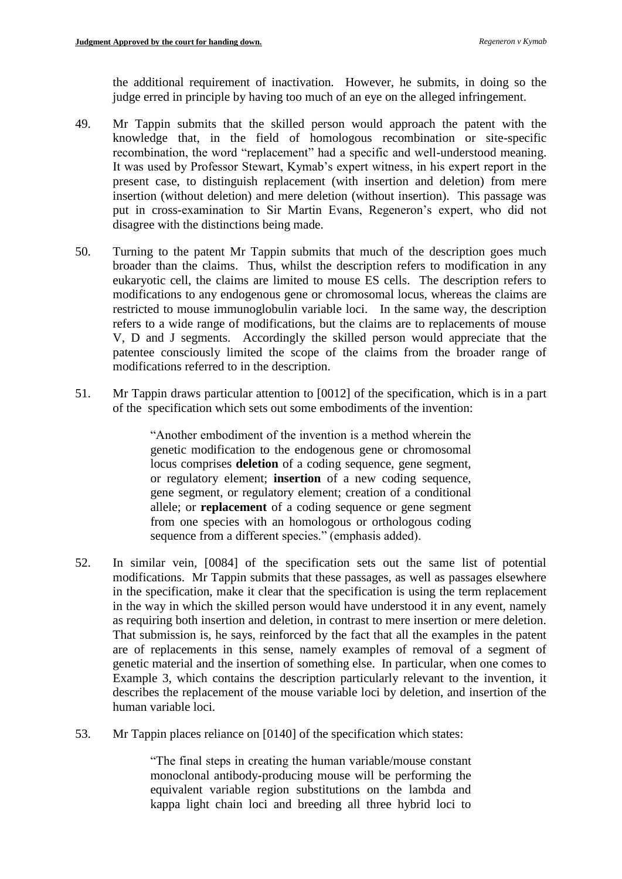the additional requirement of inactivation. However, he submits, in doing so the judge erred in principle by having too much of an eye on the alleged infringement.

- 49. Mr Tappin submits that the skilled person would approach the patent with the knowledge that, in the field of homologous recombination or site-specific recombination, the word "replacement" had a specific and well-understood meaning. It was used by Professor Stewart, Kymab's expert witness, in his expert report in the present case, to distinguish replacement (with insertion and deletion) from mere insertion (without deletion) and mere deletion (without insertion). This passage was put in cross-examination to Sir Martin Evans, Regeneron's expert, who did not disagree with the distinctions being made.
- 50. Turning to the patent Mr Tappin submits that much of the description goes much broader than the claims. Thus, whilst the description refers to modification in any eukaryotic cell, the claims are limited to mouse ES cells. The description refers to modifications to any endogenous gene or chromosomal locus, whereas the claims are restricted to mouse immunoglobulin variable loci. In the same way, the description refers to a wide range of modifications, but the claims are to replacements of mouse V, D and J segments. Accordingly the skilled person would appreciate that the patentee consciously limited the scope of the claims from the broader range of modifications referred to in the description.
- 51. Mr Tappin draws particular attention to [0012] of the specification, which is in a part of the specification which sets out some embodiments of the invention:

"Another embodiment of the invention is a method wherein the genetic modification to the endogenous gene or chromosomal locus comprises **deletion** of a coding sequence, gene segment, or regulatory element; **insertion** of a new coding sequence, gene segment, or regulatory element; creation of a conditional allele; or **replacement** of a coding sequence or gene segment from one species with an homologous or orthologous coding sequence from a different species." (emphasis added).

- 52. In similar vein, [0084] of the specification sets out the same list of potential modifications. Mr Tappin submits that these passages, as well as passages elsewhere in the specification, make it clear that the specification is using the term replacement in the way in which the skilled person would have understood it in any event, namely as requiring both insertion and deletion, in contrast to mere insertion or mere deletion. That submission is, he says, reinforced by the fact that all the examples in the patent are of replacements in this sense, namely examples of removal of a segment of genetic material and the insertion of something else. In particular, when one comes to Example 3, which contains the description particularly relevant to the invention, it describes the replacement of the mouse variable loci by deletion, and insertion of the human variable loci.
- 53. Mr Tappin places reliance on [0140] of the specification which states:

"The final steps in creating the human variable/mouse constant monoclonal antibody-producing mouse will be performing the equivalent variable region substitutions on the lambda and kappa light chain loci and breeding all three hybrid loci to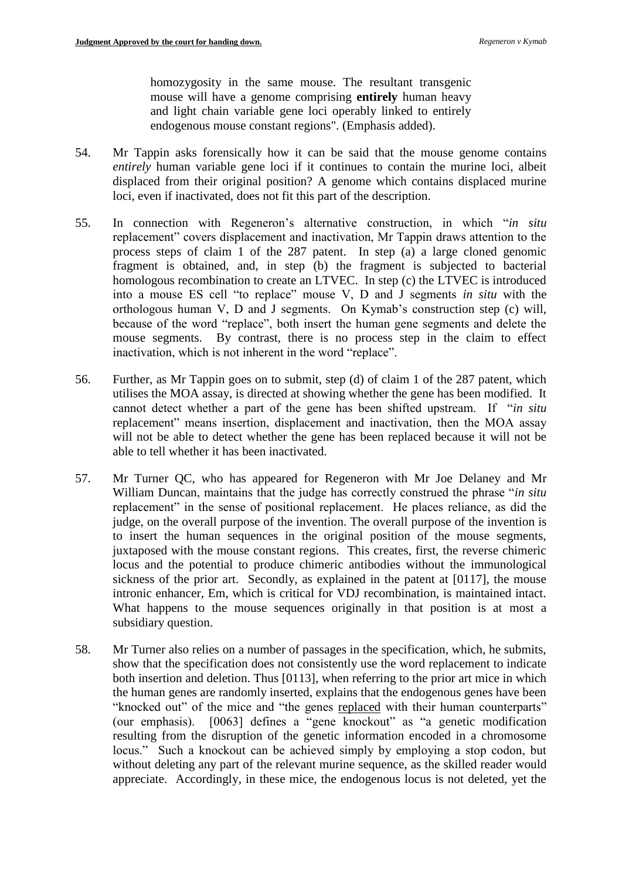homozygosity in the same mouse. The resultant transgenic mouse will have a genome comprising **entirely** human heavy and light chain variable gene loci operably linked to entirely endogenous mouse constant regions". (Emphasis added).

- 54. Mr Tappin asks forensically how it can be said that the mouse genome contains *entirely* human variable gene loci if it continues to contain the murine loci, albeit displaced from their original position? A genome which contains displaced murine loci, even if inactivated, does not fit this part of the description.
- 55. In connection with Regeneron's alternative construction, in which "*in situ*  replacement" covers displacement and inactivation, Mr Tappin draws attention to the process steps of claim 1 of the 287 patent. In step (a) a large cloned genomic fragment is obtained, and, in step (b) the fragment is subjected to bacterial homologous recombination to create an LTVEC. In step (c) the LTVEC is introduced into a mouse ES cell "to replace" mouse V, D and J segments *in situ* with the orthologous human V, D and J segments. On Kymab's construction step (c) will, because of the word "replace", both insert the human gene segments and delete the mouse segments. By contrast, there is no process step in the claim to effect inactivation, which is not inherent in the word "replace".
- 56. Further, as Mr Tappin goes on to submit, step (d) of claim 1 of the 287 patent, which utilises the MOA assay, is directed at showing whether the gene has been modified. It cannot detect whether a part of the gene has been shifted upstream. If "*in situ* replacement" means insertion, displacement and inactivation, then the MOA assay will not be able to detect whether the gene has been replaced because it will not be able to tell whether it has been inactivated.
- 57. Mr Turner QC, who has appeared for Regeneron with Mr Joe Delaney and Mr William Duncan, maintains that the judge has correctly construed the phrase "*in situ* replacement" in the sense of positional replacement. He places reliance, as did the judge, on the overall purpose of the invention. The overall purpose of the invention is to insert the human sequences in the original position of the mouse segments, juxtaposed with the mouse constant regions. This creates, first, the reverse chimeric locus and the potential to produce chimeric antibodies without the immunological sickness of the prior art. Secondly, as explained in the patent at [0117], the mouse intronic enhancer, Em, which is critical for VDJ recombination, is maintained intact. What happens to the mouse sequences originally in that position is at most a subsidiary question.
- 58. Mr Turner also relies on a number of passages in the specification, which, he submits, show that the specification does not consistently use the word replacement to indicate both insertion and deletion. Thus [0113], when referring to the prior art mice in which the human genes are randomly inserted, explains that the endogenous genes have been "knocked out" of the mice and "the genes replaced with their human counterparts" (our emphasis). [0063] defines a "gene knockout" as "a genetic modification resulting from the disruption of the genetic information encoded in a chromosome locus." Such a knockout can be achieved simply by employing a stop codon, but without deleting any part of the relevant murine sequence, as the skilled reader would appreciate. Accordingly, in these mice, the endogenous locus is not deleted, yet the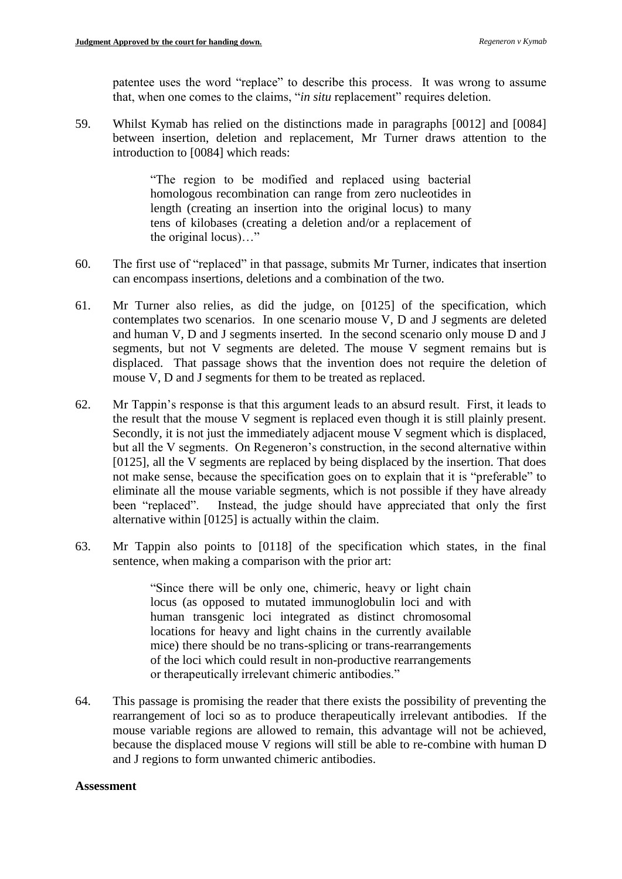patentee uses the word "replace" to describe this process. It was wrong to assume that, when one comes to the claims, "*in situ* replacement" requires deletion.

59. Whilst Kymab has relied on the distinctions made in paragraphs [0012] and [0084] between insertion, deletion and replacement, Mr Turner draws attention to the introduction to [0084] which reads:

> "The region to be modified and replaced using bacterial homologous recombination can range from zero nucleotides in length (creating an insertion into the original locus) to many tens of kilobases (creating a deletion and/or a replacement of the original locus)…"

- 60. The first use of "replaced" in that passage, submits Mr Turner, indicates that insertion can encompass insertions, deletions and a combination of the two.
- 61. Mr Turner also relies, as did the judge, on [0125] of the specification, which contemplates two scenarios. In one scenario mouse V, D and J segments are deleted and human V, D and J segments inserted. In the second scenario only mouse D and J segments, but not V segments are deleted. The mouse V segment remains but is displaced. That passage shows that the invention does not require the deletion of mouse V, D and J segments for them to be treated as replaced.
- 62. Mr Tappin's response is that this argument leads to an absurd result. First, it leads to the result that the mouse V segment is replaced even though it is still plainly present. Secondly, it is not just the immediately adjacent mouse V segment which is displaced, but all the V segments. On Regeneron's construction, in the second alternative within [0125], all the V segments are replaced by being displaced by the insertion. That does not make sense, because the specification goes on to explain that it is "preferable" to eliminate all the mouse variable segments, which is not possible if they have already been "replaced". Instead, the judge should have appreciated that only the first alternative within [0125] is actually within the claim.
- 63. Mr Tappin also points to [0118] of the specification which states, in the final sentence, when making a comparison with the prior art:

"Since there will be only one, chimeric, heavy or light chain locus (as opposed to mutated immunoglobulin loci and with human transgenic loci integrated as distinct chromosomal locations for heavy and light chains in the currently available mice) there should be no trans-splicing or trans-rearrangements of the loci which could result in non-productive rearrangements or therapeutically irrelevant chimeric antibodies."

64. This passage is promising the reader that there exists the possibility of preventing the rearrangement of loci so as to produce therapeutically irrelevant antibodies. If the mouse variable regions are allowed to remain, this advantage will not be achieved, because the displaced mouse V regions will still be able to re-combine with human D and J regions to form unwanted chimeric antibodies.

### **Assessment**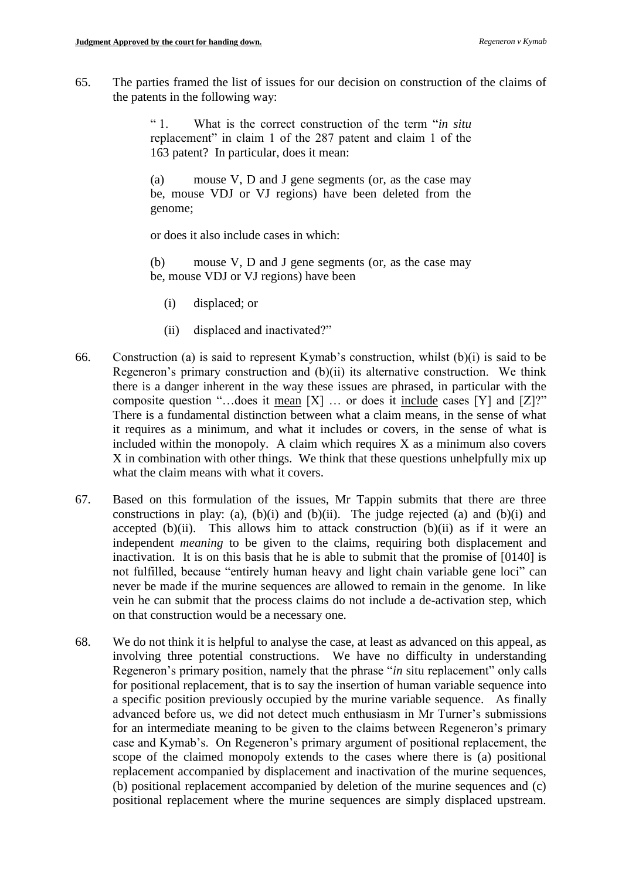65. The parties framed the list of issues for our decision on construction of the claims of the patents in the following way:

> " 1. What is the correct construction of the term "*in situ* replacement" in claim 1 of the 287 patent and claim 1 of the 163 patent? In particular, does it mean:

> (a) mouse V, D and J gene segments (or, as the case may be, mouse VDJ or VJ regions) have been deleted from the genome;

or does it also include cases in which:

(b) mouse V, D and J gene segments (or, as the case may be, mouse VDJ or VJ regions) have been

- (i) displaced; or
- (ii) displaced and inactivated?"
- 66. Construction (a) is said to represent Kymab's construction, whilst (b)(i) is said to be Regeneron's primary construction and  $(b)(ii)$  its alternative construction. We think there is a danger inherent in the way these issues are phrased, in particular with the composite question "...does it <u>mean</u>  $[X]$  ... or does it include cases  $[Y]$  and  $[Z]$ ?" There is a fundamental distinction between what a claim means, in the sense of what it requires as a minimum, and what it includes or covers, in the sense of what is included within the monopoly. A claim which requires  $X$  as a minimum also covers X in combination with other things. We think that these questions unhelpfully mix up what the claim means with what it covers.
- 67. Based on this formulation of the issues, Mr Tappin submits that there are three constructions in play: (a), (b)(i) and (b)(ii). The judge rejected (a) and (b)(i) and accepted  $(b)(ii)$ . This allows him to attack construction  $(b)(ii)$  as if it were an independent *meaning* to be given to the claims, requiring both displacement and inactivation. It is on this basis that he is able to submit that the promise of [0140] is not fulfilled, because "entirely human heavy and light chain variable gene loci" can never be made if the murine sequences are allowed to remain in the genome. In like vein he can submit that the process claims do not include a de-activation step, which on that construction would be a necessary one.
- 68. We do not think it is helpful to analyse the case, at least as advanced on this appeal, as involving three potential constructions. We have no difficulty in understanding Regeneron's primary position, namely that the phrase "*in* situ replacement" only calls for positional replacement, that is to say the insertion of human variable sequence into a specific position previously occupied by the murine variable sequence. As finally advanced before us, we did not detect much enthusiasm in Mr Turner's submissions for an intermediate meaning to be given to the claims between Regeneron's primary case and Kymab's. On Regeneron's primary argument of positional replacement, the scope of the claimed monopoly extends to the cases where there is (a) positional replacement accompanied by displacement and inactivation of the murine sequences, (b) positional replacement accompanied by deletion of the murine sequences and (c) positional replacement where the murine sequences are simply displaced upstream.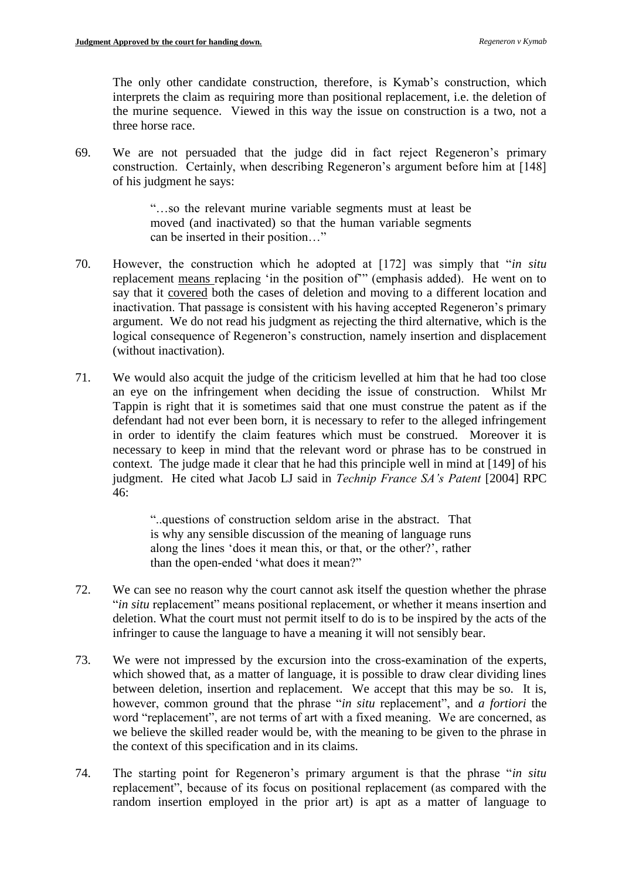The only other candidate construction, therefore, is Kymab's construction, which interprets the claim as requiring more than positional replacement, i.e. the deletion of the murine sequence. Viewed in this way the issue on construction is a two, not a three horse race.

69. We are not persuaded that the judge did in fact reject Regeneron's primary construction. Certainly, when describing Regeneron's argument before him at [148] of his judgment he says:

> "…so the relevant murine variable segments must at least be moved (and inactivated) so that the human variable segments can be inserted in their position…"

- 70. However, the construction which he adopted at [172] was simply that "*in situ* replacement means replacing 'in the position of'" (emphasis added). He went on to say that it covered both the cases of deletion and moving to a different location and inactivation. That passage is consistent with his having accepted Regeneron's primary argument. We do not read his judgment as rejecting the third alternative, which is the logical consequence of Regeneron's construction, namely insertion and displacement (without inactivation).
- 71. We would also acquit the judge of the criticism levelled at him that he had too close an eye on the infringement when deciding the issue of construction. Whilst Mr Tappin is right that it is sometimes said that one must construe the patent as if the defendant had not ever been born, it is necessary to refer to the alleged infringement in order to identify the claim features which must be construed. Moreover it is necessary to keep in mind that the relevant word or phrase has to be construed in context. The judge made it clear that he had this principle well in mind at [149] of his judgment. He cited what Jacob LJ said in *Technip France SA's Patent* [2004] RPC 46:

"..questions of construction seldom arise in the abstract. That is why any sensible discussion of the meaning of language runs along the lines 'does it mean this, or that, or the other?', rather than the open-ended 'what does it mean?"

- 72. We can see no reason why the court cannot ask itself the question whether the phrase "*in situ* replacement" means positional replacement, or whether it means insertion and deletion. What the court must not permit itself to do is to be inspired by the acts of the infringer to cause the language to have a meaning it will not sensibly bear.
- 73. We were not impressed by the excursion into the cross-examination of the experts, which showed that, as a matter of language, it is possible to draw clear dividing lines between deletion, insertion and replacement. We accept that this may be so. It is, however, common ground that the phrase "*in situ* replacement", and *a fortiori* the word "replacement", are not terms of art with a fixed meaning. We are concerned, as we believe the skilled reader would be, with the meaning to be given to the phrase in the context of this specification and in its claims.
- 74. The starting point for Regeneron's primary argument is that the phrase "*in situ* replacement", because of its focus on positional replacement (as compared with the random insertion employed in the prior art) is apt as a matter of language to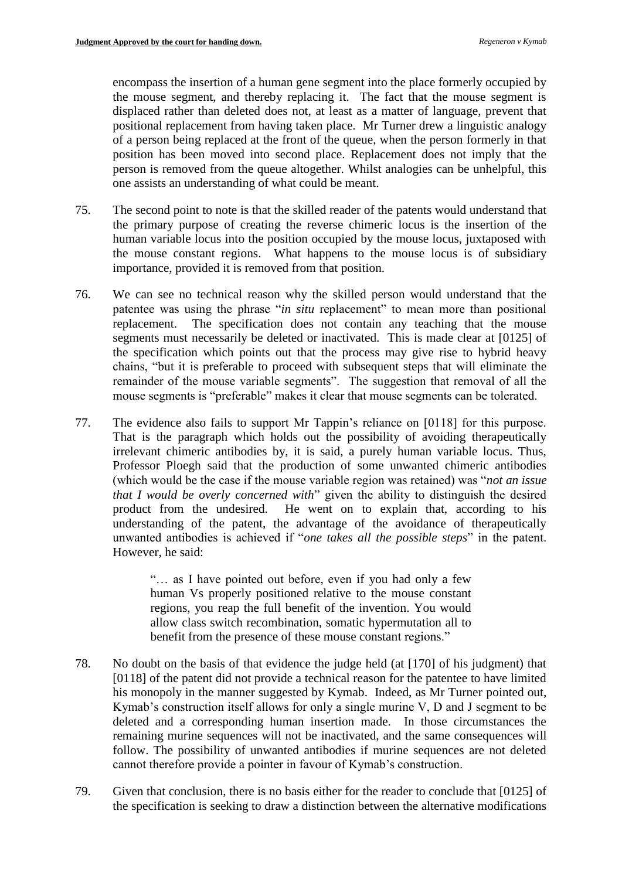encompass the insertion of a human gene segment into the place formerly occupied by the mouse segment, and thereby replacing it. The fact that the mouse segment is displaced rather than deleted does not, at least as a matter of language, prevent that positional replacement from having taken place. Mr Turner drew a linguistic analogy of a person being replaced at the front of the queue, when the person formerly in that position has been moved into second place. Replacement does not imply that the person is removed from the queue altogether. Whilst analogies can be unhelpful, this one assists an understanding of what could be meant.

- 75. The second point to note is that the skilled reader of the patents would understand that the primary purpose of creating the reverse chimeric locus is the insertion of the human variable locus into the position occupied by the mouse locus, juxtaposed with the mouse constant regions. What happens to the mouse locus is of subsidiary importance, provided it is removed from that position.
- 76. We can see no technical reason why the skilled person would understand that the patentee was using the phrase "*in situ* replacement" to mean more than positional replacement. The specification does not contain any teaching that the mouse segments must necessarily be deleted or inactivated. This is made clear at [0125] of the specification which points out that the process may give rise to hybrid heavy chains, "but it is preferable to proceed with subsequent steps that will eliminate the remainder of the mouse variable segments". The suggestion that removal of all the mouse segments is "preferable" makes it clear that mouse segments can be tolerated.
- 77. The evidence also fails to support Mr Tappin's reliance on [0118] for this purpose. That is the paragraph which holds out the possibility of avoiding therapeutically irrelevant chimeric antibodies by, it is said, a purely human variable locus. Thus, Professor Ploegh said that the production of some unwanted chimeric antibodies (which would be the case if the mouse variable region was retained) was "*not an issue that I would be overly concerned with*" given the ability to distinguish the desired product from the undesired. He went on to explain that, according to his understanding of the patent, the advantage of the avoidance of therapeutically unwanted antibodies is achieved if "*one takes all the possible steps*" in the patent. However, he said:

"… as I have pointed out before, even if you had only a few human Vs properly positioned relative to the mouse constant regions, you reap the full benefit of the invention. You would allow class switch recombination, somatic hypermutation all to benefit from the presence of these mouse constant regions."

- 78. No doubt on the basis of that evidence the judge held (at [170] of his judgment) that [0118] of the patent did not provide a technical reason for the patentee to have limited his monopoly in the manner suggested by Kymab. Indeed, as Mr Turner pointed out, Kymab's construction itself allows for only a single murine V, D and J segment to be deleted and a corresponding human insertion made. In those circumstances the remaining murine sequences will not be inactivated, and the same consequences will follow. The possibility of unwanted antibodies if murine sequences are not deleted cannot therefore provide a pointer in favour of Kymab's construction.
- 79. Given that conclusion, there is no basis either for the reader to conclude that [0125] of the specification is seeking to draw a distinction between the alternative modifications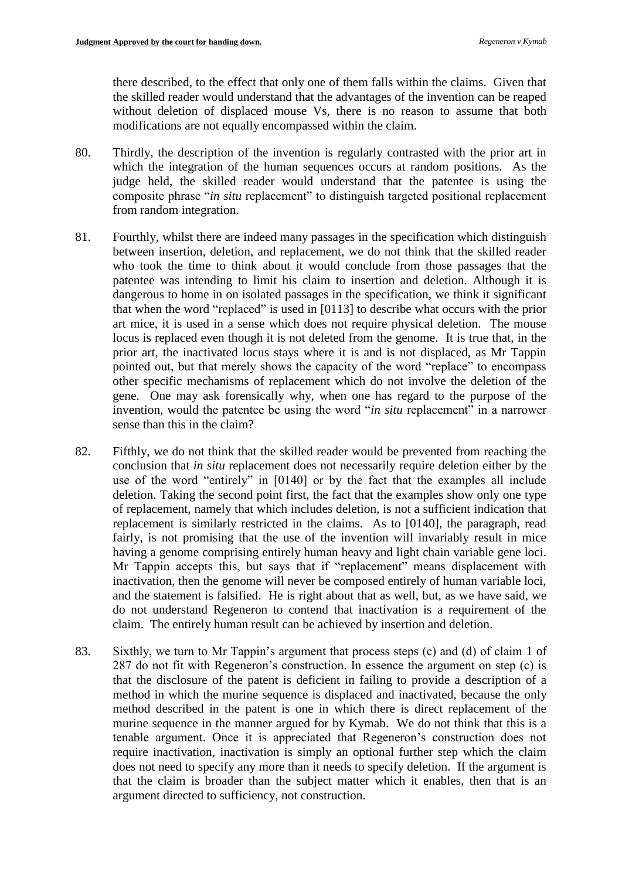there described, to the effect that only one of them falls within the claims. Given that the skilled reader would understand that the advantages of the invention can be reaped without deletion of displaced mouse Vs, there is no reason to assume that both modifications are not equally encompassed within the claim.

- 80. Thirdly, the description of the invention is regularly contrasted with the prior art in which the integration of the human sequences occurs at random positions. As the judge held, the skilled reader would understand that the patentee is using the composite phrase "*in situ* replacement" to distinguish targeted positional replacement from random integration.
- 81. Fourthly, whilst there are indeed many passages in the specification which distinguish between insertion, deletion, and replacement, we do not think that the skilled reader who took the time to think about it would conclude from those passages that the patentee was intending to limit his claim to insertion and deletion. Although it is dangerous to home in on isolated passages in the specification, we think it significant that when the word "replaced" is used in [0113] to describe what occurs with the prior art mice, it is used in a sense which does not require physical deletion. The mouse locus is replaced even though it is not deleted from the genome. It is true that, in the prior art, the inactivated locus stays where it is and is not displaced, as Mr Tappin pointed out, but that merely shows the capacity of the word "replace" to encompass other specific mechanisms of replacement which do not involve the deletion of the gene. One may ask forensically why, when one has regard to the purpose of the invention, would the patentee be using the word "*in situ* replacement" in a narrower sense than this in the claim?
- 82. Fifthly, we do not think that the skilled reader would be prevented from reaching the conclusion that *in situ* replacement does not necessarily require deletion either by the use of the word "entirely" in [0140] or by the fact that the examples all include deletion. Taking the second point first, the fact that the examples show only one type of replacement, namely that which includes deletion, is not a sufficient indication that replacement is similarly restricted in the claims. As to [0140], the paragraph, read fairly, is not promising that the use of the invention will invariably result in mice having a genome comprising entirely human heavy and light chain variable gene loci. Mr Tappin accepts this, but says that if "replacement" means displacement with inactivation, then the genome will never be composed entirely of human variable loci, and the statement is falsified. He is right about that as well, but, as we have said, we do not understand Regeneron to contend that inactivation is a requirement of the claim. The entirely human result can be achieved by insertion and deletion.
- 83. Sixthly, we turn to Mr Tappin's argument that process steps (c) and (d) of claim 1 of 287 do not fit with Regeneron's construction. In essence the argument on step (c) is that the disclosure of the patent is deficient in failing to provide a description of a method in which the murine sequence is displaced and inactivated, because the only method described in the patent is one in which there is direct replacement of the murine sequence in the manner argued for by Kymab. We do not think that this is a tenable argument. Once it is appreciated that Regeneron's construction does not require inactivation, inactivation is simply an optional further step which the claim does not need to specify any more than it needs to specify deletion. If the argument is that the claim is broader than the subject matter which it enables, then that is an argument directed to sufficiency, not construction.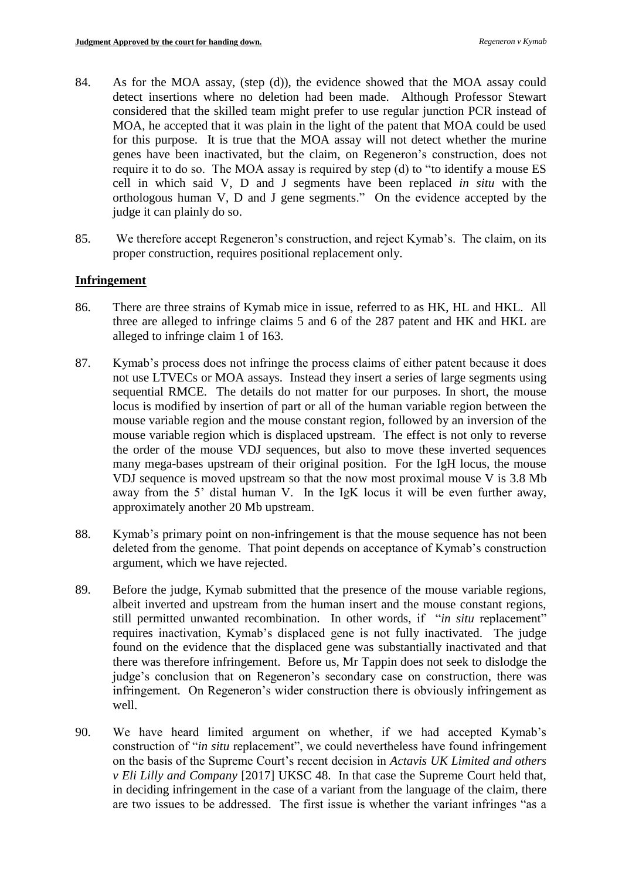- 84. As for the MOA assay, (step (d)), the evidence showed that the MOA assay could detect insertions where no deletion had been made. Although Professor Stewart considered that the skilled team might prefer to use regular junction PCR instead of MOA, he accepted that it was plain in the light of the patent that MOA could be used for this purpose. It is true that the MOA assay will not detect whether the murine genes have been inactivated, but the claim, on Regeneron's construction, does not require it to do so. The MOA assay is required by step (d) to "to identify a mouse ES cell in which said V, D and J segments have been replaced *in situ* with the orthologous human V, D and J gene segments." On the evidence accepted by the judge it can plainly do so.
- 85. We therefore accept Regeneron's construction, and reject Kymab's. The claim, on its proper construction, requires positional replacement only.

## **Infringement**

- 86. There are three strains of Kymab mice in issue, referred to as HK, HL and HKL. All three are alleged to infringe claims 5 and 6 of the 287 patent and HK and HKL are alleged to infringe claim 1 of 163.
- 87. Kymab's process does not infringe the process claims of either patent because it does not use LTVECs or MOA assays. Instead they insert a series of large segments using sequential RMCE. The details do not matter for our purposes. In short, the mouse locus is modified by insertion of part or all of the human variable region between the mouse variable region and the mouse constant region, followed by an inversion of the mouse variable region which is displaced upstream. The effect is not only to reverse the order of the mouse VDJ sequences, but also to move these inverted sequences many mega-bases upstream of their original position. For the IgH locus, the mouse VDJ sequence is moved upstream so that the now most proximal mouse V is 3.8 Mb away from the 5' distal human V. In the IgK locus it will be even further away, approximately another 20 Mb upstream.
- 88. Kymab's primary point on non-infringement is that the mouse sequence has not been deleted from the genome. That point depends on acceptance of Kymab's construction argument, which we have rejected.
- 89. Before the judge, Kymab submitted that the presence of the mouse variable regions, albeit inverted and upstream from the human insert and the mouse constant regions, still permitted unwanted recombination. In other words, if "*in situ* replacement" requires inactivation, Kymab's displaced gene is not fully inactivated. The judge found on the evidence that the displaced gene was substantially inactivated and that there was therefore infringement. Before us, Mr Tappin does not seek to dislodge the judge's conclusion that on Regeneron's secondary case on construction, there was infringement. On Regeneron's wider construction there is obviously infringement as well.
- 90. We have heard limited argument on whether, if we had accepted Kymab's construction of "*in situ* replacement", we could nevertheless have found infringement on the basis of the Supreme Court's recent decision in *Actavis UK Limited and others v Eli Lilly and Company* [2017] UKSC 48. In that case the Supreme Court held that, in deciding infringement in the case of a variant from the language of the claim, there are two issues to be addressed. The first issue is whether the variant infringes "as a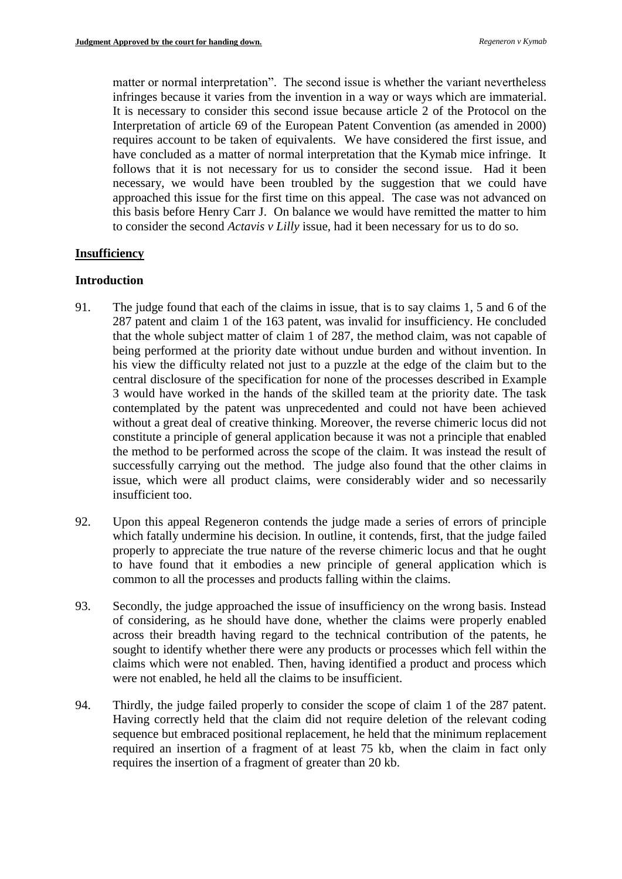matter or normal interpretation". The second issue is whether the variant nevertheless infringes because it varies from the invention in a way or ways which are immaterial. It is necessary to consider this second issue because article 2 of the Protocol on the Interpretation of article 69 of the European Patent Convention (as amended in 2000) requires account to be taken of equivalents. We have considered the first issue, and have concluded as a matter of normal interpretation that the Kymab mice infringe. It follows that it is not necessary for us to consider the second issue. Had it been necessary, we would have been troubled by the suggestion that we could have approached this issue for the first time on this appeal. The case was not advanced on this basis before Henry Carr J. On balance we would have remitted the matter to him to consider the second *Actavis v Lilly* issue, had it been necessary for us to do so.

### **Insufficiency**

### **Introduction**

- 91. The judge found that each of the claims in issue, that is to say claims 1, 5 and 6 of the 287 patent and claim 1 of the 163 patent, was invalid for insufficiency. He concluded that the whole subject matter of claim 1 of 287, the method claim, was not capable of being performed at the priority date without undue burden and without invention. In his view the difficulty related not just to a puzzle at the edge of the claim but to the central disclosure of the specification for none of the processes described in Example 3 would have worked in the hands of the skilled team at the priority date. The task contemplated by the patent was unprecedented and could not have been achieved without a great deal of creative thinking. Moreover, the reverse chimeric locus did not constitute a principle of general application because it was not a principle that enabled the method to be performed across the scope of the claim. It was instead the result of successfully carrying out the method. The judge also found that the other claims in issue, which were all product claims, were considerably wider and so necessarily insufficient too.
- 92. Upon this appeal Regeneron contends the judge made a series of errors of principle which fatally undermine his decision. In outline, it contends, first, that the judge failed properly to appreciate the true nature of the reverse chimeric locus and that he ought to have found that it embodies a new principle of general application which is common to all the processes and products falling within the claims.
- 93. Secondly, the judge approached the issue of insufficiency on the wrong basis. Instead of considering, as he should have done, whether the claims were properly enabled across their breadth having regard to the technical contribution of the patents, he sought to identify whether there were any products or processes which fell within the claims which were not enabled. Then, having identified a product and process which were not enabled, he held all the claims to be insufficient.
- 94. Thirdly, the judge failed properly to consider the scope of claim 1 of the 287 patent. Having correctly held that the claim did not require deletion of the relevant coding sequence but embraced positional replacement, he held that the minimum replacement required an insertion of a fragment of at least 75 kb, when the claim in fact only requires the insertion of a fragment of greater than 20 kb.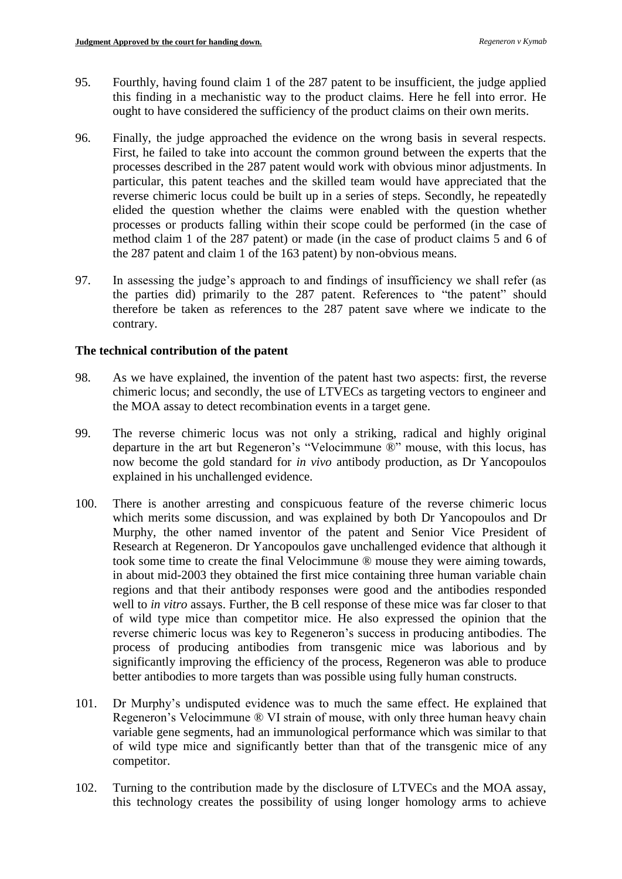- 95. Fourthly, having found claim 1 of the 287 patent to be insufficient, the judge applied this finding in a mechanistic way to the product claims. Here he fell into error. He ought to have considered the sufficiency of the product claims on their own merits.
- 96. Finally, the judge approached the evidence on the wrong basis in several respects. First, he failed to take into account the common ground between the experts that the processes described in the 287 patent would work with obvious minor adjustments. In particular, this patent teaches and the skilled team would have appreciated that the reverse chimeric locus could be built up in a series of steps. Secondly, he repeatedly elided the question whether the claims were enabled with the question whether processes or products falling within their scope could be performed (in the case of method claim 1 of the 287 patent) or made (in the case of product claims 5 and 6 of the 287 patent and claim 1 of the 163 patent) by non-obvious means.
- 97. In assessing the judge's approach to and findings of insufficiency we shall refer (as the parties did) primarily to the 287 patent. References to "the patent" should therefore be taken as references to the 287 patent save where we indicate to the contrary.

## **The technical contribution of the patent**

- 98. As we have explained, the invention of the patent hast two aspects: first, the reverse chimeric locus; and secondly, the use of LTVECs as targeting vectors to engineer and the MOA assay to detect recombination events in a target gene.
- 99. The reverse chimeric locus was not only a striking, radical and highly original departure in the art but Regeneron's "Velocimmune ®" mouse, with this locus, has now become the gold standard for *in vivo* antibody production, as Dr Yancopoulos explained in his unchallenged evidence.
- 100. There is another arresting and conspicuous feature of the reverse chimeric locus which merits some discussion, and was explained by both Dr Yancopoulos and Dr Murphy, the other named inventor of the patent and Senior Vice President of Research at Regeneron. Dr Yancopoulos gave unchallenged evidence that although it took some time to create the final Velocimmune ® mouse they were aiming towards, in about mid-2003 they obtained the first mice containing three human variable chain regions and that their antibody responses were good and the antibodies responded well to *in vitro* assays. Further, the B cell response of these mice was far closer to that of wild type mice than competitor mice. He also expressed the opinion that the reverse chimeric locus was key to Regeneron's success in producing antibodies. The process of producing antibodies from transgenic mice was laborious and by significantly improving the efficiency of the process, Regeneron was able to produce better antibodies to more targets than was possible using fully human constructs.
- 101. Dr Murphy's undisputed evidence was to much the same effect. He explained that Regeneron's Velocimmune ® VI strain of mouse, with only three human heavy chain variable gene segments, had an immunological performance which was similar to that of wild type mice and significantly better than that of the transgenic mice of any competitor.
- 102. Turning to the contribution made by the disclosure of LTVECs and the MOA assay, this technology creates the possibility of using longer homology arms to achieve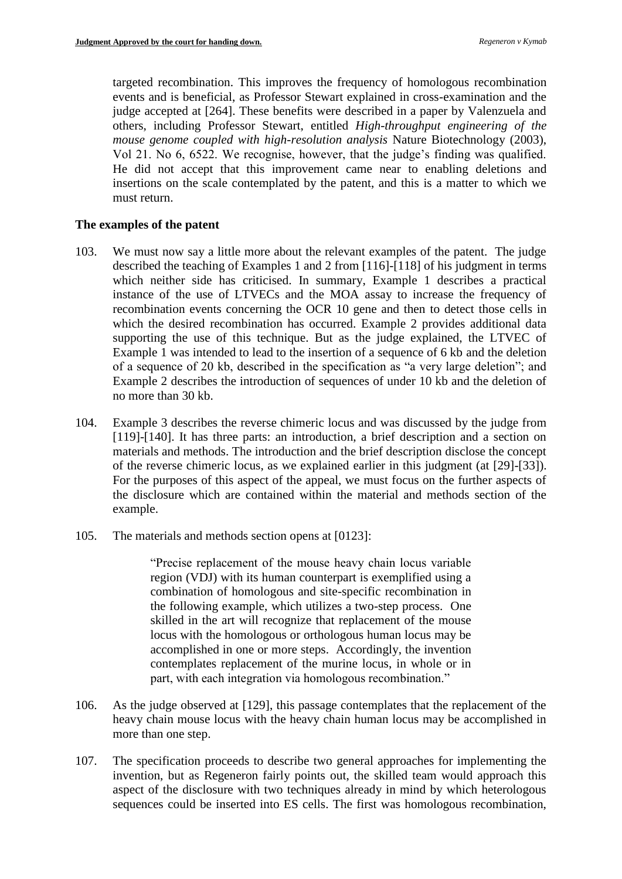targeted recombination. This improves the frequency of homologous recombination events and is beneficial, as Professor Stewart explained in cross-examination and the judge accepted at [264]. These benefits were described in a paper by Valenzuela and others, including Professor Stewart, entitled *High-throughput engineering of the mouse genome coupled with high-resolution analysis* Nature Biotechnology (2003), Vol 21. No 6, 6522. We recognise, however, that the judge's finding was qualified. He did not accept that this improvement came near to enabling deletions and insertions on the scale contemplated by the patent, and this is a matter to which we must return.

## **The examples of the patent**

- 103. We must now say a little more about the relevant examples of the patent. The judge described the teaching of Examples 1 and 2 from [116]-[118] of his judgment in terms which neither side has criticised. In summary, Example 1 describes a practical instance of the use of LTVECs and the MOA assay to increase the frequency of recombination events concerning the OCR 10 gene and then to detect those cells in which the desired recombination has occurred. Example 2 provides additional data supporting the use of this technique. But as the judge explained, the LTVEC of Example 1 was intended to lead to the insertion of a sequence of 6 kb and the deletion of a sequence of 20 kb, described in the specification as "a very large deletion"; and Example 2 describes the introduction of sequences of under 10 kb and the deletion of no more than 30 kb.
- 104. Example 3 describes the reverse chimeric locus and was discussed by the judge from [119]-[140]. It has three parts: an introduction, a brief description and a section on materials and methods. The introduction and the brief description disclose the concept of the reverse chimeric locus, as we explained earlier in this judgment (at [29]-[33]). For the purposes of this aspect of the appeal, we must focus on the further aspects of the disclosure which are contained within the material and methods section of the example.
- 105. The materials and methods section opens at [0123]:

"Precise replacement of the mouse heavy chain locus variable region (VDJ) with its human counterpart is exemplified using a combination of homologous and site-specific recombination in the following example, which utilizes a two-step process. One skilled in the art will recognize that replacement of the mouse locus with the homologous or orthologous human locus may be accomplished in one or more steps. Accordingly, the invention contemplates replacement of the murine locus, in whole or in part, with each integration via homologous recombination."

- 106. As the judge observed at [129], this passage contemplates that the replacement of the heavy chain mouse locus with the heavy chain human locus may be accomplished in more than one step.
- 107. The specification proceeds to describe two general approaches for implementing the invention, but as Regeneron fairly points out, the skilled team would approach this aspect of the disclosure with two techniques already in mind by which heterologous sequences could be inserted into ES cells. The first was homologous recombination,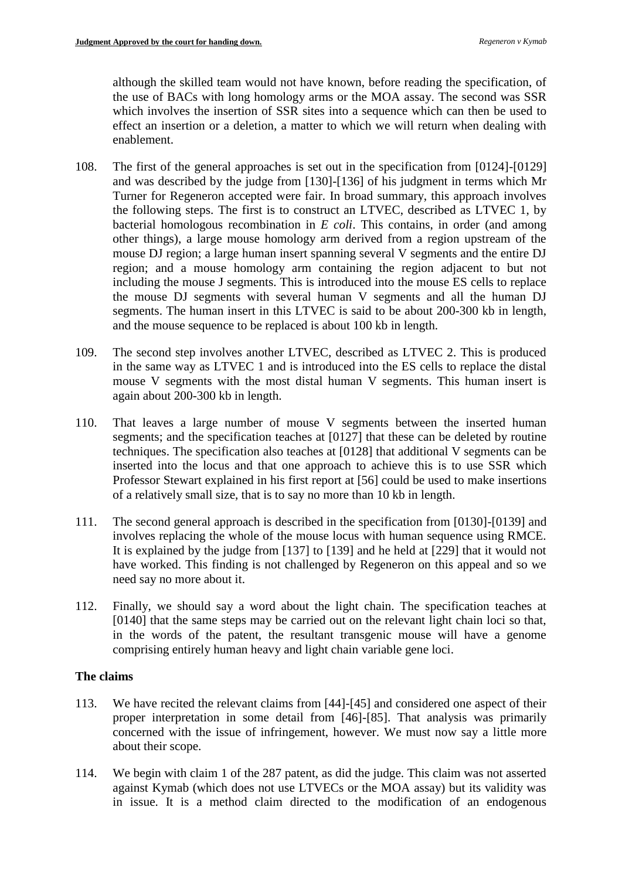although the skilled team would not have known, before reading the specification, of the use of BACs with long homology arms or the MOA assay. The second was SSR which involves the insertion of SSR sites into a sequence which can then be used to effect an insertion or a deletion, a matter to which we will return when dealing with enablement.

- 108. The first of the general approaches is set out in the specification from [0124]-[0129] and was described by the judge from [130]-[136] of his judgment in terms which Mr Turner for Regeneron accepted were fair. In broad summary, this approach involves the following steps. The first is to construct an LTVEC, described as LTVEC 1, by bacterial homologous recombination in *E coli*. This contains, in order (and among other things), a large mouse homology arm derived from a region upstream of the mouse DJ region; a large human insert spanning several V segments and the entire DJ region; and a mouse homology arm containing the region adjacent to but not including the mouse J segments. This is introduced into the mouse ES cells to replace the mouse DJ segments with several human V segments and all the human DJ segments. The human insert in this LTVEC is said to be about 200-300 kb in length, and the mouse sequence to be replaced is about 100 kb in length.
- 109. The second step involves another LTVEC, described as LTVEC 2. This is produced in the same way as LTVEC 1 and is introduced into the ES cells to replace the distal mouse V segments with the most distal human V segments. This human insert is again about 200-300 kb in length.
- 110. That leaves a large number of mouse V segments between the inserted human segments; and the specification teaches at [0127] that these can be deleted by routine techniques. The specification also teaches at [0128] that additional V segments can be inserted into the locus and that one approach to achieve this is to use SSR which Professor Stewart explained in his first report at [56] could be used to make insertions of a relatively small size, that is to say no more than 10 kb in length.
- 111. The second general approach is described in the specification from [0130]-[0139] and involves replacing the whole of the mouse locus with human sequence using RMCE. It is explained by the judge from [137] to [139] and he held at [229] that it would not have worked. This finding is not challenged by Regeneron on this appeal and so we need say no more about it.
- 112. Finally, we should say a word about the light chain. The specification teaches at [0140] that the same steps may be carried out on the relevant light chain loci so that, in the words of the patent, the resultant transgenic mouse will have a genome comprising entirely human heavy and light chain variable gene loci.

### **The claims**

- 113. We have recited the relevant claims from [44]-[45] and considered one aspect of their proper interpretation in some detail from [46]-[85]. That analysis was primarily concerned with the issue of infringement, however. We must now say a little more about their scope.
- 114. We begin with claim 1 of the 287 patent, as did the judge. This claim was not asserted against Kymab (which does not use LTVECs or the MOA assay) but its validity was in issue. It is a method claim directed to the modification of an endogenous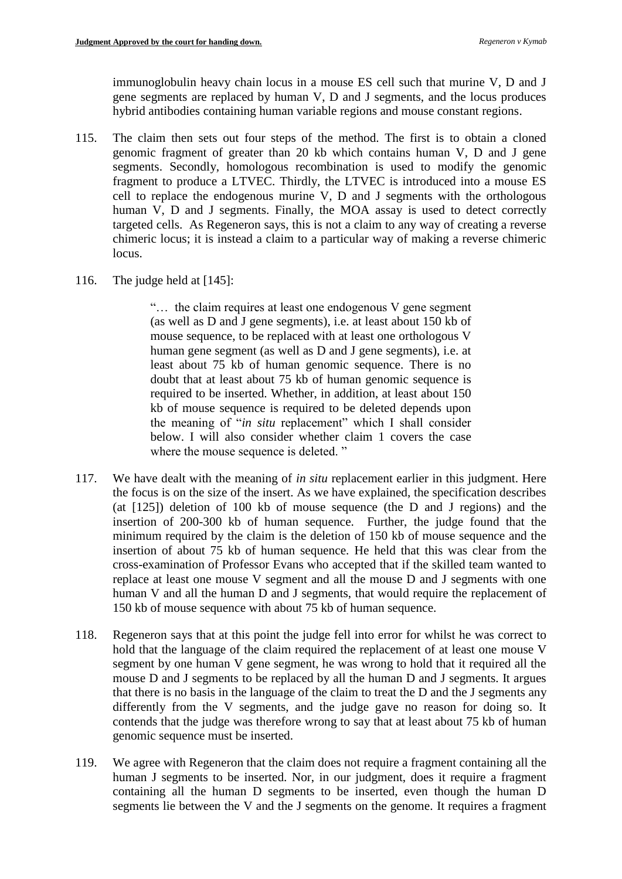immunoglobulin heavy chain locus in a mouse ES cell such that murine V, D and J gene segments are replaced by human V, D and J segments, and the locus produces hybrid antibodies containing human variable regions and mouse constant regions.

- 115. The claim then sets out four steps of the method. The first is to obtain a cloned genomic fragment of greater than 20 kb which contains human V, D and J gene segments. Secondly, homologous recombination is used to modify the genomic fragment to produce a LTVEC. Thirdly, the LTVEC is introduced into a mouse ES cell to replace the endogenous murine V, D and J segments with the orthologous human V, D and J segments. Finally, the MOA assay is used to detect correctly targeted cells. As Regeneron says, this is not a claim to any way of creating a reverse chimeric locus; it is instead a claim to a particular way of making a reverse chimeric locus.
- 116. The judge held at [145]:

"… the claim requires at least one endogenous V gene segment (as well as D and J gene segments), i.e. at least about 150 kb of mouse sequence, to be replaced with at least one orthologous V human gene segment (as well as D and J gene segments), i.e. at least about 75 kb of human genomic sequence. There is no doubt that at least about 75 kb of human genomic sequence is required to be inserted. Whether, in addition, at least about 150 kb of mouse sequence is required to be deleted depends upon the meaning of "*in situ* replacement" which I shall consider below. I will also consider whether claim 1 covers the case where the mouse sequence is deleted."

- 117. We have dealt with the meaning of *in situ* replacement earlier in this judgment. Here the focus is on the size of the insert. As we have explained, the specification describes (at [125]) deletion of 100 kb of mouse sequence (the D and J regions) and the insertion of 200-300 kb of human sequence. Further, the judge found that the minimum required by the claim is the deletion of 150 kb of mouse sequence and the insertion of about 75 kb of human sequence. He held that this was clear from the cross-examination of Professor Evans who accepted that if the skilled team wanted to replace at least one mouse V segment and all the mouse D and J segments with one human V and all the human D and J segments, that would require the replacement of 150 kb of mouse sequence with about 75 kb of human sequence.
- 118. Regeneron says that at this point the judge fell into error for whilst he was correct to hold that the language of the claim required the replacement of at least one mouse V segment by one human V gene segment, he was wrong to hold that it required all the mouse D and J segments to be replaced by all the human D and J segments. It argues that there is no basis in the language of the claim to treat the D and the J segments any differently from the V segments, and the judge gave no reason for doing so. It contends that the judge was therefore wrong to say that at least about 75 kb of human genomic sequence must be inserted.
- 119. We agree with Regeneron that the claim does not require a fragment containing all the human J segments to be inserted. Nor, in our judgment, does it require a fragment containing all the human D segments to be inserted, even though the human D segments lie between the V and the J segments on the genome. It requires a fragment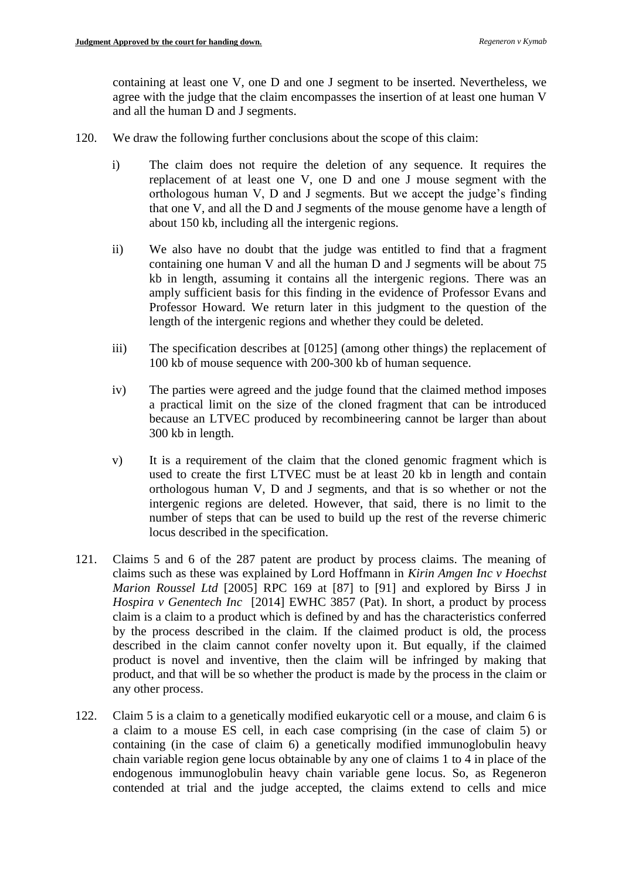containing at least one V, one D and one J segment to be inserted. Nevertheless, we agree with the judge that the claim encompasses the insertion of at least one human V and all the human D and J segments.

- 120. We draw the following further conclusions about the scope of this claim:
	- i) The claim does not require the deletion of any sequence. It requires the replacement of at least one V, one D and one J mouse segment with the orthologous human V, D and J segments. But we accept the judge's finding that one V, and all the D and J segments of the mouse genome have a length of about 150 kb, including all the intergenic regions.
	- ii) We also have no doubt that the judge was entitled to find that a fragment containing one human V and all the human D and J segments will be about 75 kb in length, assuming it contains all the intergenic regions. There was an amply sufficient basis for this finding in the evidence of Professor Evans and Professor Howard. We return later in this judgment to the question of the length of the intergenic regions and whether they could be deleted.
	- iii) The specification describes at [0125] (among other things) the replacement of 100 kb of mouse sequence with 200-300 kb of human sequence.
	- iv) The parties were agreed and the judge found that the claimed method imposes a practical limit on the size of the cloned fragment that can be introduced because an LTVEC produced by recombineering cannot be larger than about 300 kb in length.
	- v) It is a requirement of the claim that the cloned genomic fragment which is used to create the first LTVEC must be at least 20 kb in length and contain orthologous human V, D and J segments, and that is so whether or not the intergenic regions are deleted. However, that said, there is no limit to the number of steps that can be used to build up the rest of the reverse chimeric locus described in the specification.
- 121. Claims 5 and 6 of the 287 patent are product by process claims. The meaning of claims such as these was explained by Lord Hoffmann in *Kirin Amgen Inc v Hoechst Marion Roussel Ltd* [2005] RPC 169 at [87] to [91] and explored by Birss J in *Hospira v Genentech Inc* [2014] EWHC 3857 (Pat). In short, a product by process claim is a claim to a product which is defined by and has the characteristics conferred by the process described in the claim. If the claimed product is old, the process described in the claim cannot confer novelty upon it. But equally, if the claimed product is novel and inventive, then the claim will be infringed by making that product, and that will be so whether the product is made by the process in the claim or any other process.
- 122. Claim 5 is a claim to a genetically modified eukaryotic cell or a mouse, and claim 6 is a claim to a mouse ES cell, in each case comprising (in the case of claim 5) or containing (in the case of claim 6) a genetically modified immunoglobulin heavy chain variable region gene locus obtainable by any one of claims 1 to 4 in place of the endogenous immunoglobulin heavy chain variable gene locus. So, as Regeneron contended at trial and the judge accepted, the claims extend to cells and mice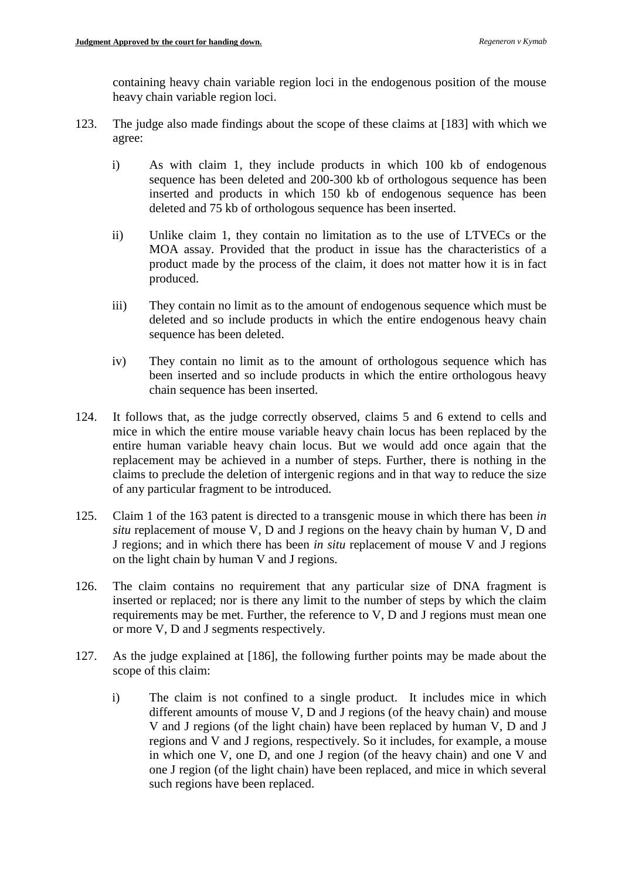containing heavy chain variable region loci in the endogenous position of the mouse heavy chain variable region loci.

- 123. The judge also made findings about the scope of these claims at [183] with which we agree:
	- i) As with claim 1, they include products in which 100 kb of endogenous sequence has been deleted and 200-300 kb of orthologous sequence has been inserted and products in which 150 kb of endogenous sequence has been deleted and 75 kb of orthologous sequence has been inserted.
	- ii) Unlike claim 1, they contain no limitation as to the use of LTVECs or the MOA assay. Provided that the product in issue has the characteristics of a product made by the process of the claim, it does not matter how it is in fact produced.
	- iii) They contain no limit as to the amount of endogenous sequence which must be deleted and so include products in which the entire endogenous heavy chain sequence has been deleted.
	- iv) They contain no limit as to the amount of orthologous sequence which has been inserted and so include products in which the entire orthologous heavy chain sequence has been inserted.
- 124. It follows that, as the judge correctly observed, claims 5 and 6 extend to cells and mice in which the entire mouse variable heavy chain locus has been replaced by the entire human variable heavy chain locus. But we would add once again that the replacement may be achieved in a number of steps. Further, there is nothing in the claims to preclude the deletion of intergenic regions and in that way to reduce the size of any particular fragment to be introduced.
- 125. Claim 1 of the 163 patent is directed to a transgenic mouse in which there has been *in situ* replacement of mouse V, D and J regions on the heavy chain by human V, D and J regions; and in which there has been *in situ* replacement of mouse V and J regions on the light chain by human V and J regions.
- 126. The claim contains no requirement that any particular size of DNA fragment is inserted or replaced; nor is there any limit to the number of steps by which the claim requirements may be met. Further, the reference to V, D and J regions must mean one or more V, D and J segments respectively.
- 127. As the judge explained at [186], the following further points may be made about the scope of this claim:
	- i) The claim is not confined to a single product. It includes mice in which different amounts of mouse V, D and J regions (of the heavy chain) and mouse V and J regions (of the light chain) have been replaced by human V, D and J regions and V and J regions, respectively. So it includes, for example, a mouse in which one V, one D, and one J region (of the heavy chain) and one V and one J region (of the light chain) have been replaced, and mice in which several such regions have been replaced.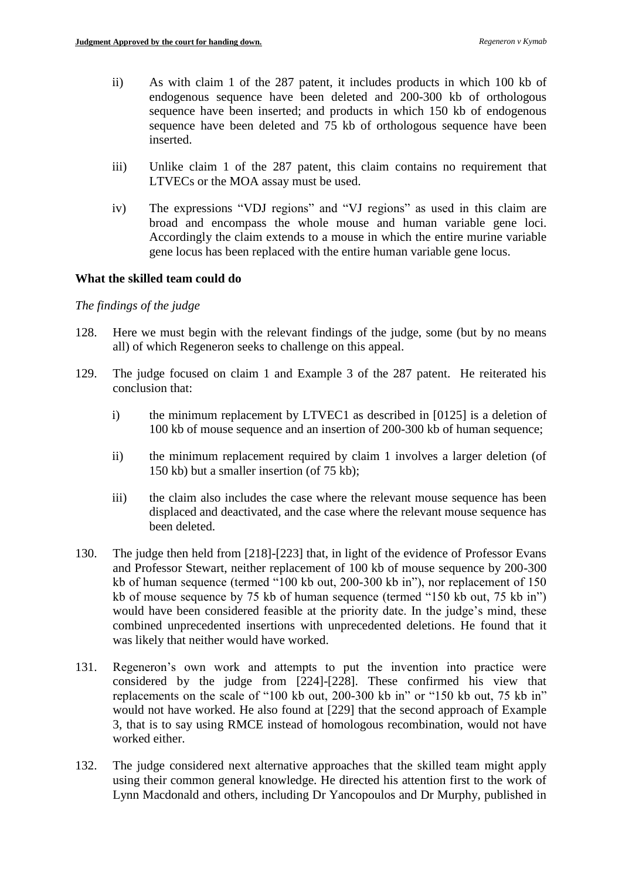- ii) As with claim 1 of the 287 patent, it includes products in which 100 kb of endogenous sequence have been deleted and 200-300 kb of orthologous sequence have been inserted; and products in which 150 kb of endogenous sequence have been deleted and 75 kb of orthologous sequence have been inserted.
- iii) Unlike claim 1 of the 287 patent, this claim contains no requirement that LTVECs or the MOA assay must be used.
- iv) The expressions "VDJ regions" and "VJ regions" as used in this claim are broad and encompass the whole mouse and human variable gene loci. Accordingly the claim extends to a mouse in which the entire murine variable gene locus has been replaced with the entire human variable gene locus.

## **What the skilled team could do**

### *The findings of the judge*

- 128. Here we must begin with the relevant findings of the judge, some (but by no means all) of which Regeneron seeks to challenge on this appeal.
- 129. The judge focused on claim 1 and Example 3 of the 287 patent. He reiterated his conclusion that:
	- i) the minimum replacement by LTVEC1 as described in [0125] is a deletion of 100 kb of mouse sequence and an insertion of 200-300 kb of human sequence;
	- ii) the minimum replacement required by claim 1 involves a larger deletion (of 150 kb) but a smaller insertion (of 75 kb);
	- iii) the claim also includes the case where the relevant mouse sequence has been displaced and deactivated, and the case where the relevant mouse sequence has been deleted.
- 130. The judge then held from [218]-[223] that, in light of the evidence of Professor Evans and Professor Stewart, neither replacement of 100 kb of mouse sequence by 200-300 kb of human sequence (termed "100 kb out, 200-300 kb in"), nor replacement of 150 kb of mouse sequence by 75 kb of human sequence (termed "150 kb out, 75 kb in") would have been considered feasible at the priority date. In the judge's mind, these combined unprecedented insertions with unprecedented deletions. He found that it was likely that neither would have worked.
- 131. Regeneron's own work and attempts to put the invention into practice were considered by the judge from [224]-[228]. These confirmed his view that replacements on the scale of "100 kb out, 200-300 kb in" or "150 kb out, 75 kb in" would not have worked. He also found at [229] that the second approach of Example 3, that is to say using RMCE instead of homologous recombination, would not have worked either.
- 132. The judge considered next alternative approaches that the skilled team might apply using their common general knowledge. He directed his attention first to the work of Lynn Macdonald and others, including Dr Yancopoulos and Dr Murphy, published in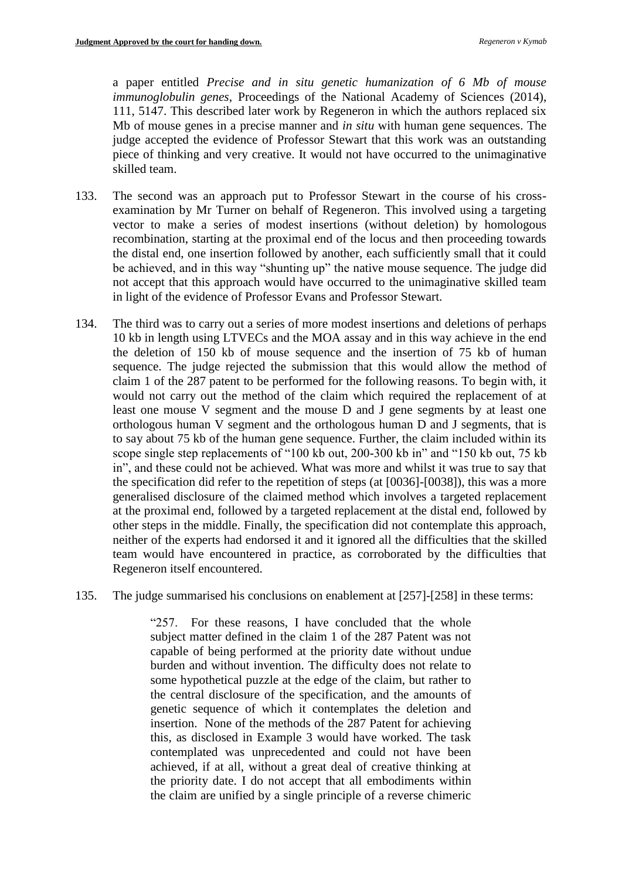a paper entitled *Precise and in situ genetic humanization of 6 Mb of mouse immunoglobulin genes*, Proceedings of the National Academy of Sciences (2014), 111, 5147. This described later work by Regeneron in which the authors replaced six Mb of mouse genes in a precise manner and *in situ* with human gene sequences. The judge accepted the evidence of Professor Stewart that this work was an outstanding piece of thinking and very creative. It would not have occurred to the unimaginative skilled team.

- 133. The second was an approach put to Professor Stewart in the course of his crossexamination by Mr Turner on behalf of Regeneron. This involved using a targeting vector to make a series of modest insertions (without deletion) by homologous recombination, starting at the proximal end of the locus and then proceeding towards the distal end, one insertion followed by another, each sufficiently small that it could be achieved, and in this way "shunting up" the native mouse sequence. The judge did not accept that this approach would have occurred to the unimaginative skilled team in light of the evidence of Professor Evans and Professor Stewart.
- 134. The third was to carry out a series of more modest insertions and deletions of perhaps 10 kb in length using LTVECs and the MOA assay and in this way achieve in the end the deletion of 150 kb of mouse sequence and the insertion of 75 kb of human sequence. The judge rejected the submission that this would allow the method of claim 1 of the 287 patent to be performed for the following reasons. To begin with, it would not carry out the method of the claim which required the replacement of at least one mouse V segment and the mouse D and J gene segments by at least one orthologous human V segment and the orthologous human D and J segments, that is to say about 75 kb of the human gene sequence. Further, the claim included within its scope single step replacements of "100 kb out, 200-300 kb in" and "150 kb out, 75 kb in", and these could not be achieved. What was more and whilst it was true to say that the specification did refer to the repetition of steps (at [0036]-[0038]), this was a more generalised disclosure of the claimed method which involves a targeted replacement at the proximal end, followed by a targeted replacement at the distal end, followed by other steps in the middle. Finally, the specification did not contemplate this approach, neither of the experts had endorsed it and it ignored all the difficulties that the skilled team would have encountered in practice, as corroborated by the difficulties that Regeneron itself encountered.
- 135. The judge summarised his conclusions on enablement at [257]-[258] in these terms:

"257. For these reasons, I have concluded that the whole subject matter defined in the claim 1 of the 287 Patent was not capable of being performed at the priority date without undue burden and without invention. The difficulty does not relate to some hypothetical puzzle at the edge of the claim, but rather to the central disclosure of the specification, and the amounts of genetic sequence of which it contemplates the deletion and insertion. None of the methods of the 287 Patent for achieving this, as disclosed in Example 3 would have worked. The task contemplated was unprecedented and could not have been achieved, if at all, without a great deal of creative thinking at the priority date. I do not accept that all embodiments within the claim are unified by a single principle of a reverse chimeric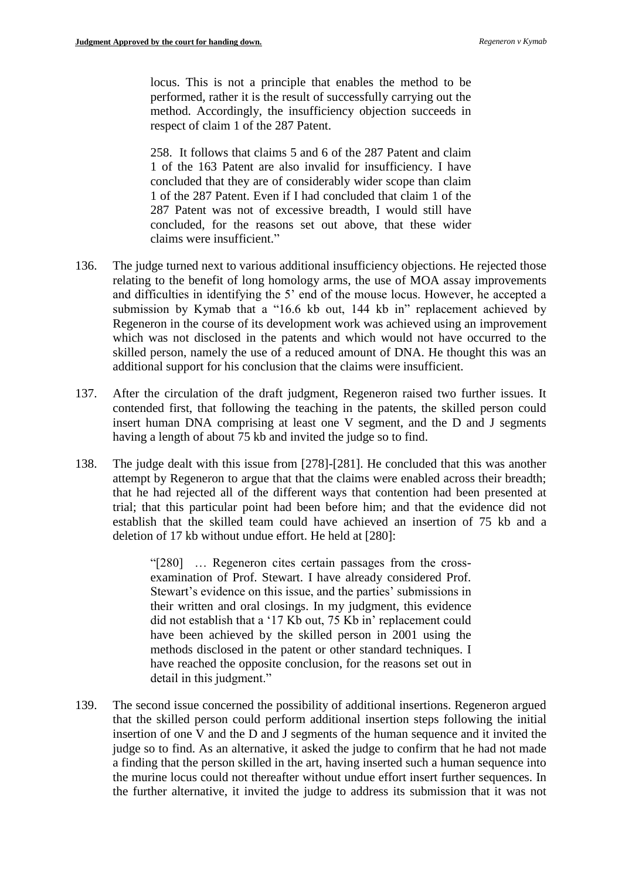locus. This is not a principle that enables the method to be performed, rather it is the result of successfully carrying out the method. Accordingly, the insufficiency objection succeeds in respect of claim 1 of the 287 Patent.

258. It follows that claims 5 and 6 of the 287 Patent and claim 1 of the 163 Patent are also invalid for insufficiency. I have concluded that they are of considerably wider scope than claim 1 of the 287 Patent. Even if I had concluded that claim 1 of the 287 Patent was not of excessive breadth, I would still have concluded, for the reasons set out above, that these wider claims were insufficient."

- 136. The judge turned next to various additional insufficiency objections. He rejected those relating to the benefit of long homology arms, the use of MOA assay improvements and difficulties in identifying the 5' end of the mouse locus. However, he accepted a submission by Kymab that a "16.6 kb out, 144 kb in" replacement achieved by Regeneron in the course of its development work was achieved using an improvement which was not disclosed in the patents and which would not have occurred to the skilled person, namely the use of a reduced amount of DNA. He thought this was an additional support for his conclusion that the claims were insufficient.
- 137. After the circulation of the draft judgment, Regeneron raised two further issues. It contended first, that following the teaching in the patents, the skilled person could insert human DNA comprising at least one V segment, and the D and J segments having a length of about 75 kb and invited the judge so to find.
- 138. The judge dealt with this issue from [278]-[281]. He concluded that this was another attempt by Regeneron to argue that that the claims were enabled across their breadth; that he had rejected all of the different ways that contention had been presented at trial; that this particular point had been before him; and that the evidence did not establish that the skilled team could have achieved an insertion of 75 kb and a deletion of 17 kb without undue effort. He held at [280]:

"[280] … Regeneron cites certain passages from the crossexamination of Prof. Stewart. I have already considered Prof. Stewart's evidence on this issue, and the parties' submissions in their written and oral closings. In my judgment, this evidence did not establish that a '17 Kb out, 75 Kb in' replacement could have been achieved by the skilled person in 2001 using the methods disclosed in the patent or other standard techniques. I have reached the opposite conclusion, for the reasons set out in detail in this judgment."

139. The second issue concerned the possibility of additional insertions. Regeneron argued that the skilled person could perform additional insertion steps following the initial insertion of one V and the D and J segments of the human sequence and it invited the judge so to find. As an alternative, it asked the judge to confirm that he had not made a finding that the person skilled in the art, having inserted such a human sequence into the murine locus could not thereafter without undue effort insert further sequences. In the further alternative, it invited the judge to address its submission that it was not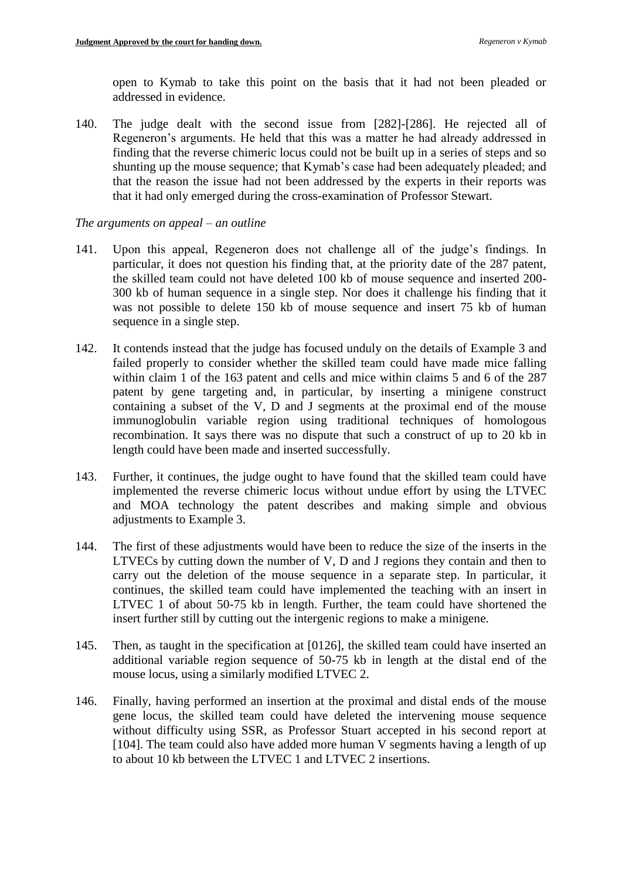open to Kymab to take this point on the basis that it had not been pleaded or addressed in evidence.

140. The judge dealt with the second issue from [282]-[286]. He rejected all of Regeneron's arguments. He held that this was a matter he had already addressed in finding that the reverse chimeric locus could not be built up in a series of steps and so shunting up the mouse sequence; that Kymab's case had been adequately pleaded; and that the reason the issue had not been addressed by the experts in their reports was that it had only emerged during the cross-examination of Professor Stewart.

### *The arguments on appeal – an outline*

- 141. Upon this appeal, Regeneron does not challenge all of the judge's findings. In particular, it does not question his finding that, at the priority date of the 287 patent, the skilled team could not have deleted 100 kb of mouse sequence and inserted 200- 300 kb of human sequence in a single step. Nor does it challenge his finding that it was not possible to delete 150 kb of mouse sequence and insert 75 kb of human sequence in a single step.
- 142. It contends instead that the judge has focused unduly on the details of Example 3 and failed properly to consider whether the skilled team could have made mice falling within claim 1 of the 163 patent and cells and mice within claims 5 and 6 of the 287 patent by gene targeting and, in particular, by inserting a minigene construct containing a subset of the V, D and J segments at the proximal end of the mouse immunoglobulin variable region using traditional techniques of homologous recombination. It says there was no dispute that such a construct of up to 20 kb in length could have been made and inserted successfully.
- 143. Further, it continues, the judge ought to have found that the skilled team could have implemented the reverse chimeric locus without undue effort by using the LTVEC and MOA technology the patent describes and making simple and obvious adjustments to Example 3.
- 144. The first of these adjustments would have been to reduce the size of the inserts in the LTVECs by cutting down the number of V, D and J regions they contain and then to carry out the deletion of the mouse sequence in a separate step. In particular, it continues, the skilled team could have implemented the teaching with an insert in LTVEC 1 of about 50-75 kb in length. Further, the team could have shortened the insert further still by cutting out the intergenic regions to make a minigene.
- 145. Then, as taught in the specification at [0126], the skilled team could have inserted an additional variable region sequence of 50-75 kb in length at the distal end of the mouse locus, using a similarly modified LTVEC 2.
- 146. Finally, having performed an insertion at the proximal and distal ends of the mouse gene locus, the skilled team could have deleted the intervening mouse sequence without difficulty using SSR, as Professor Stuart accepted in his second report at [104]. The team could also have added more human V segments having a length of up to about 10 kb between the LTVEC 1 and LTVEC 2 insertions.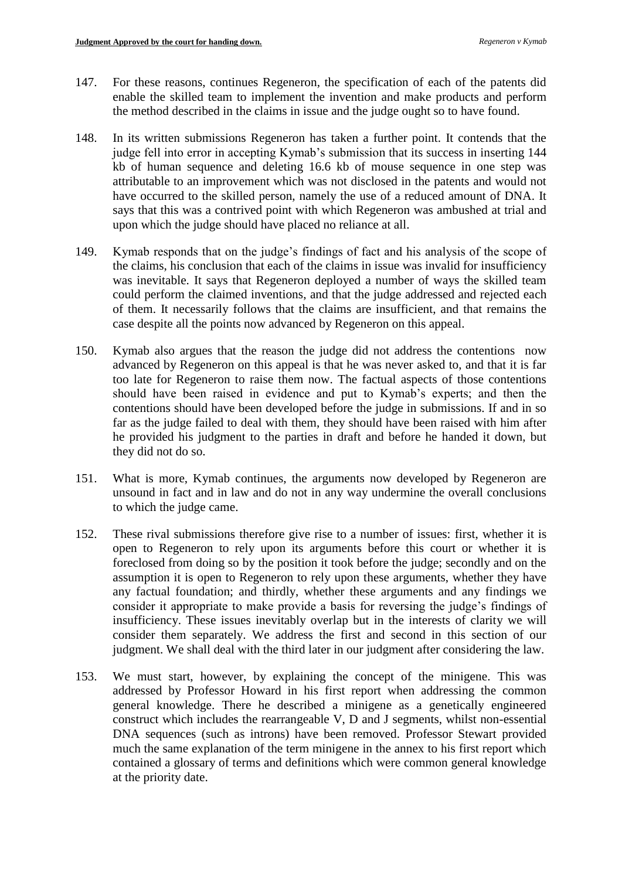- 147. For these reasons, continues Regeneron, the specification of each of the patents did enable the skilled team to implement the invention and make products and perform the method described in the claims in issue and the judge ought so to have found.
- 148. In its written submissions Regeneron has taken a further point. It contends that the judge fell into error in accepting Kymab's submission that its success in inserting 144 kb of human sequence and deleting 16.6 kb of mouse sequence in one step was attributable to an improvement which was not disclosed in the patents and would not have occurred to the skilled person, namely the use of a reduced amount of DNA. It says that this was a contrived point with which Regeneron was ambushed at trial and upon which the judge should have placed no reliance at all.
- 149. Kymab responds that on the judge's findings of fact and his analysis of the scope of the claims, his conclusion that each of the claims in issue was invalid for insufficiency was inevitable. It says that Regeneron deployed a number of ways the skilled team could perform the claimed inventions, and that the judge addressed and rejected each of them. It necessarily follows that the claims are insufficient, and that remains the case despite all the points now advanced by Regeneron on this appeal.
- 150. Kymab also argues that the reason the judge did not address the contentions now advanced by Regeneron on this appeal is that he was never asked to, and that it is far too late for Regeneron to raise them now. The factual aspects of those contentions should have been raised in evidence and put to Kymab's experts; and then the contentions should have been developed before the judge in submissions. If and in so far as the judge failed to deal with them, they should have been raised with him after he provided his judgment to the parties in draft and before he handed it down, but they did not do so.
- 151. What is more, Kymab continues, the arguments now developed by Regeneron are unsound in fact and in law and do not in any way undermine the overall conclusions to which the judge came.
- 152. These rival submissions therefore give rise to a number of issues: first, whether it is open to Regeneron to rely upon its arguments before this court or whether it is foreclosed from doing so by the position it took before the judge; secondly and on the assumption it is open to Regeneron to rely upon these arguments, whether they have any factual foundation; and thirdly, whether these arguments and any findings we consider it appropriate to make provide a basis for reversing the judge's findings of insufficiency. These issues inevitably overlap but in the interests of clarity we will consider them separately. We address the first and second in this section of our judgment. We shall deal with the third later in our judgment after considering the law.
- 153. We must start, however, by explaining the concept of the minigene. This was addressed by Professor Howard in his first report when addressing the common general knowledge. There he described a minigene as a genetically engineered construct which includes the rearrangeable V, D and J segments, whilst non-essential DNA sequences (such as introns) have been removed. Professor Stewart provided much the same explanation of the term minigene in the annex to his first report which contained a glossary of terms and definitions which were common general knowledge at the priority date.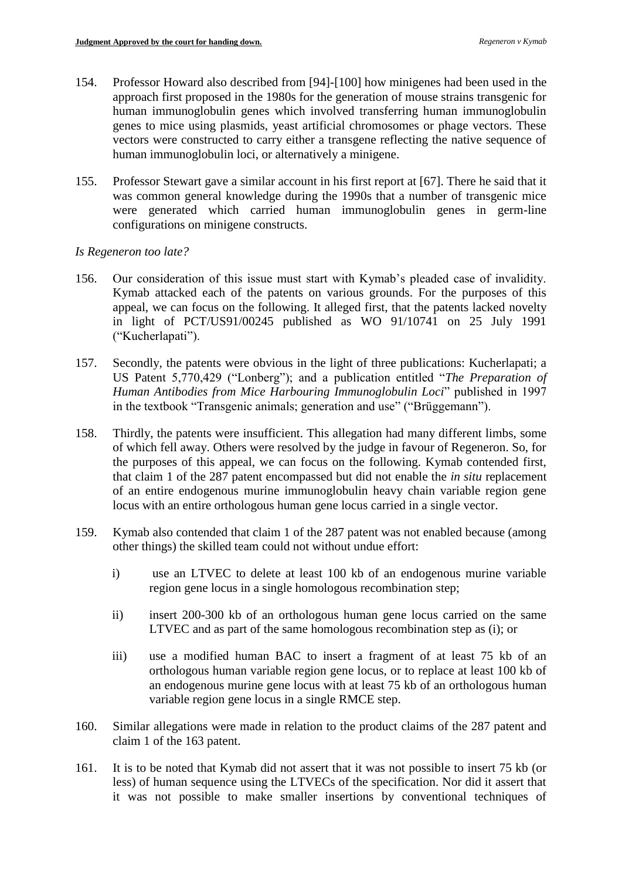- 154. Professor Howard also described from [94]-[100] how minigenes had been used in the approach first proposed in the 1980s for the generation of mouse strains transgenic for human immunoglobulin genes which involved transferring human immunoglobulin genes to mice using plasmids, yeast artificial chromosomes or phage vectors. These vectors were constructed to carry either a transgene reflecting the native sequence of human immunoglobulin loci, or alternatively a minigene.
- 155. Professor Stewart gave a similar account in his first report at [67]. There he said that it was common general knowledge during the 1990s that a number of transgenic mice were generated which carried human immunoglobulin genes in germ-line configurations on minigene constructs.

## *Is Regeneron too late?*

- 156. Our consideration of this issue must start with Kymab's pleaded case of invalidity. Kymab attacked each of the patents on various grounds. For the purposes of this appeal, we can focus on the following. It alleged first, that the patents lacked novelty in light of PCT/US91/00245 published as WO 91/10741 on 25 July 1991 ("Kucherlapati").
- 157. Secondly, the patents were obvious in the light of three publications: Kucherlapati; a US Patent 5,770,429 ("Lonberg"); and a publication entitled "*The Preparation of Human Antibodies from Mice Harbouring Immunoglobulin Loci*" published in 1997 in the textbook "Transgenic animals; generation and use" ("Brüggemann").
- 158. Thirdly, the patents were insufficient. This allegation had many different limbs, some of which fell away. Others were resolved by the judge in favour of Regeneron. So, for the purposes of this appeal, we can focus on the following. Kymab contended first, that claim 1 of the 287 patent encompassed but did not enable the *in situ* replacement of an entire endogenous murine immunoglobulin heavy chain variable region gene locus with an entire orthologous human gene locus carried in a single vector.
- 159. Kymab also contended that claim 1 of the 287 patent was not enabled because (among other things) the skilled team could not without undue effort:
	- i) use an LTVEC to delete at least 100 kb of an endogenous murine variable region gene locus in a single homologous recombination step;
	- ii) insert 200-300 kb of an orthologous human gene locus carried on the same LTVEC and as part of the same homologous recombination step as (i); or
	- iii) use a modified human BAC to insert a fragment of at least 75 kb of an orthologous human variable region gene locus, or to replace at least 100 kb of an endogenous murine gene locus with at least 75 kb of an orthologous human variable region gene locus in a single RMCE step.
- 160. Similar allegations were made in relation to the product claims of the 287 patent and claim 1 of the 163 patent.
- 161. It is to be noted that Kymab did not assert that it was not possible to insert 75 kb (or less) of human sequence using the LTVECs of the specification. Nor did it assert that it was not possible to make smaller insertions by conventional techniques of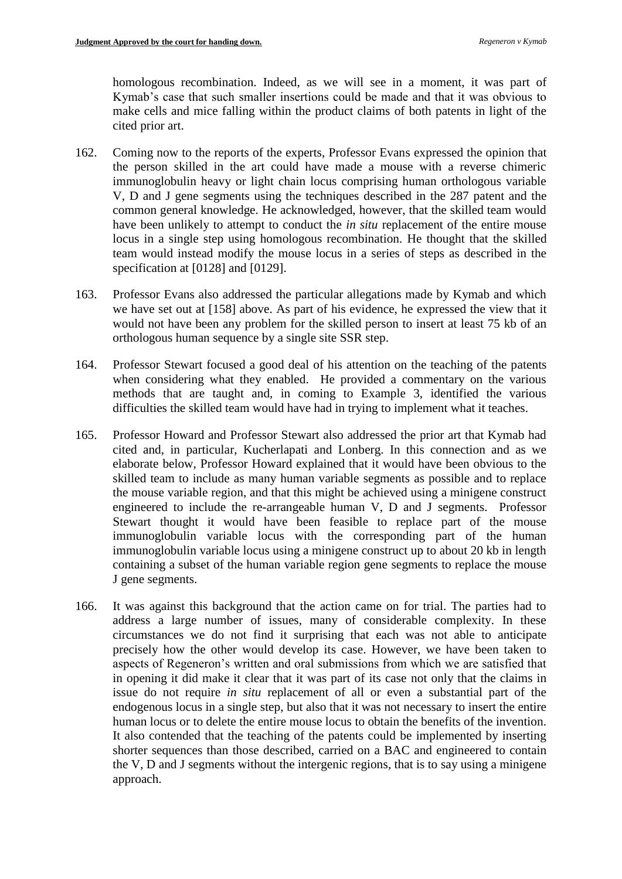homologous recombination. Indeed, as we will see in a moment, it was part of Kymab's case that such smaller insertions could be made and that it was obvious to make cells and mice falling within the product claims of both patents in light of the cited prior art.

- 162. Coming now to the reports of the experts, Professor Evans expressed the opinion that the person skilled in the art could have made a mouse with a reverse chimeric immunoglobulin heavy or light chain locus comprising human orthologous variable V, D and J gene segments using the techniques described in the 287 patent and the common general knowledge. He acknowledged, however, that the skilled team would have been unlikely to attempt to conduct the *in situ* replacement of the entire mouse locus in a single step using homologous recombination. He thought that the skilled team would instead modify the mouse locus in a series of steps as described in the specification at [0128] and [0129].
- 163. Professor Evans also addressed the particular allegations made by Kymab and which we have set out at [158] above. As part of his evidence, he expressed the view that it would not have been any problem for the skilled person to insert at least 75 kb of an orthologous human sequence by a single site SSR step.
- 164. Professor Stewart focused a good deal of his attention on the teaching of the patents when considering what they enabled. He provided a commentary on the various methods that are taught and, in coming to Example 3, identified the various difficulties the skilled team would have had in trying to implement what it teaches.
- 165. Professor Howard and Professor Stewart also addressed the prior art that Kymab had cited and, in particular, Kucherlapati and Lonberg. In this connection and as we elaborate below, Professor Howard explained that it would have been obvious to the skilled team to include as many human variable segments as possible and to replace the mouse variable region, and that this might be achieved using a minigene construct engineered to include the re-arrangeable human V, D and J segments. Professor Stewart thought it would have been feasible to replace part of the mouse immunoglobulin variable locus with the corresponding part of the human immunoglobulin variable locus using a minigene construct up to about 20 kb in length containing a subset of the human variable region gene segments to replace the mouse J gene segments.
- 166. It was against this background that the action came on for trial. The parties had to address a large number of issues, many of considerable complexity. In these circumstances we do not find it surprising that each was not able to anticipate precisely how the other would develop its case. However, we have been taken to aspects of Regeneron's written and oral submissions from which we are satisfied that in opening it did make it clear that it was part of its case not only that the claims in issue do not require *in situ* replacement of all or even a substantial part of the endogenous locus in a single step, but also that it was not necessary to insert the entire human locus or to delete the entire mouse locus to obtain the benefits of the invention. It also contended that the teaching of the patents could be implemented by inserting shorter sequences than those described, carried on a BAC and engineered to contain the V, D and J segments without the intergenic regions, that is to say using a minigene approach.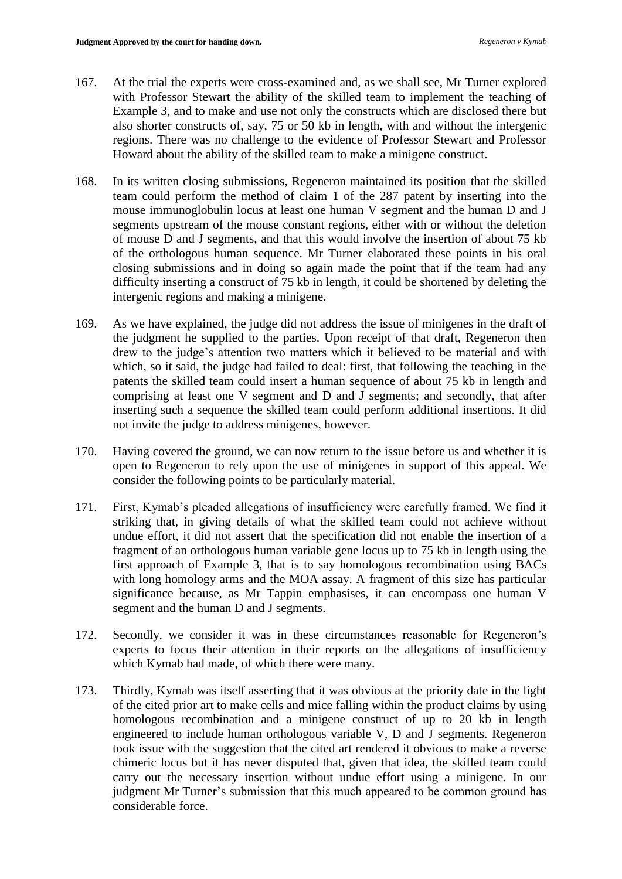- 167. At the trial the experts were cross-examined and, as we shall see, Mr Turner explored with Professor Stewart the ability of the skilled team to implement the teaching of Example 3, and to make and use not only the constructs which are disclosed there but also shorter constructs of, say, 75 or 50 kb in length, with and without the intergenic regions. There was no challenge to the evidence of Professor Stewart and Professor Howard about the ability of the skilled team to make a minigene construct.
- 168. In its written closing submissions, Regeneron maintained its position that the skilled team could perform the method of claim 1 of the 287 patent by inserting into the mouse immunoglobulin locus at least one human V segment and the human D and J segments upstream of the mouse constant regions, either with or without the deletion of mouse D and J segments, and that this would involve the insertion of about 75 kb of the orthologous human sequence. Mr Turner elaborated these points in his oral closing submissions and in doing so again made the point that if the team had any difficulty inserting a construct of 75 kb in length, it could be shortened by deleting the intergenic regions and making a minigene.
- 169. As we have explained, the judge did not address the issue of minigenes in the draft of the judgment he supplied to the parties. Upon receipt of that draft, Regeneron then drew to the judge's attention two matters which it believed to be material and with which, so it said, the judge had failed to deal: first, that following the teaching in the patents the skilled team could insert a human sequence of about 75 kb in length and comprising at least one V segment and D and J segments; and secondly, that after inserting such a sequence the skilled team could perform additional insertions. It did not invite the judge to address minigenes, however.
- 170. Having covered the ground, we can now return to the issue before us and whether it is open to Regeneron to rely upon the use of minigenes in support of this appeal. We consider the following points to be particularly material.
- 171. First, Kymab's pleaded allegations of insufficiency were carefully framed. We find it striking that, in giving details of what the skilled team could not achieve without undue effort, it did not assert that the specification did not enable the insertion of a fragment of an orthologous human variable gene locus up to 75 kb in length using the first approach of Example 3, that is to say homologous recombination using BACs with long homology arms and the MOA assay. A fragment of this size has particular significance because, as Mr Tappin emphasises, it can encompass one human V segment and the human D and J segments.
- 172. Secondly, we consider it was in these circumstances reasonable for Regeneron's experts to focus their attention in their reports on the allegations of insufficiency which Kymab had made, of which there were many.
- 173. Thirdly, Kymab was itself asserting that it was obvious at the priority date in the light of the cited prior art to make cells and mice falling within the product claims by using homologous recombination and a minigene construct of up to 20 kb in length engineered to include human orthologous variable V, D and J segments. Regeneron took issue with the suggestion that the cited art rendered it obvious to make a reverse chimeric locus but it has never disputed that, given that idea, the skilled team could carry out the necessary insertion without undue effort using a minigene. In our judgment Mr Turner's submission that this much appeared to be common ground has considerable force.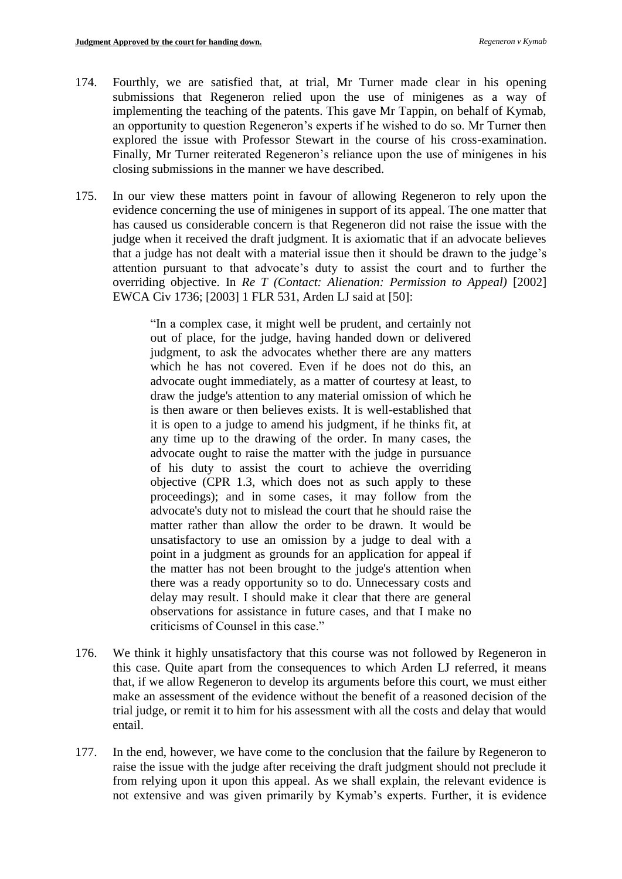- 174. Fourthly, we are satisfied that, at trial, Mr Turner made clear in his opening submissions that Regeneron relied upon the use of minigenes as a way of implementing the teaching of the patents. This gave Mr Tappin, on behalf of Kymab, an opportunity to question Regeneron's experts if he wished to do so. Mr Turner then explored the issue with Professor Stewart in the course of his cross-examination. Finally, Mr Turner reiterated Regeneron's reliance upon the use of minigenes in his closing submissions in the manner we have described.
- 175. In our view these matters point in favour of allowing Regeneron to rely upon the evidence concerning the use of minigenes in support of its appeal. The one matter that has caused us considerable concern is that Regeneron did not raise the issue with the judge when it received the draft judgment. It is axiomatic that if an advocate believes that a judge has not dealt with a material issue then it should be drawn to the judge's attention pursuant to that advocate's duty to assist the court and to further the overriding objective. In *Re T (Contact: Alienation: Permission to Appeal)* [2002] EWCA Civ 1736; [2003] 1 FLR 531, Arden LJ said at [50]:

"In a complex case, it might well be prudent, and certainly not out of place, for the judge, having handed down or delivered judgment, to ask the advocates whether there are any matters which he has not covered. Even if he does not do this, an advocate ought immediately, as a matter of courtesy at least, to draw the judge's attention to any material omission of which he is then aware or then believes exists. It is well-established that it is open to a judge to amend his judgment, if he thinks fit, at any time up to the drawing of the order. In many cases, the advocate ought to raise the matter with the judge in pursuance of his duty to assist the court to achieve the overriding objective (CPR 1.3, which does not as such apply to these proceedings); and in some cases, it may follow from the advocate's duty not to mislead the court that he should raise the matter rather than allow the order to be drawn. It would be unsatisfactory to use an omission by a judge to deal with a point in a judgment as grounds for an application for appeal if the matter has not been brought to the judge's attention when there was a ready opportunity so to do. Unnecessary costs and delay may result. I should make it clear that there are general observations for assistance in future cases, and that I make no criticisms of Counsel in this case."

- 176. We think it highly unsatisfactory that this course was not followed by Regeneron in this case. Quite apart from the consequences to which Arden LJ referred, it means that, if we allow Regeneron to develop its arguments before this court, we must either make an assessment of the evidence without the benefit of a reasoned decision of the trial judge, or remit it to him for his assessment with all the costs and delay that would entail.
- 177. In the end, however, we have come to the conclusion that the failure by Regeneron to raise the issue with the judge after receiving the draft judgment should not preclude it from relying upon it upon this appeal. As we shall explain, the relevant evidence is not extensive and was given primarily by Kymab's experts. Further, it is evidence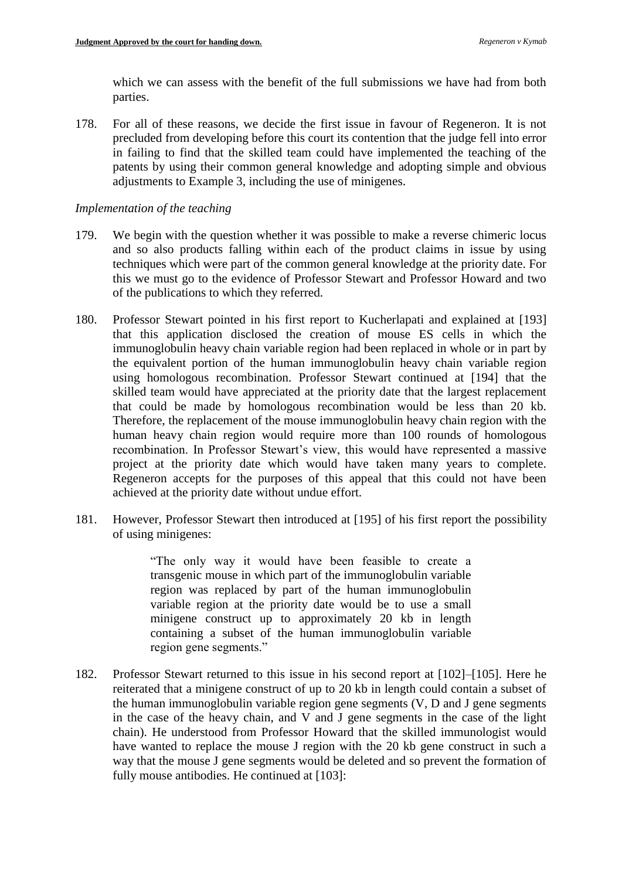which we can assess with the benefit of the full submissions we have had from both parties.

178. For all of these reasons, we decide the first issue in favour of Regeneron. It is not precluded from developing before this court its contention that the judge fell into error in failing to find that the skilled team could have implemented the teaching of the patents by using their common general knowledge and adopting simple and obvious adjustments to Example 3, including the use of minigenes.

#### *Implementation of the teaching*

- 179. We begin with the question whether it was possible to make a reverse chimeric locus and so also products falling within each of the product claims in issue by using techniques which were part of the common general knowledge at the priority date. For this we must go to the evidence of Professor Stewart and Professor Howard and two of the publications to which they referred.
- 180. Professor Stewart pointed in his first report to Kucherlapati and explained at [193] that this application disclosed the creation of mouse ES cells in which the immunoglobulin heavy chain variable region had been replaced in whole or in part by the equivalent portion of the human immunoglobulin heavy chain variable region using homologous recombination. Professor Stewart continued at [194] that the skilled team would have appreciated at the priority date that the largest replacement that could be made by homologous recombination would be less than 20 kb. Therefore, the replacement of the mouse immunoglobulin heavy chain region with the human heavy chain region would require more than 100 rounds of homologous recombination. In Professor Stewart's view, this would have represented a massive project at the priority date which would have taken many years to complete. Regeneron accepts for the purposes of this appeal that this could not have been achieved at the priority date without undue effort.
- 181. However, Professor Stewart then introduced at [195] of his first report the possibility of using minigenes:

"The only way it would have been feasible to create a transgenic mouse in which part of the immunoglobulin variable region was replaced by part of the human immunoglobulin variable region at the priority date would be to use a small minigene construct up to approximately 20 kb in length containing a subset of the human immunoglobulin variable region gene segments."

182. Professor Stewart returned to this issue in his second report at [102]–[105]. Here he reiterated that a minigene construct of up to 20 kb in length could contain a subset of the human immunoglobulin variable region gene segments (V, D and J gene segments in the case of the heavy chain, and V and J gene segments in the case of the light chain). He understood from Professor Howard that the skilled immunologist would have wanted to replace the mouse J region with the 20 kb gene construct in such a way that the mouse J gene segments would be deleted and so prevent the formation of fully mouse antibodies. He continued at [103]: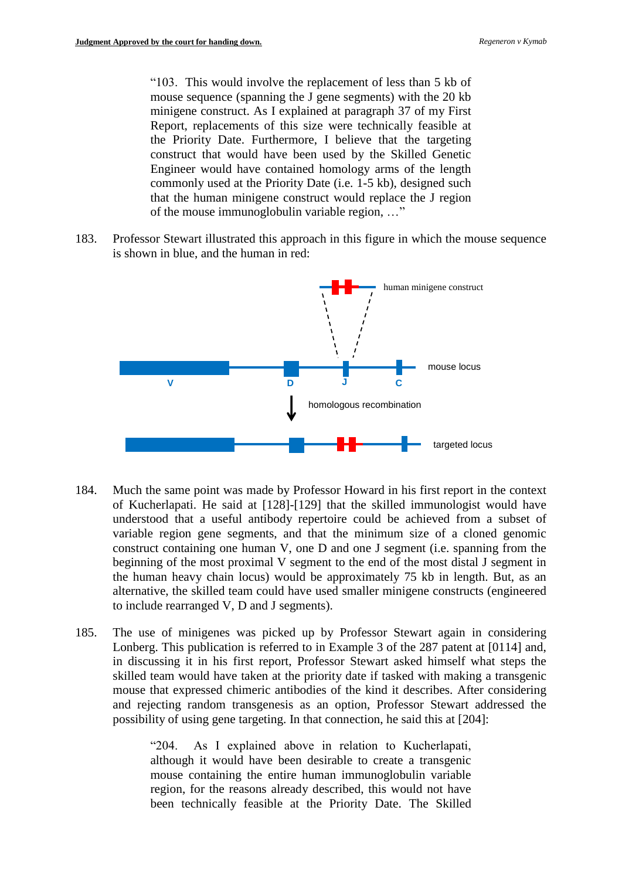"103. This would involve the replacement of less than 5 kb of mouse sequence (spanning the J gene segments) with the 20 kb minigene construct. As I explained at paragraph 37 of my First Report, replacements of this size were technically feasible at the Priority Date. Furthermore, I believe that the targeting construct that would have been used by the Skilled Genetic Engineer would have contained homology arms of the length commonly used at the Priority Date (i.e. 1-5 kb), designed such that the human minigene construct would replace the J region of the mouse immunoglobulin variable region, …"

183. Professor Stewart illustrated this approach in this figure in which the mouse sequence is shown in blue, and the human in red:



- 184. Much the same point was made by Professor Howard in his first report in the context of Kucherlapati. He said at [128]-[129] that the skilled immunologist would have understood that a useful antibody repertoire could be achieved from a subset of variable region gene segments, and that the minimum size of a cloned genomic construct containing one human V, one D and one J segment (i.e. spanning from the beginning of the most proximal V segment to the end of the most distal J segment in the human heavy chain locus) would be approximately 75 kb in length. But, as an alternative, the skilled team could have used smaller minigene constructs (engineered to include rearranged V, D and J segments).
- 185. The use of minigenes was picked up by Professor Stewart again in considering Lonberg. This publication is referred to in Example 3 of the 287 patent at [0114] and, in discussing it in his first report, Professor Stewart asked himself what steps the skilled team would have taken at the priority date if tasked with making a transgenic mouse that expressed chimeric antibodies of the kind it describes. After considering and rejecting random transgenesis as an option, Professor Stewart addressed the possibility of using gene targeting. In that connection, he said this at [204]:

"204. As I explained above in relation to Kucherlapati, although it would have been desirable to create a transgenic mouse containing the entire human immunoglobulin variable region, for the reasons already described, this would not have been technically feasible at the Priority Date. The Skilled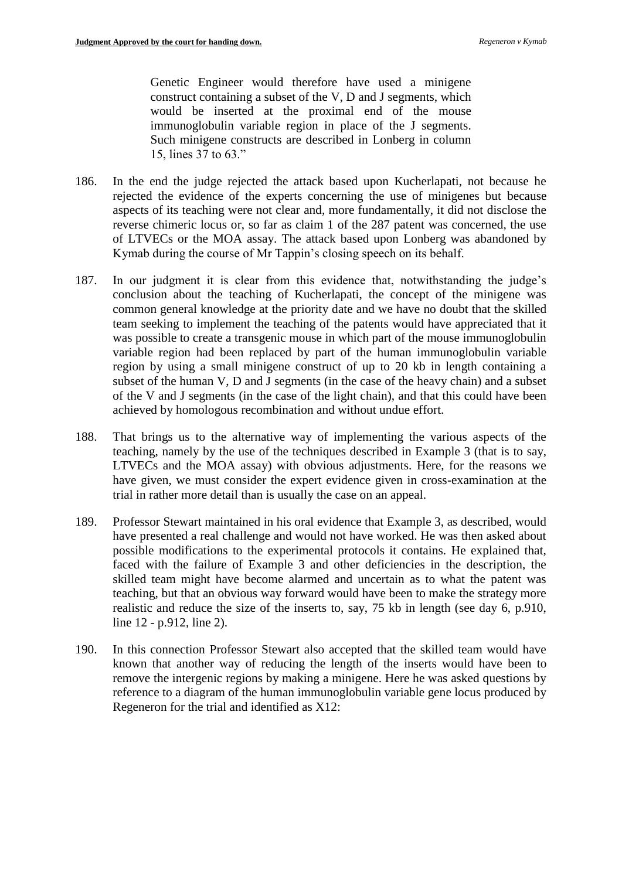Genetic Engineer would therefore have used a minigene construct containing a subset of the V, D and J segments, which would be inserted at the proximal end of the mouse immunoglobulin variable region in place of the J segments. Such minigene constructs are described in Lonberg in column 15, lines 37 to 63."

- 186. In the end the judge rejected the attack based upon Kucherlapati, not because he rejected the evidence of the experts concerning the use of minigenes but because aspects of its teaching were not clear and, more fundamentally, it did not disclose the reverse chimeric locus or, so far as claim 1 of the 287 patent was concerned, the use of LTVECs or the MOA assay. The attack based upon Lonberg was abandoned by Kymab during the course of Mr Tappin's closing speech on its behalf.
- 187. In our judgment it is clear from this evidence that, notwithstanding the judge's conclusion about the teaching of Kucherlapati, the concept of the minigene was common general knowledge at the priority date and we have no doubt that the skilled team seeking to implement the teaching of the patents would have appreciated that it was possible to create a transgenic mouse in which part of the mouse immunoglobulin variable region had been replaced by part of the human immunoglobulin variable region by using a small minigene construct of up to 20 kb in length containing a subset of the human V, D and J segments (in the case of the heavy chain) and a subset of the V and J segments (in the case of the light chain), and that this could have been achieved by homologous recombination and without undue effort.
- 188. That brings us to the alternative way of implementing the various aspects of the teaching, namely by the use of the techniques described in Example 3 (that is to say, LTVECs and the MOA assay) with obvious adjustments. Here, for the reasons we have given, we must consider the expert evidence given in cross-examination at the trial in rather more detail than is usually the case on an appeal.
- 189. Professor Stewart maintained in his oral evidence that Example 3, as described, would have presented a real challenge and would not have worked. He was then asked about possible modifications to the experimental protocols it contains. He explained that, faced with the failure of Example 3 and other deficiencies in the description, the skilled team might have become alarmed and uncertain as to what the patent was teaching, but that an obvious way forward would have been to make the strategy more realistic and reduce the size of the inserts to, say, 75 kb in length (see day 6, p.910, line 12 - p.912, line 2).
- 190. In this connection Professor Stewart also accepted that the skilled team would have known that another way of reducing the length of the inserts would have been to remove the intergenic regions by making a minigene. Here he was asked questions by reference to a diagram of the human immunoglobulin variable gene locus produced by Regeneron for the trial and identified as X12: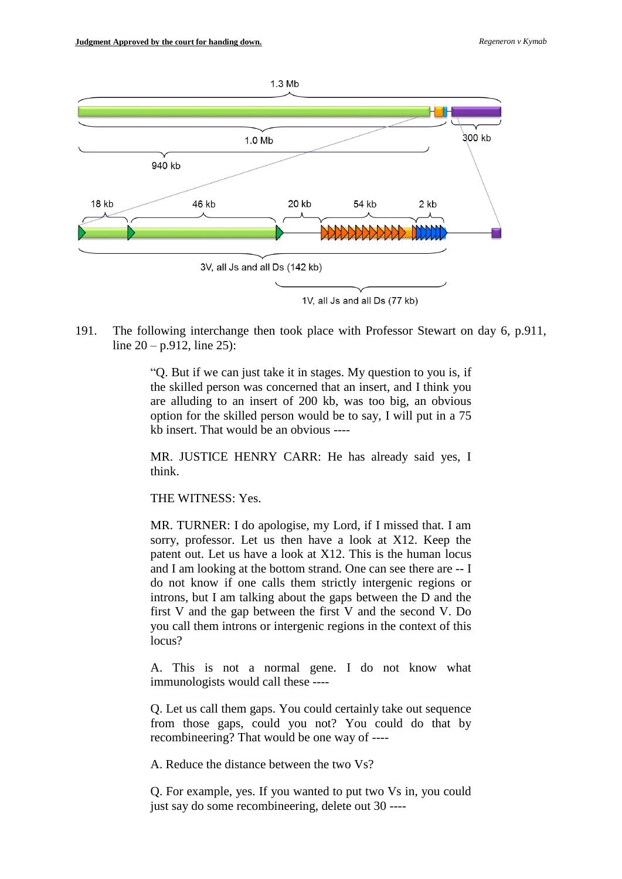

191. The following interchange then took place with Professor Stewart on day 6, p.911, line  $20 - p.912$ , line  $25$ ):

> "Q. But if we can just take it in stages. My question to you is, if the skilled person was concerned that an insert, and I think you are alluding to an insert of 200 kb, was too big, an obvious option for the skilled person would be to say, I will put in a 75 kb insert. That would be an obvious ----

> MR. JUSTICE HENRY CARR: He has already said yes, I think.

THE WITNESS: Yes.

MR. TURNER: I do apologise, my Lord, if I missed that. I am sorry, professor. Let us then have a look at X12. Keep the patent out. Let us have a look at X12. This is the human locus and I am looking at the bottom strand. One can see there are -- I do not know if one calls them strictly intergenic regions or introns, but I am talking about the gaps between the D and the first V and the gap between the first V and the second V. Do you call them introns or intergenic regions in the context of this locus?

A. This is not a normal gene. I do not know what immunologists would call these ----

Q. Let us call them gaps. You could certainly take out sequence from those gaps, could you not? You could do that by recombineering? That would be one way of ----

A. Reduce the distance between the two Vs?

Q. For example, yes. If you wanted to put two Vs in, you could just say do some recombineering, delete out 30 ----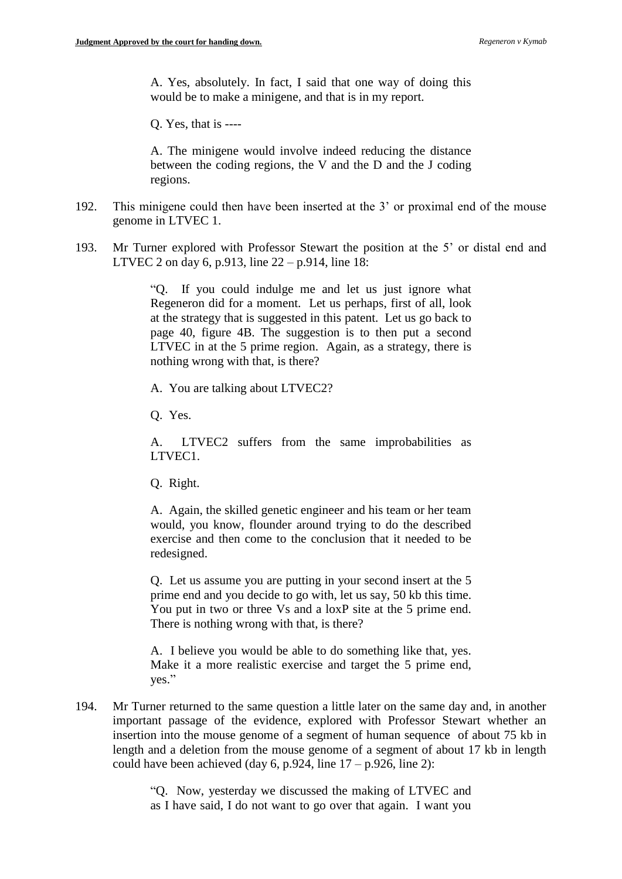A. Yes, absolutely. In fact, I said that one way of doing this would be to make a minigene, and that is in my report.

Q. Yes, that is ----

A. The minigene would involve indeed reducing the distance between the coding regions, the V and the D and the J coding regions.

- 192. This minigene could then have been inserted at the 3' or proximal end of the mouse genome in LTVEC 1.
- 193. Mr Turner explored with Professor Stewart the position at the 5' or distal end and LTVEC 2 on day 6, p.913, line 22 – p.914, line 18:

"Q. If you could indulge me and let us just ignore what Regeneron did for a moment. Let us perhaps, first of all, look at the strategy that is suggested in this patent. Let us go back to page 40, figure 4B. The suggestion is to then put a second LTVEC in at the 5 prime region. Again, as a strategy, there is nothing wrong with that, is there?

A. You are talking about LTVEC2?

Q. Yes.

A. LTVEC2 suffers from the same improbabilities as LTVEC1.

Q. Right.

A. Again, the skilled genetic engineer and his team or her team would, you know, flounder around trying to do the described exercise and then come to the conclusion that it needed to be redesigned.

Q. Let us assume you are putting in your second insert at the 5 prime end and you decide to go with, let us say, 50 kb this time. You put in two or three Vs and a loxP site at the 5 prime end. There is nothing wrong with that, is there?

A. I believe you would be able to do something like that, yes. Make it a more realistic exercise and target the 5 prime end, yes."

194. Mr Turner returned to the same question a little later on the same day and, in another important passage of the evidence, explored with Professor Stewart whether an insertion into the mouse genome of a segment of human sequence of about 75 kb in length and a deletion from the mouse genome of a segment of about 17 kb in length could have been achieved (day 6, p.924, line  $17 - p.926$ , line 2):

> "Q. Now, yesterday we discussed the making of LTVEC and as I have said, I do not want to go over that again. I want you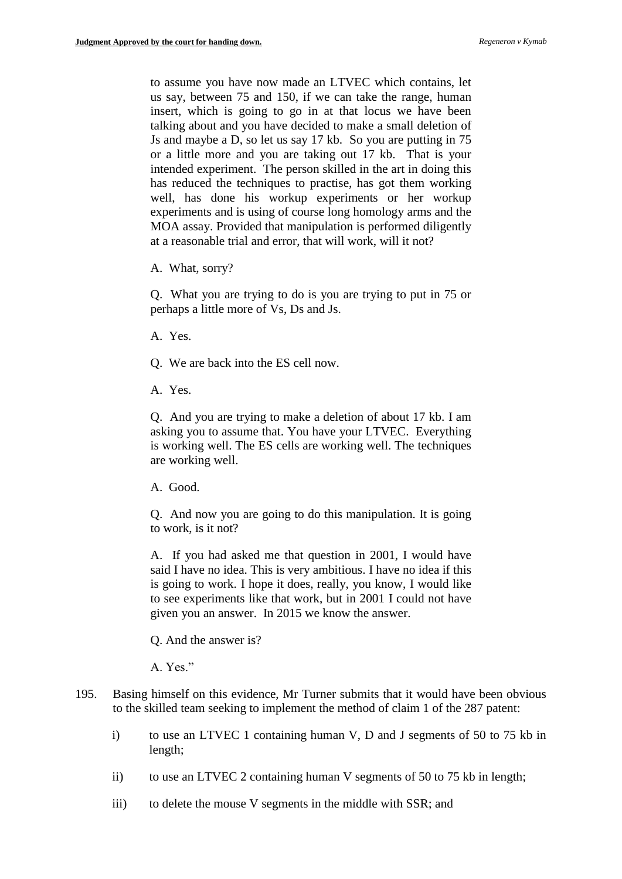to assume you have now made an LTVEC which contains, let us say, between 75 and 150, if we can take the range, human insert, which is going to go in at that locus we have been talking about and you have decided to make a small deletion of Js and maybe a D, so let us say 17 kb. So you are putting in 75 or a little more and you are taking out 17 kb. That is your intended experiment. The person skilled in the art in doing this has reduced the techniques to practise, has got them working well, has done his workup experiments or her workup experiments and is using of course long homology arms and the MOA assay. Provided that manipulation is performed diligently at a reasonable trial and error, that will work, will it not?

A. What, sorry?

Q. What you are trying to do is you are trying to put in 75 or perhaps a little more of Vs, Ds and Js.

- A. Yes.
- Q. We are back into the ES cell now.
- A. Yes.

Q. And you are trying to make a deletion of about 17 kb. I am asking you to assume that. You have your LTVEC. Everything is working well. The ES cells are working well. The techniques are working well.

A. Good.

Q. And now you are going to do this manipulation. It is going to work, is it not?

A. If you had asked me that question in 2001, I would have said I have no idea. This is very ambitious. I have no idea if this is going to work. I hope it does, really, you know, I would like to see experiments like that work, but in 2001 I could not have given you an answer. In 2015 we know the answer.

Q. And the answer is?

A. Yes."

- 195. Basing himself on this evidence, Mr Turner submits that it would have been obvious to the skilled team seeking to implement the method of claim 1 of the 287 patent:
	- i) to use an LTVEC 1 containing human V, D and J segments of 50 to 75 kb in length;
	- ii) to use an LTVEC 2 containing human V segments of 50 to 75 kb in length;
	- iii) to delete the mouse V segments in the middle with SSR; and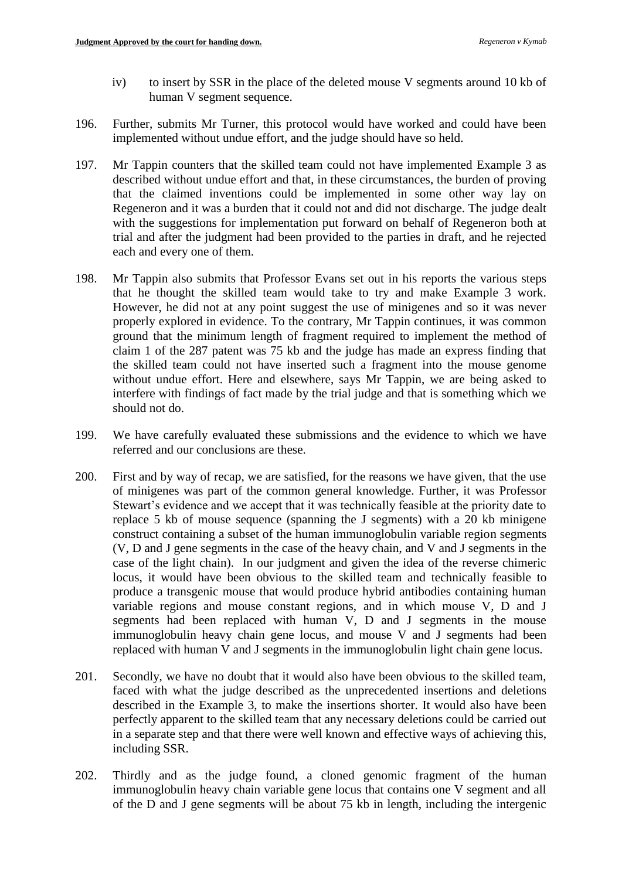- iv) to insert by SSR in the place of the deleted mouse V segments around 10 kb of human V segment sequence.
- 196. Further, submits Mr Turner, this protocol would have worked and could have been implemented without undue effort, and the judge should have so held.
- 197. Mr Tappin counters that the skilled team could not have implemented Example 3 as described without undue effort and that, in these circumstances, the burden of proving that the claimed inventions could be implemented in some other way lay on Regeneron and it was a burden that it could not and did not discharge. The judge dealt with the suggestions for implementation put forward on behalf of Regeneron both at trial and after the judgment had been provided to the parties in draft, and he rejected each and every one of them.
- 198. Mr Tappin also submits that Professor Evans set out in his reports the various steps that he thought the skilled team would take to try and make Example 3 work. However, he did not at any point suggest the use of minigenes and so it was never properly explored in evidence. To the contrary, Mr Tappin continues, it was common ground that the minimum length of fragment required to implement the method of claim 1 of the 287 patent was 75 kb and the judge has made an express finding that the skilled team could not have inserted such a fragment into the mouse genome without undue effort. Here and elsewhere, says Mr Tappin, we are being asked to interfere with findings of fact made by the trial judge and that is something which we should not do.
- 199. We have carefully evaluated these submissions and the evidence to which we have referred and our conclusions are these.
- 200. First and by way of recap, we are satisfied, for the reasons we have given, that the use of minigenes was part of the common general knowledge. Further, it was Professor Stewart's evidence and we accept that it was technically feasible at the priority date to replace 5 kb of mouse sequence (spanning the J segments) with a 20 kb minigene construct containing a subset of the human immunoglobulin variable region segments (V, D and J gene segments in the case of the heavy chain, and V and J segments in the case of the light chain). In our judgment and given the idea of the reverse chimeric locus, it would have been obvious to the skilled team and technically feasible to produce a transgenic mouse that would produce hybrid antibodies containing human variable regions and mouse constant regions, and in which mouse V, D and J segments had been replaced with human V, D and J segments in the mouse immunoglobulin heavy chain gene locus, and mouse V and J segments had been replaced with human V and J segments in the immunoglobulin light chain gene locus.
- 201. Secondly, we have no doubt that it would also have been obvious to the skilled team, faced with what the judge described as the unprecedented insertions and deletions described in the Example 3, to make the insertions shorter. It would also have been perfectly apparent to the skilled team that any necessary deletions could be carried out in a separate step and that there were well known and effective ways of achieving this, including SSR.
- 202. Thirdly and as the judge found, a cloned genomic fragment of the human immunoglobulin heavy chain variable gene locus that contains one V segment and all of the D and J gene segments will be about 75 kb in length, including the intergenic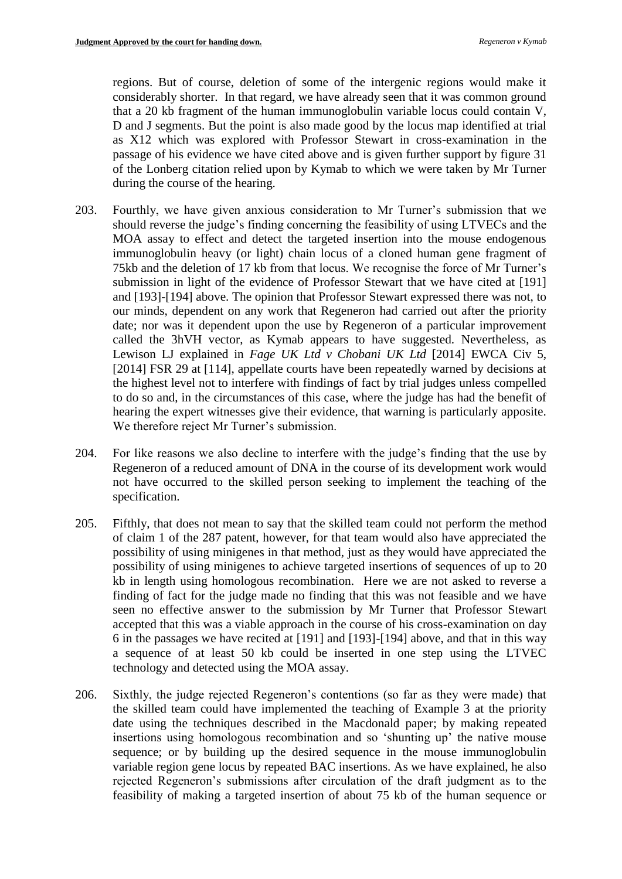regions. But of course, deletion of some of the intergenic regions would make it considerably shorter. In that regard, we have already seen that it was common ground that a 20 kb fragment of the human immunoglobulin variable locus could contain V, D and J segments. But the point is also made good by the locus map identified at trial as X12 which was explored with Professor Stewart in cross-examination in the passage of his evidence we have cited above and is given further support by figure 31 of the Lonberg citation relied upon by Kymab to which we were taken by Mr Turner during the course of the hearing.

- 203. Fourthly, we have given anxious consideration to Mr Turner's submission that we should reverse the judge's finding concerning the feasibility of using LTVECs and the MOA assay to effect and detect the targeted insertion into the mouse endogenous immunoglobulin heavy (or light) chain locus of a cloned human gene fragment of 75kb and the deletion of 17 kb from that locus. We recognise the force of Mr Turner's submission in light of the evidence of Professor Stewart that we have cited at [191] and [193]-[194] above. The opinion that Professor Stewart expressed there was not, to our minds, dependent on any work that Regeneron had carried out after the priority date; nor was it dependent upon the use by Regeneron of a particular improvement called the 3hVH vector, as Kymab appears to have suggested. Nevertheless, as Lewison LJ explained in *Fage UK Ltd v Chobani UK Ltd* [2014] EWCA Civ 5, [2014] FSR 29 at [114], appellate courts have been repeatedly warned by decisions at the highest level not to interfere with findings of fact by trial judges unless compelled to do so and, in the circumstances of this case, where the judge has had the benefit of hearing the expert witnesses give their evidence, that warning is particularly apposite. We therefore reject Mr Turner's submission.
- 204. For like reasons we also decline to interfere with the judge's finding that the use by Regeneron of a reduced amount of DNA in the course of its development work would not have occurred to the skilled person seeking to implement the teaching of the specification.
- 205. Fifthly, that does not mean to say that the skilled team could not perform the method of claim 1 of the 287 patent, however, for that team would also have appreciated the possibility of using minigenes in that method, just as they would have appreciated the possibility of using minigenes to achieve targeted insertions of sequences of up to 20 kb in length using homologous recombination. Here we are not asked to reverse a finding of fact for the judge made no finding that this was not feasible and we have seen no effective answer to the submission by Mr Turner that Professor Stewart accepted that this was a viable approach in the course of his cross-examination on day 6 in the passages we have recited at [191] and [193]-[194] above, and that in this way a sequence of at least 50 kb could be inserted in one step using the LTVEC technology and detected using the MOA assay.
- 206. Sixthly, the judge rejected Regeneron's contentions (so far as they were made) that the skilled team could have implemented the teaching of Example 3 at the priority date using the techniques described in the Macdonald paper; by making repeated insertions using homologous recombination and so 'shunting up' the native mouse sequence; or by building up the desired sequence in the mouse immunoglobulin variable region gene locus by repeated BAC insertions. As we have explained, he also rejected Regeneron's submissions after circulation of the draft judgment as to the feasibility of making a targeted insertion of about 75 kb of the human sequence or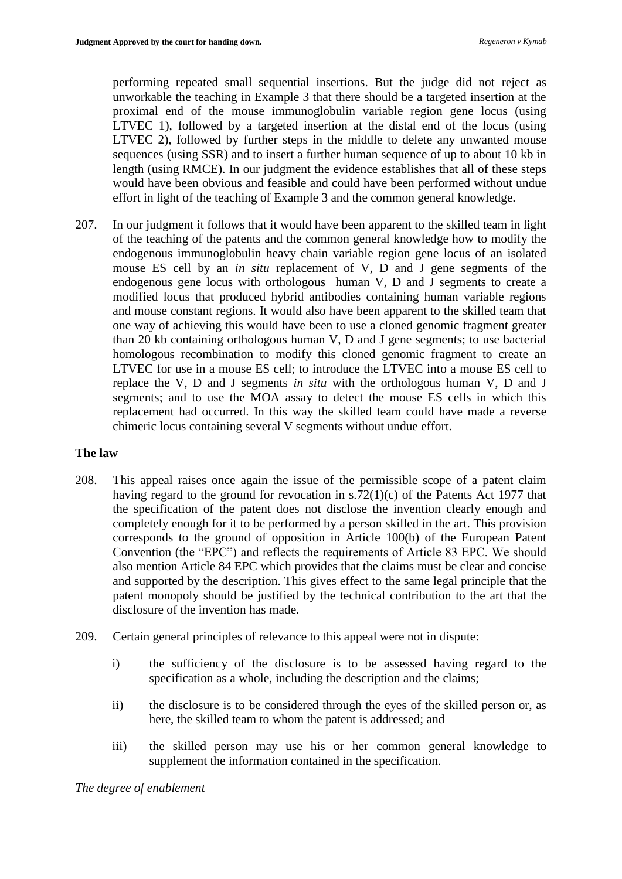performing repeated small sequential insertions. But the judge did not reject as unworkable the teaching in Example 3 that there should be a targeted insertion at the proximal end of the mouse immunoglobulin variable region gene locus (using LTVEC 1), followed by a targeted insertion at the distal end of the locus (using LTVEC 2), followed by further steps in the middle to delete any unwanted mouse sequences (using SSR) and to insert a further human sequence of up to about 10 kb in length (using RMCE). In our judgment the evidence establishes that all of these steps would have been obvious and feasible and could have been performed without undue effort in light of the teaching of Example 3 and the common general knowledge.

207. In our judgment it follows that it would have been apparent to the skilled team in light of the teaching of the patents and the common general knowledge how to modify the endogenous immunoglobulin heavy chain variable region gene locus of an isolated mouse ES cell by an *in situ* replacement of V, D and J gene segments of the endogenous gene locus with orthologous human V, D and J segments to create a modified locus that produced hybrid antibodies containing human variable regions and mouse constant regions. It would also have been apparent to the skilled team that one way of achieving this would have been to use a cloned genomic fragment greater than 20 kb containing orthologous human V, D and J gene segments; to use bacterial homologous recombination to modify this cloned genomic fragment to create an LTVEC for use in a mouse ES cell; to introduce the LTVEC into a mouse ES cell to replace the V, D and J segments *in situ* with the orthologous human V, D and J segments; and to use the MOA assay to detect the mouse ES cells in which this replacement had occurred. In this way the skilled team could have made a reverse chimeric locus containing several V segments without undue effort.

### **The law**

- 208. This appeal raises once again the issue of the permissible scope of a patent claim having regard to the ground for revocation in s.72(1)(c) of the Patents Act 1977 that the specification of the patent does not disclose the invention clearly enough and completely enough for it to be performed by a person skilled in the art. This provision corresponds to the ground of opposition in Article 100(b) of the European Patent Convention (the "EPC") and reflects the requirements of Article 83 EPC. We should also mention Article 84 EPC which provides that the claims must be clear and concise and supported by the description. This gives effect to the same legal principle that the patent monopoly should be justified by the technical contribution to the art that the disclosure of the invention has made.
- 209. Certain general principles of relevance to this appeal were not in dispute:
	- i) the sufficiency of the disclosure is to be assessed having regard to the specification as a whole, including the description and the claims;
	- ii) the disclosure is to be considered through the eyes of the skilled person or, as here, the skilled team to whom the patent is addressed; and
	- iii) the skilled person may use his or her common general knowledge to supplement the information contained in the specification.

*The degree of enablement*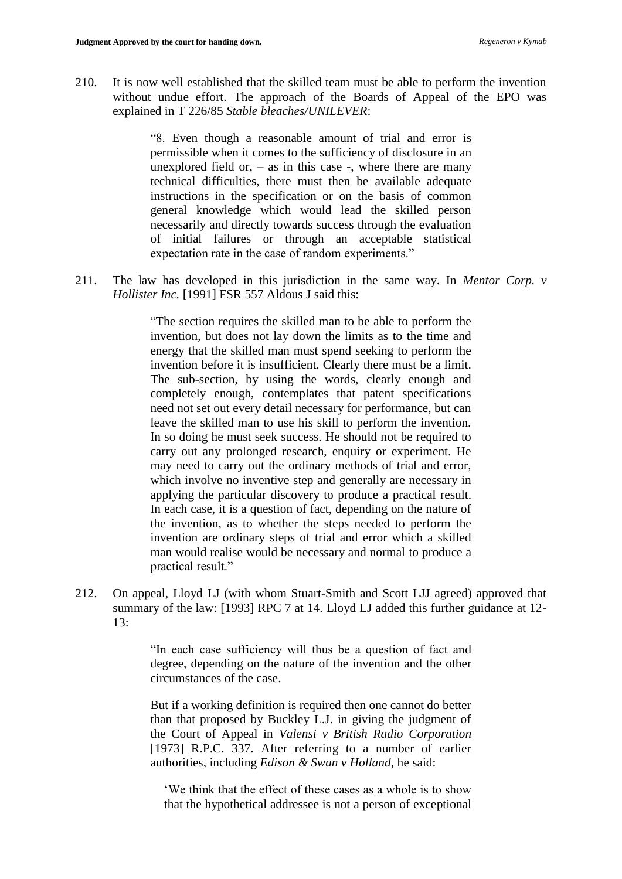210. It is now well established that the skilled team must be able to perform the invention without undue effort. The approach of the Boards of Appeal of the EPO was explained in T 226/85 *Stable bleaches/UNILEVER*:

> "8. Even though a reasonable amount of trial and error is permissible when it comes to the sufficiency of disclosure in an unexplored field or,  $-$  as in this case  $-$ , where there are many technical difficulties, there must then be available adequate instructions in the specification or on the basis of common general knowledge which would lead the skilled person necessarily and directly towards success through the evaluation of initial failures or through an acceptable statistical expectation rate in the case of random experiments."

211. The law has developed in this jurisdiction in the same way. In *Mentor Corp. v Hollister Inc.* [1991] FSR 557 Aldous J said this:

> "The section requires the skilled man to be able to perform the invention, but does not lay down the limits as to the time and energy that the skilled man must spend seeking to perform the invention before it is insufficient. Clearly there must be a limit. The sub-section, by using the words, clearly enough and completely enough, contemplates that patent specifications need not set out every detail necessary for performance, but can leave the skilled man to use his skill to perform the invention. In so doing he must seek success. He should not be required to carry out any prolonged research, enquiry or experiment. He may need to carry out the ordinary methods of trial and error, which involve no inventive step and generally are necessary in applying the particular discovery to produce a practical result. In each case, it is a question of fact, depending on the nature of the invention, as to whether the steps needed to perform the invention are ordinary steps of trial and error which a skilled man would realise would be necessary and normal to produce a practical result."

212. On appeal, Lloyd LJ (with whom Stuart-Smith and Scott LJJ agreed) approved that summary of the law: [1993] RPC 7 at 14. Lloyd LJ added this further guidance at 12- 13:

> "In each case sufficiency will thus be a question of fact and degree, depending on the nature of the invention and the other circumstances of the case.

> But if a working definition is required then one cannot do better than that proposed by Buckley L.J. in giving the judgment of the Court of Appeal in *Valensi v British Radio Corporation* [1973] R.P.C. 337. After referring to a number of earlier authorities, including *Edison & Swan v Holland*, he said:

'We think that the effect of these cases as a whole is to show that the hypothetical addressee is not a person of exceptional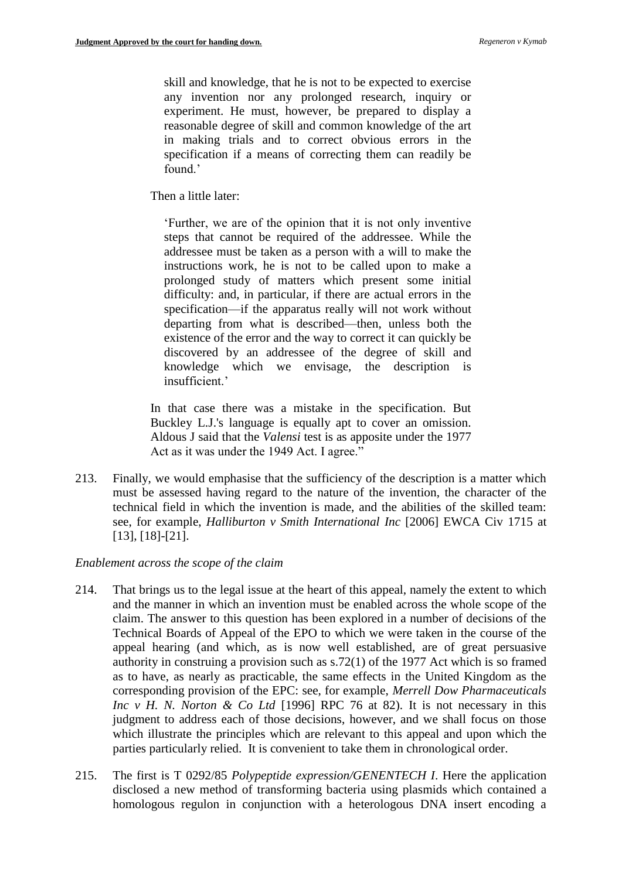skill and knowledge, that he is not to be expected to exercise any invention nor any prolonged research, inquiry or experiment. He must, however, be prepared to display a reasonable degree of skill and common knowledge of the art in making trials and to correct obvious errors in the specification if a means of correcting them can readily be found.'

Then a little later:

'Further, we are of the opinion that it is not only inventive steps that cannot be required of the addressee. While the addressee must be taken as a person with a will to make the instructions work, he is not to be called upon to make a prolonged study of matters which present some initial difficulty: and, in particular, if there are actual errors in the specification—if the apparatus really will not work without departing from what is described—then, unless both the existence of the error and the way to correct it can quickly be discovered by an addressee of the degree of skill and knowledge which we envisage, the description is insufficient<sup>'</sup>

In that case there was a mistake in the specification. But Buckley L.J.'s language is equally apt to cover an omission. Aldous J said that the *Valensi* test is as apposite under the 1977 Act as it was under the 1949 Act. I agree."

213. Finally, we would emphasise that the sufficiency of the description is a matter which must be assessed having regard to the nature of the invention, the character of the technical field in which the invention is made, and the abilities of the skilled team: see, for example, *Halliburton v Smith International Inc* [2006] EWCA Civ 1715 at [13], [18]-[21].

#### *Enablement across the scope of the claim*

- 214. That brings us to the legal issue at the heart of this appeal, namely the extent to which and the manner in which an invention must be enabled across the whole scope of the claim. The answer to this question has been explored in a number of decisions of the Technical Boards of Appeal of the EPO to which we were taken in the course of the appeal hearing (and which, as is now well established, are of great persuasive authority in construing a provision such as s.72(1) of the 1977 Act which is so framed as to have, as nearly as practicable, the same effects in the United Kingdom as the corresponding provision of the EPC: see, for example, *Merrell Dow Pharmaceuticals Inc v H. N. Norton & Co Ltd* [1996] RPC 76 at 82). It is not necessary in this judgment to address each of those decisions, however, and we shall focus on those which illustrate the principles which are relevant to this appeal and upon which the parties particularly relied. It is convenient to take them in chronological order.
- 215. The first is T 0292/85 *Polypeptide expression/GENENTECH I*. Here the application disclosed a new method of transforming bacteria using plasmids which contained a homologous regulon in conjunction with a heterologous DNA insert encoding a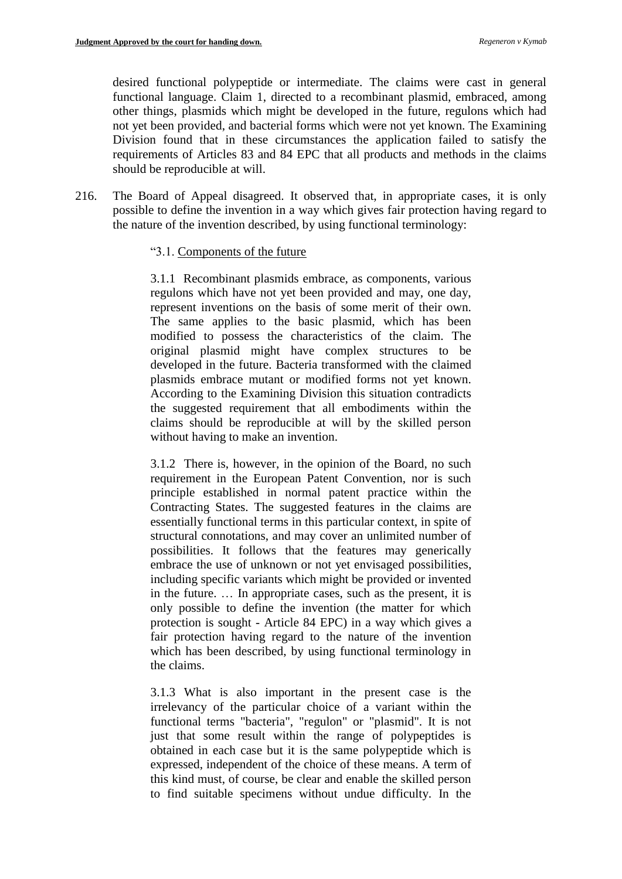desired functional polypeptide or intermediate. The claims were cast in general functional language. Claim 1, directed to a recombinant plasmid, embraced, among other things, plasmids which might be developed in the future, regulons which had not yet been provided, and bacterial forms which were not yet known. The Examining Division found that in these circumstances the application failed to satisfy the requirements of Articles 83 and 84 EPC that all products and methods in the claims should be reproducible at will.

216. The Board of Appeal disagreed. It observed that, in appropriate cases, it is only possible to define the invention in a way which gives fair protection having regard to the nature of the invention described, by using functional terminology:

### "3.1. Components of the future

3.1.1 Recombinant plasmids embrace, as components, various regulons which have not yet been provided and may, one day, represent inventions on the basis of some merit of their own. The same applies to the basic plasmid, which has been modified to possess the characteristics of the claim. The original plasmid might have complex structures to be developed in the future. Bacteria transformed with the claimed plasmids embrace mutant or modified forms not yet known. According to the Examining Division this situation contradicts the suggested requirement that all embodiments within the claims should be reproducible at will by the skilled person without having to make an invention.

3.1.2 There is, however, in the opinion of the Board, no such requirement in the European Patent Convention, nor is such principle established in normal patent practice within the Contracting States. The suggested features in the claims are essentially functional terms in this particular context, in spite of structural connotations, and may cover an unlimited number of possibilities. It follows that the features may generically embrace the use of unknown or not yet envisaged possibilities, including specific variants which might be provided or invented in the future. … In appropriate cases, such as the present, it is only possible to define the invention (the matter for which protection is sought - Article 84 EPC) in a way which gives a fair protection having regard to the nature of the invention which has been described, by using functional terminology in the claims.

3.1.3 What is also important in the present case is the irrelevancy of the particular choice of a variant within the functional terms "bacteria", "regulon" or "plasmid". It is not just that some result within the range of polypeptides is obtained in each case but it is the same polypeptide which is expressed, independent of the choice of these means. A term of this kind must, of course, be clear and enable the skilled person to find suitable specimens without undue difficulty. In the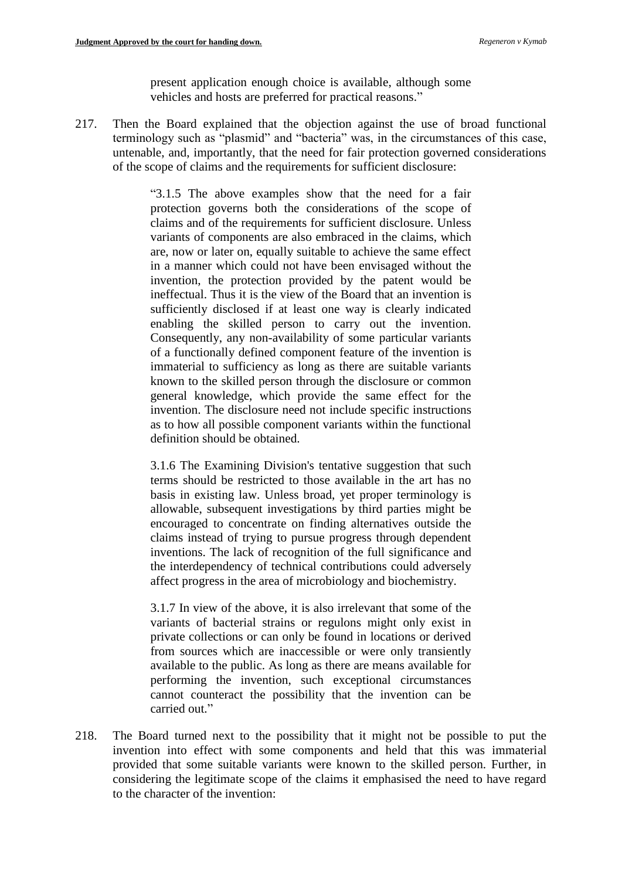present application enough choice is available, although some vehicles and hosts are preferred for practical reasons."

217. Then the Board explained that the objection against the use of broad functional terminology such as "plasmid" and "bacteria" was, in the circumstances of this case, untenable, and, importantly, that the need for fair protection governed considerations of the scope of claims and the requirements for sufficient disclosure:

> "3.1.5 The above examples show that the need for a fair protection governs both the considerations of the scope of claims and of the requirements for sufficient disclosure. Unless variants of components are also embraced in the claims, which are, now or later on, equally suitable to achieve the same effect in a manner which could not have been envisaged without the invention, the protection provided by the patent would be ineffectual. Thus it is the view of the Board that an invention is sufficiently disclosed if at least one way is clearly indicated enabling the skilled person to carry out the invention. Consequently, any non-availability of some particular variants of a functionally defined component feature of the invention is immaterial to sufficiency as long as there are suitable variants known to the skilled person through the disclosure or common general knowledge, which provide the same effect for the invention. The disclosure need not include specific instructions as to how all possible component variants within the functional definition should be obtained.

> 3.1.6 The Examining Division's tentative suggestion that such terms should be restricted to those available in the art has no basis in existing law. Unless broad, yet proper terminology is allowable, subsequent investigations by third parties might be encouraged to concentrate on finding alternatives outside the claims instead of trying to pursue progress through dependent inventions. The lack of recognition of the full significance and the interdependency of technical contributions could adversely affect progress in the area of microbiology and biochemistry.

> 3.1.7 In view of the above, it is also irrelevant that some of the variants of bacterial strains or regulons might only exist in private collections or can only be found in locations or derived from sources which are inaccessible or were only transiently available to the public. As long as there are means available for performing the invention, such exceptional circumstances cannot counteract the possibility that the invention can be carried out."

218. The Board turned next to the possibility that it might not be possible to put the invention into effect with some components and held that this was immaterial provided that some suitable variants were known to the skilled person. Further, in considering the legitimate scope of the claims it emphasised the need to have regard to the character of the invention: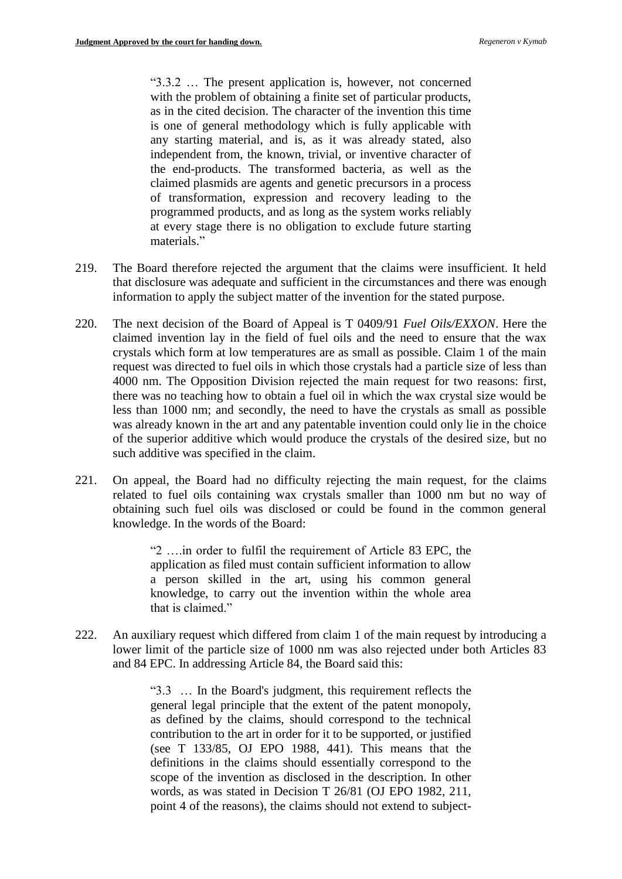"3.3.2 … The present application is, however, not concerned with the problem of obtaining a finite set of particular products, as in the cited decision. The character of the invention this time is one of general methodology which is fully applicable with any starting material, and is, as it was already stated, also independent from, the known, trivial, or inventive character of the end-products. The transformed bacteria, as well as the claimed plasmids are agents and genetic precursors in a process of transformation, expression and recovery leading to the programmed products, and as long as the system works reliably at every stage there is no obligation to exclude future starting materials."

- 219. The Board therefore rejected the argument that the claims were insufficient. It held that disclosure was adequate and sufficient in the circumstances and there was enough information to apply the subject matter of the invention for the stated purpose.
- 220. The next decision of the Board of Appeal is T 0409/91 *Fuel Oils/EXXON*. Here the claimed invention lay in the field of fuel oils and the need to ensure that the wax crystals which form at low temperatures are as small as possible. Claim 1 of the main request was directed to fuel oils in which those crystals had a particle size of less than 4000 nm. The Opposition Division rejected the main request for two reasons: first, there was no teaching how to obtain a fuel oil in which the wax crystal size would be less than 1000 nm; and secondly, the need to have the crystals as small as possible was already known in the art and any patentable invention could only lie in the choice of the superior additive which would produce the crystals of the desired size, but no such additive was specified in the claim.
- 221. On appeal, the Board had no difficulty rejecting the main request, for the claims related to fuel oils containing wax crystals smaller than 1000 nm but no way of obtaining such fuel oils was disclosed or could be found in the common general knowledge. In the words of the Board:

"2 ….in order to fulfil the requirement of Article 83 EPC, the application as filed must contain sufficient information to allow a person skilled in the art, using his common general knowledge, to carry out the invention within the whole area that is claimed."

222. An auxiliary request which differed from claim 1 of the main request by introducing a lower limit of the particle size of 1000 nm was also rejected under both Articles 83 and 84 EPC. In addressing Article 84, the Board said this:

> "3.3 … In the Board's judgment, this requirement reflects the general legal principle that the extent of the patent monopoly, as defined by the claims, should correspond to the technical contribution to the art in order for it to be supported, or justified (see T 133/85, OJ EPO 1988, 441). This means that the definitions in the claims should essentially correspond to the scope of the invention as disclosed in the description. In other words, as was stated in Decision T 26/81 (OJ EPO 1982, 211, point 4 of the reasons), the claims should not extend to subject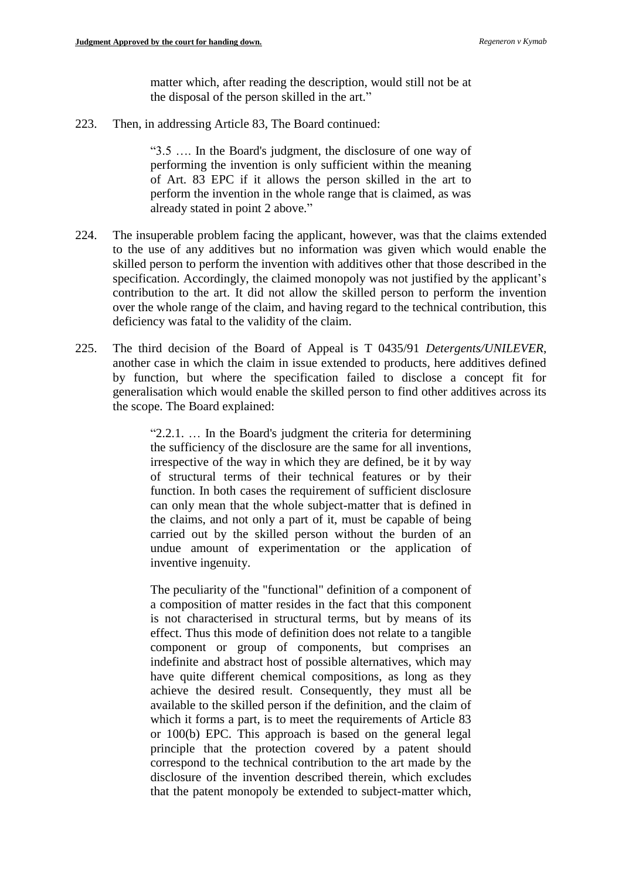matter which, after reading the description, would still not be at the disposal of the person skilled in the art."

223. Then, in addressing Article 83, The Board continued:

"3.5 …. In the Board's judgment, the disclosure of one way of performing the invention is only sufficient within the meaning of Art. 83 EPC if it allows the person skilled in the art to perform the invention in the whole range that is claimed, as was already stated in point 2 above."

- 224. The insuperable problem facing the applicant, however, was that the claims extended to the use of any additives but no information was given which would enable the skilled person to perform the invention with additives other that those described in the specification. Accordingly, the claimed monopoly was not justified by the applicant's contribution to the art. It did not allow the skilled person to perform the invention over the whole range of the claim, and having regard to the technical contribution, this deficiency was fatal to the validity of the claim.
- 225. The third decision of the Board of Appeal is T 0435/91 *Detergents/UNILEVER*, another case in which the claim in issue extended to products, here additives defined by function, but where the specification failed to disclose a concept fit for generalisation which would enable the skilled person to find other additives across its the scope. The Board explained:

"2.2.1. … In the Board's judgment the criteria for determining the sufficiency of the disclosure are the same for all inventions, irrespective of the way in which they are defined, be it by way of structural terms of their technical features or by their function. In both cases the requirement of sufficient disclosure can only mean that the whole subject-matter that is defined in the claims, and not only a part of it, must be capable of being carried out by the skilled person without the burden of an undue amount of experimentation or the application of inventive ingenuity.

The peculiarity of the "functional" definition of a component of a composition of matter resides in the fact that this component is not characterised in structural terms, but by means of its effect. Thus this mode of definition does not relate to a tangible component or group of components, but comprises an indefinite and abstract host of possible alternatives, which may have quite different chemical compositions, as long as they achieve the desired result. Consequently, they must all be available to the skilled person if the definition, and the claim of which it forms a part, is to meet the requirements of Article 83 or 100(b) EPC. This approach is based on the general legal principle that the protection covered by a patent should correspond to the technical contribution to the art made by the disclosure of the invention described therein, which excludes that the patent monopoly be extended to subject-matter which,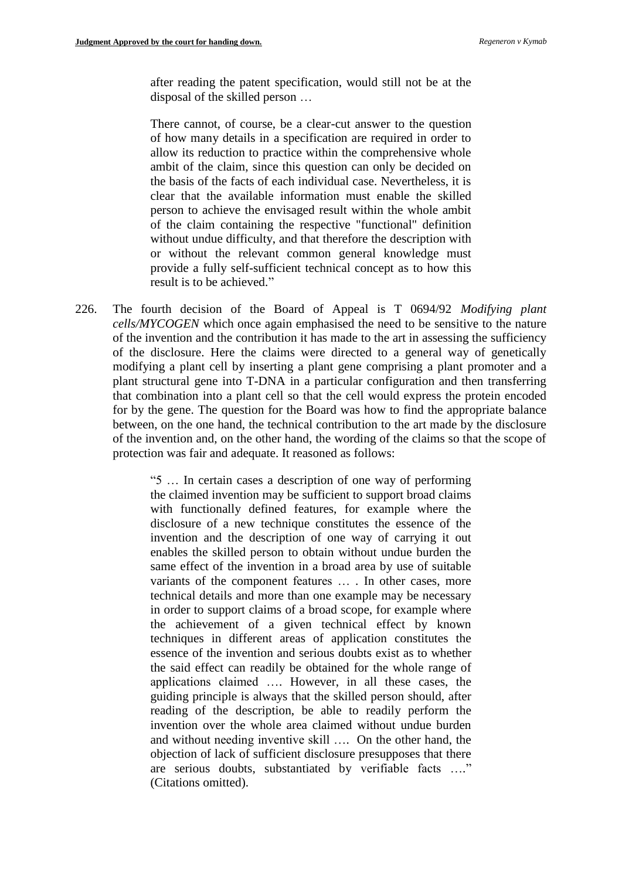after reading the patent specification, would still not be at the disposal of the skilled person …

There cannot, of course, be a clear-cut answer to the question of how many details in a specification are required in order to allow its reduction to practice within the comprehensive whole ambit of the claim, since this question can only be decided on the basis of the facts of each individual case. Nevertheless, it is clear that the available information must enable the skilled person to achieve the envisaged result within the whole ambit of the claim containing the respective "functional" definition without undue difficulty, and that therefore the description with or without the relevant common general knowledge must provide a fully self-sufficient technical concept as to how this result is to be achieved."

226. The fourth decision of the Board of Appeal is T 0694/92 *Modifying plant cells/MYCOGEN* which once again emphasised the need to be sensitive to the nature of the invention and the contribution it has made to the art in assessing the sufficiency of the disclosure. Here the claims were directed to a general way of genetically modifying a plant cell by inserting a plant gene comprising a plant promoter and a plant structural gene into T-DNA in a particular configuration and then transferring that combination into a plant cell so that the cell would express the protein encoded for by the gene. The question for the Board was how to find the appropriate balance between, on the one hand, the technical contribution to the art made by the disclosure of the invention and, on the other hand, the wording of the claims so that the scope of protection was fair and adequate. It reasoned as follows:

> "5 … In certain cases a description of one way of performing the claimed invention may be sufficient to support broad claims with functionally defined features, for example where the disclosure of a new technique constitutes the essence of the invention and the description of one way of carrying it out enables the skilled person to obtain without undue burden the same effect of the invention in a broad area by use of suitable variants of the component features … . In other cases, more technical details and more than one example may be necessary in order to support claims of a broad scope, for example where the achievement of a given technical effect by known techniques in different areas of application constitutes the essence of the invention and serious doubts exist as to whether the said effect can readily be obtained for the whole range of applications claimed …. However, in all these cases, the guiding principle is always that the skilled person should, after reading of the description, be able to readily perform the invention over the whole area claimed without undue burden and without needing inventive skill …. On the other hand, the objection of lack of sufficient disclosure presupposes that there are serious doubts, substantiated by verifiable facts …." (Citations omitted).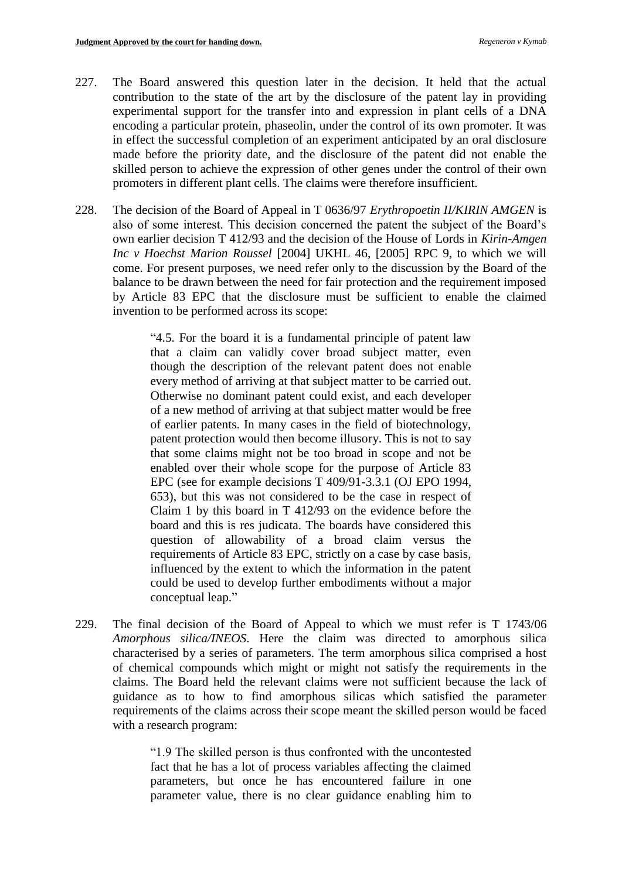- 227. The Board answered this question later in the decision. It held that the actual contribution to the state of the art by the disclosure of the patent lay in providing experimental support for the transfer into and expression in plant cells of a DNA encoding a particular protein, phaseolin, under the control of its own promoter. It was in effect the successful completion of an experiment anticipated by an oral disclosure made before the priority date, and the disclosure of the patent did not enable the skilled person to achieve the expression of other genes under the control of their own promoters in different plant cells. The claims were therefore insufficient.
- 228. The decision of the Board of Appeal in T 0636/97 *Erythropoetin II/KIRIN AMGEN* is also of some interest. This decision concerned the patent the subject of the Board's own earlier decision T 412/93 and the decision of the House of Lords in *Kirin-Amgen Inc v Hoechst Marion Roussel* [2004] UKHL 46, [2005] RPC 9, to which we will come. For present purposes, we need refer only to the discussion by the Board of the balance to be drawn between the need for fair protection and the requirement imposed by Article 83 EPC that the disclosure must be sufficient to enable the claimed invention to be performed across its scope:

"4.5. For the board it is a fundamental principle of patent law that a claim can validly cover broad subject matter, even though the description of the relevant patent does not enable every method of arriving at that subject matter to be carried out. Otherwise no dominant patent could exist, and each developer of a new method of arriving at that subject matter would be free of earlier patents. In many cases in the field of biotechnology, patent protection would then become illusory. This is not to say that some claims might not be too broad in scope and not be enabled over their whole scope for the purpose of Article 83 EPC (see for example decisions T 409/91-3.3.1 (OJ EPO 1994, 653), but this was not considered to be the case in respect of Claim 1 by this board in T 412/93 on the evidence before the board and this is res judicata. The boards have considered this question of allowability of a broad claim versus the requirements of Article 83 EPC, strictly on a case by case basis, influenced by the extent to which the information in the patent could be used to develop further embodiments without a major conceptual leap."

229. The final decision of the Board of Appeal to which we must refer is T 1743/06 *Amorphous silica/INEOS*. Here the claim was directed to amorphous silica characterised by a series of parameters. The term amorphous silica comprised a host of chemical compounds which might or might not satisfy the requirements in the claims. The Board held the relevant claims were not sufficient because the lack of guidance as to how to find amorphous silicas which satisfied the parameter requirements of the claims across their scope meant the skilled person would be faced with a research program:

> "1.9 The skilled person is thus confronted with the uncontested fact that he has a lot of process variables affecting the claimed parameters, but once he has encountered failure in one parameter value, there is no clear guidance enabling him to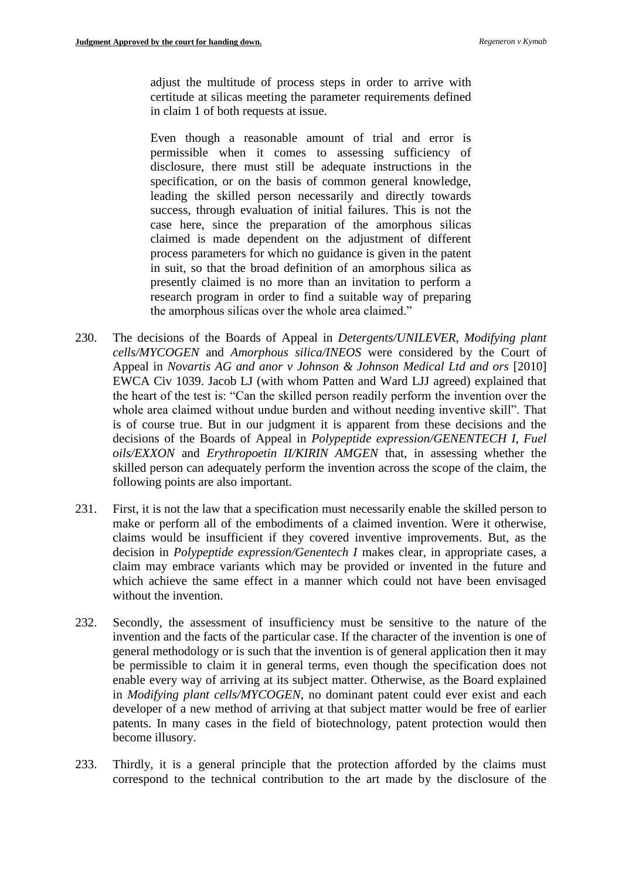adjust the multitude of process steps in order to arrive with certitude at silicas meeting the parameter requirements defined in claim 1 of both requests at issue.

Even though a reasonable amount of trial and error is permissible when it comes to assessing sufficiency of disclosure, there must still be adequate instructions in the specification, or on the basis of common general knowledge, leading the skilled person necessarily and directly towards success, through evaluation of initial failures. This is not the case here, since the preparation of the amorphous silicas claimed is made dependent on the adjustment of different process parameters for which no guidance is given in the patent in suit, so that the broad definition of an amorphous silica as presently claimed is no more than an invitation to perform a research program in order to find a suitable way of preparing the amorphous silicas over the whole area claimed."

- 230. The decisions of the Boards of Appeal in *Detergents/UNILEVER*, *Modifying plant cells/MYCOGEN* and *Amorphous silica/INEOS* were considered by the Court of Appeal in *Novartis AG and anor v Johnson & Johnson Medical Ltd and ors* [2010] EWCA Civ 1039. Jacob LJ (with whom Patten and Ward LJJ agreed) explained that the heart of the test is: "Can the skilled person readily perform the invention over the whole area claimed without undue burden and without needing inventive skill". That is of course true. But in our judgment it is apparent from these decisions and the decisions of the Boards of Appeal in *Polypeptide expression/GENENTECH I*, *Fuel oils/EXXON* and *Erythropoetin II/KIRIN AMGEN* that, in assessing whether the skilled person can adequately perform the invention across the scope of the claim, the following points are also important.
- 231. First, it is not the law that a specification must necessarily enable the skilled person to make or perform all of the embodiments of a claimed invention. Were it otherwise, claims would be insufficient if they covered inventive improvements. But, as the decision in *Polypeptide expression/Genentech I* makes clear, in appropriate cases, a claim may embrace variants which may be provided or invented in the future and which achieve the same effect in a manner which could not have been envisaged without the invention.
- 232. Secondly, the assessment of insufficiency must be sensitive to the nature of the invention and the facts of the particular case. If the character of the invention is one of general methodology or is such that the invention is of general application then it may be permissible to claim it in general terms, even though the specification does not enable every way of arriving at its subject matter. Otherwise, as the Board explained in *Modifying plant cells/MYCOGEN*, no dominant patent could ever exist and each developer of a new method of arriving at that subject matter would be free of earlier patents. In many cases in the field of biotechnology, patent protection would then become illusory.
- 233. Thirdly, it is a general principle that the protection afforded by the claims must correspond to the technical contribution to the art made by the disclosure of the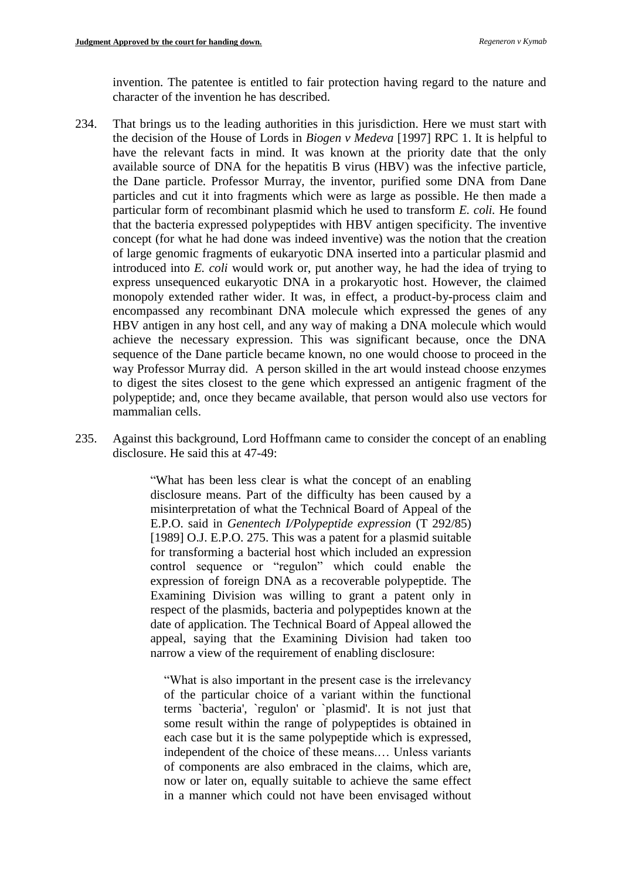invention. The patentee is entitled to fair protection having regard to the nature and character of the invention he has described.

- 234. That brings us to the leading authorities in this jurisdiction. Here we must start with the decision of the House of Lords in *Biogen v Medeva* [1997] RPC 1. It is helpful to have the relevant facts in mind. It was known at the priority date that the only available source of DNA for the hepatitis B virus (HBV) was the infective particle, the Dane particle. Professor Murray, the inventor, purified some DNA from Dane particles and cut it into fragments which were as large as possible. He then made a particular form of recombinant plasmid which he used to transform *E. coli.* He found that the bacteria expressed polypeptides with HBV antigen specificity. The inventive concept (for what he had done was indeed inventive) was the notion that the creation of large genomic fragments of eukaryotic DNA inserted into a particular plasmid and introduced into *E. coli* would work or, put another way, he had the idea of trying to express unsequenced eukaryotic DNA in a prokaryotic host. However, the claimed monopoly extended rather wider. It was, in effect, a product-by-process claim and encompassed any recombinant DNA molecule which expressed the genes of any HBV antigen in any host cell, and any way of making a DNA molecule which would achieve the necessary expression. This was significant because, once the DNA sequence of the Dane particle became known, no one would choose to proceed in the way Professor Murray did. A person skilled in the art would instead choose enzymes to digest the sites closest to the gene which expressed an antigenic fragment of the polypeptide; and, once they became available, that person would also use vectors for mammalian cells.
- 235. Against this background, Lord Hoffmann came to consider the concept of an enabling disclosure. He said this at 47-49:

"What has been less clear is what the concept of an enabling disclosure means. Part of the difficulty has been caused by a misinterpretation of what the Technical Board of Appeal of the E.P.O. said in *Genentech I/Polypeptide expression* (T 292/85) [1989] O.J. E.P.O. 275. This was a patent for a plasmid suitable for transforming a bacterial host which included an expression control sequence or "regulon" which could enable the expression of foreign DNA as a recoverable polypeptide. The Examining Division was willing to grant a patent only in respect of the plasmids, bacteria and polypeptides known at the date of application. The Technical Board of Appeal allowed the appeal, saying that the Examining Division had taken too narrow a view of the requirement of enabling disclosure:

"What is also important in the present case is the irrelevancy of the particular choice of a variant within the functional terms `bacteria', `regulon' or `plasmid'. It is not just that some result within the range of polypeptides is obtained in each case but it is the same polypeptide which is expressed, independent of the choice of these means.… Unless variants of components are also embraced in the claims, which are, now or later on, equally suitable to achieve the same effect in a manner which could not have been envisaged without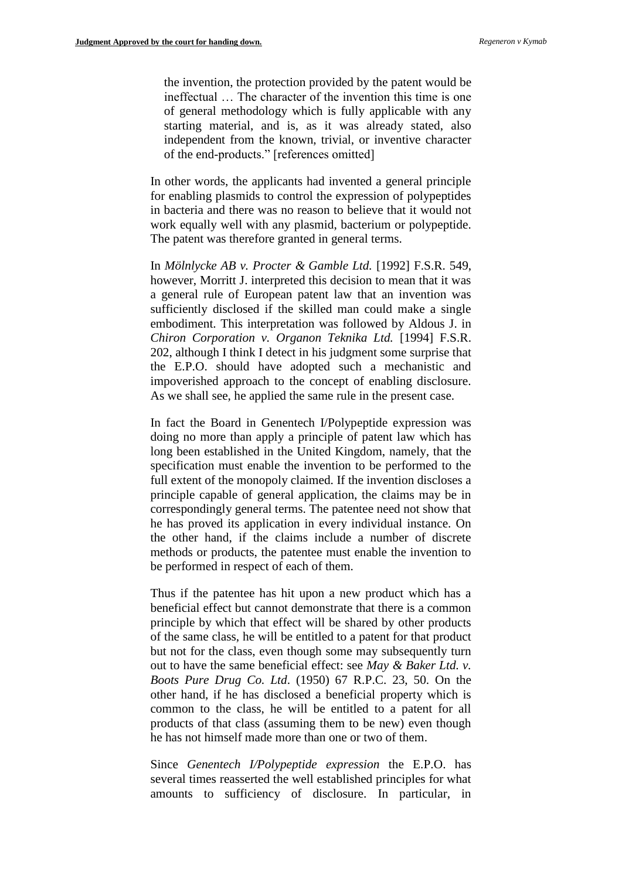the invention, the protection provided by the patent would be ineffectual … The character of the invention this time is one of general methodology which is fully applicable with any starting material, and is, as it was already stated, also independent from the known, trivial, or inventive character of the end-products." [references omitted]

In other words, the applicants had invented a general principle for enabling plasmids to control the expression of polypeptides in bacteria and there was no reason to believe that it would not work equally well with any plasmid, bacterium or polypeptide. The patent was therefore granted in general terms.

In *Mölnlycke AB v. Procter & Gamble Ltd.* [1992] F.S.R. 549, however, Morritt J. interpreted this decision to mean that it was a general rule of European patent law that an invention was sufficiently disclosed if the skilled man could make a single embodiment. This interpretation was followed by Aldous J. in *Chiron Corporation v. Organon Teknika Ltd.* [1994] F.S.R. 202, although I think I detect in his judgment some surprise that the E.P.O. should have adopted such a mechanistic and impoverished approach to the concept of enabling disclosure. As we shall see, he applied the same rule in the present case.

In fact the Board in Genentech I/Polypeptide expression was doing no more than apply a principle of patent law which has long been established in the United Kingdom, namely, that the specification must enable the invention to be performed to the full extent of the monopoly claimed. If the invention discloses a principle capable of general application, the claims may be in correspondingly general terms. The patentee need not show that he has proved its application in every individual instance. On the other hand, if the claims include a number of discrete methods or products, the patentee must enable the invention to be performed in respect of each of them.

Thus if the patentee has hit upon a new product which has a beneficial effect but cannot demonstrate that there is a common principle by which that effect will be shared by other products of the same class, he will be entitled to a patent for that product but not for the class, even though some may subsequently turn out to have the same beneficial effect: see *May & Baker Ltd. v. Boots Pure Drug Co. Ltd*. (1950) 67 R.P.C. 23, 50. On the other hand, if he has disclosed a beneficial property which is common to the class, he will be entitled to a patent for all products of that class (assuming them to be new) even though he has not himself made more than one or two of them.

Since *Genentech I/Polypeptide expression* the E.P.O. has several times reasserted the well established principles for what amounts to sufficiency of disclosure. In particular, in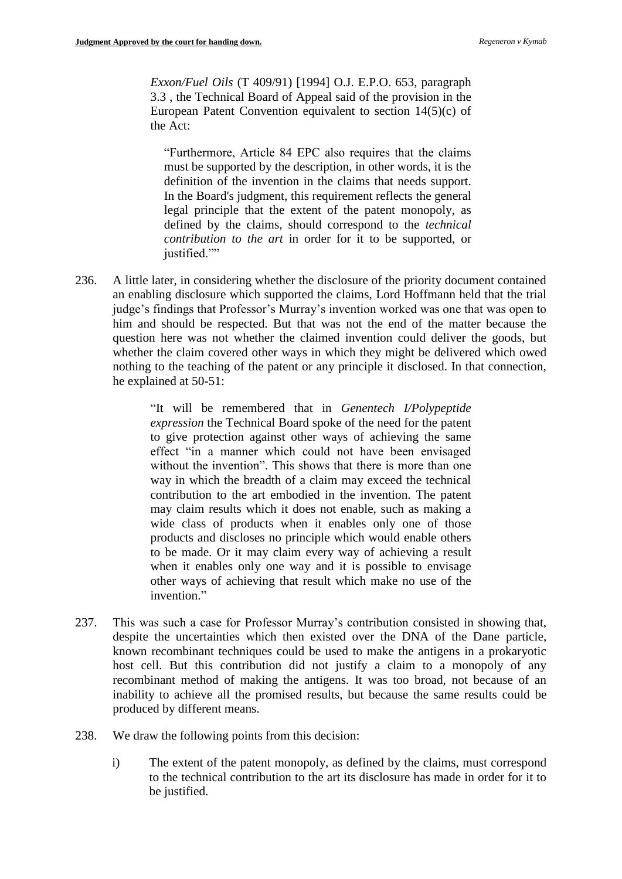*Exxon/Fuel Oils* (T 409/91) [1994] O.J. E.P.O. 653, paragraph 3.3 , the Technical Board of Appeal said of the provision in the European Patent Convention equivalent to section 14(5)(c) of the Act:

"Furthermore, Article 84 EPC also requires that the claims must be supported by the description, in other words, it is the definition of the invention in the claims that needs support. In the Board's judgment, this requirement reflects the general legal principle that the extent of the patent monopoly, as defined by the claims, should correspond to the *technical contribution to the art* in order for it to be supported, or justified.""

236. A little later, in considering whether the disclosure of the priority document contained an enabling disclosure which supported the claims, Lord Hoffmann held that the trial judge's findings that Professor's Murray's invention worked was one that was open to him and should be respected. But that was not the end of the matter because the question here was not whether the claimed invention could deliver the goods, but whether the claim covered other ways in which they might be delivered which owed nothing to the teaching of the patent or any principle it disclosed. In that connection, he explained at 50-51:

> "It will be remembered that in *Genentech I/Polypeptide expression* the Technical Board spoke of the need for the patent to give protection against other ways of achieving the same effect "in a manner which could not have been envisaged without the invention". This shows that there is more than one way in which the breadth of a claim may exceed the technical contribution to the art embodied in the invention. The patent may claim results which it does not enable, such as making a wide class of products when it enables only one of those products and discloses no principle which would enable others to be made. Or it may claim every way of achieving a result when it enables only one way and it is possible to envisage other ways of achieving that result which make no use of the invention."

- 237. This was such a case for Professor Murray's contribution consisted in showing that, despite the uncertainties which then existed over the DNA of the Dane particle, known recombinant techniques could be used to make the antigens in a prokaryotic host cell. But this contribution did not justify a claim to a monopoly of any recombinant method of making the antigens. It was too broad, not because of an inability to achieve all the promised results, but because the same results could be produced by different means.
- 238. We draw the following points from this decision:
	- i) The extent of the patent monopoly, as defined by the claims, must correspond to the technical contribution to the art its disclosure has made in order for it to be justified.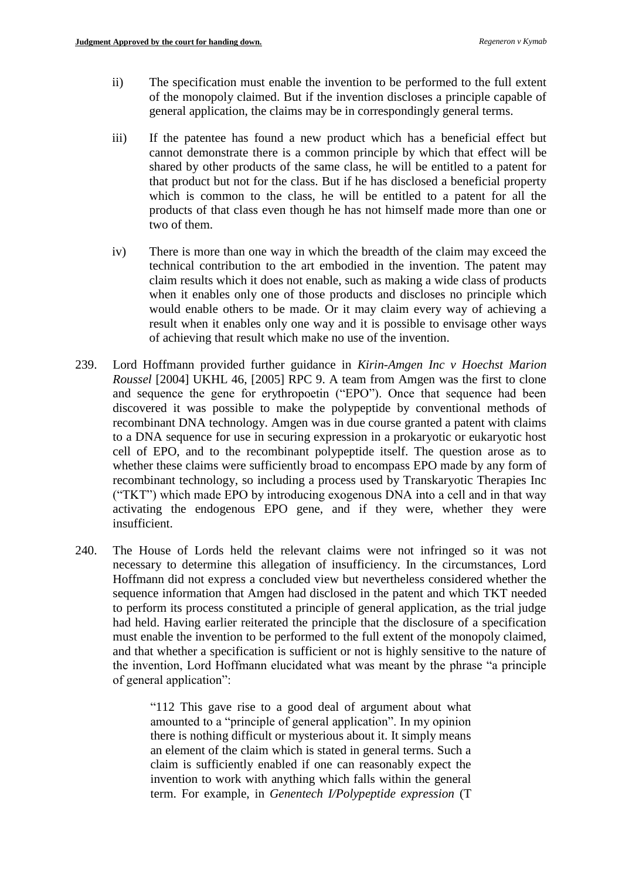- ii) The specification must enable the invention to be performed to the full extent of the monopoly claimed. But if the invention discloses a principle capable of general application, the claims may be in correspondingly general terms.
- iii) If the patentee has found a new product which has a beneficial effect but cannot demonstrate there is a common principle by which that effect will be shared by other products of the same class, he will be entitled to a patent for that product but not for the class. But if he has disclosed a beneficial property which is common to the class, he will be entitled to a patent for all the products of that class even though he has not himself made more than one or two of them.
- iv) There is more than one way in which the breadth of the claim may exceed the technical contribution to the art embodied in the invention. The patent may claim results which it does not enable, such as making a wide class of products when it enables only one of those products and discloses no principle which would enable others to be made. Or it may claim every way of achieving a result when it enables only one way and it is possible to envisage other ways of achieving that result which make no use of the invention.
- 239. Lord Hoffmann provided further guidance in *Kirin-Amgen Inc v Hoechst Marion Roussel* [2004] UKHL 46, [2005] RPC 9. A team from Amgen was the first to clone and sequence the gene for erythropoetin ("EPO"). Once that sequence had been discovered it was possible to make the polypeptide by conventional methods of recombinant DNA technology. Amgen was in due course granted a patent with claims to a DNA sequence for use in securing expression in a prokaryotic or eukaryotic host cell of EPO, and to the recombinant polypeptide itself. The question arose as to whether these claims were sufficiently broad to encompass EPO made by any form of recombinant technology, so including a process used by Transkaryotic Therapies Inc ("TKT") which made EPO by introducing exogenous DNA into a cell and in that way activating the endogenous EPO gene, and if they were, whether they were insufficient.
- 240. The House of Lords held the relevant claims were not infringed so it was not necessary to determine this allegation of insufficiency. In the circumstances, Lord Hoffmann did not express a concluded view but nevertheless considered whether the sequence information that Amgen had disclosed in the patent and which TKT needed to perform its process constituted a principle of general application, as the trial judge had held. Having earlier reiterated the principle that the disclosure of a specification must enable the invention to be performed to the full extent of the monopoly claimed, and that whether a specification is sufficient or not is highly sensitive to the nature of the invention, Lord Hoffmann elucidated what was meant by the phrase "a principle of general application":

"112 This gave rise to a good deal of argument about what amounted to a "principle of general application". In my opinion there is nothing difficult or mysterious about it. It simply means an element of the claim which is stated in general terms. Such a claim is sufficiently enabled if one can reasonably expect the invention to work with anything which falls within the general term. For example, in *Genentech I/Polypeptide expression* (T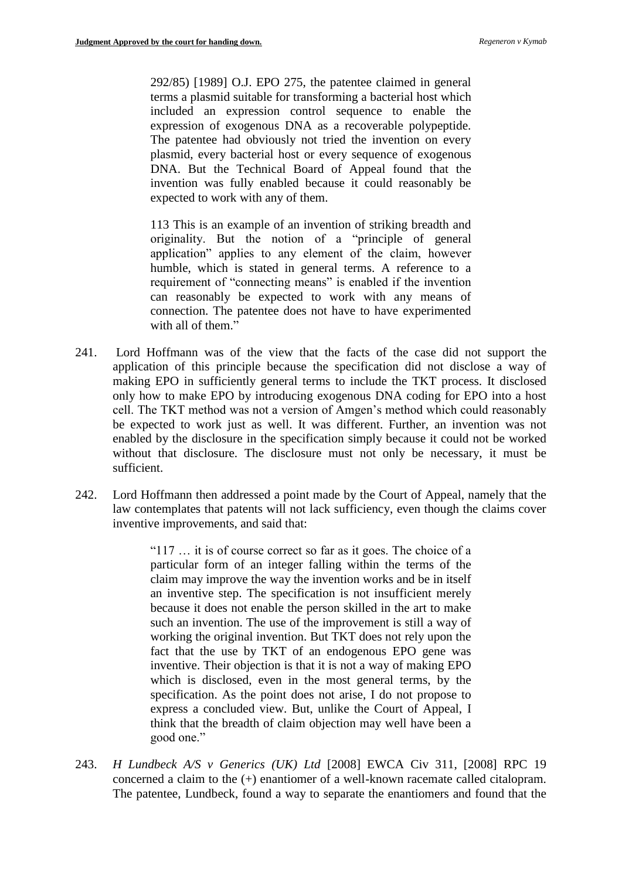292/85) [1989] O.J. EPO 275, the patentee claimed in general terms a plasmid suitable for transforming a bacterial host which included an expression control sequence to enable the expression of exogenous DNA as a recoverable polypeptide. The patentee had obviously not tried the invention on every plasmid, every bacterial host or every sequence of exogenous DNA. But the Technical Board of Appeal found that the invention was fully enabled because it could reasonably be expected to work with any of them.

113 This is an example of an invention of striking breadth and originality. But the notion of a "principle of general application" applies to any element of the claim, however humble, which is stated in general terms. A reference to a requirement of "connecting means" is enabled if the invention can reasonably be expected to work with any means of connection. The patentee does not have to have experimented with all of them."

- 241. Lord Hoffmann was of the view that the facts of the case did not support the application of this principle because the specification did not disclose a way of making EPO in sufficiently general terms to include the TKT process. It disclosed only how to make EPO by introducing exogenous DNA coding for EPO into a host cell. The TKT method was not a version of Amgen's method which could reasonably be expected to work just as well. It was different. Further, an invention was not enabled by the disclosure in the specification simply because it could not be worked without that disclosure. The disclosure must not only be necessary, it must be sufficient.
- 242. Lord Hoffmann then addressed a point made by the Court of Appeal, namely that the law contemplates that patents will not lack sufficiency, even though the claims cover inventive improvements, and said that:

"117 … it is of course correct so far as it goes. The choice of a particular form of an integer falling within the terms of the claim may improve the way the invention works and be in itself an inventive step. The specification is not insufficient merely because it does not enable the person skilled in the art to make such an invention. The use of the improvement is still a way of working the original invention. But TKT does not rely upon the fact that the use by TKT of an endogenous EPO gene was inventive. Their objection is that it is not a way of making EPO which is disclosed, even in the most general terms, by the specification. As the point does not arise, I do not propose to express a concluded view. But, unlike the Court of Appeal, I think that the breadth of claim objection may well have been a good one."

243. *H Lundbeck A/S v Generics (UK) Ltd* [2008] EWCA Civ 311, [2008] RPC 19 concerned a claim to the (+) enantiomer of a well-known racemate called citalopram. The patentee, Lundbeck, found a way to separate the enantiomers and found that the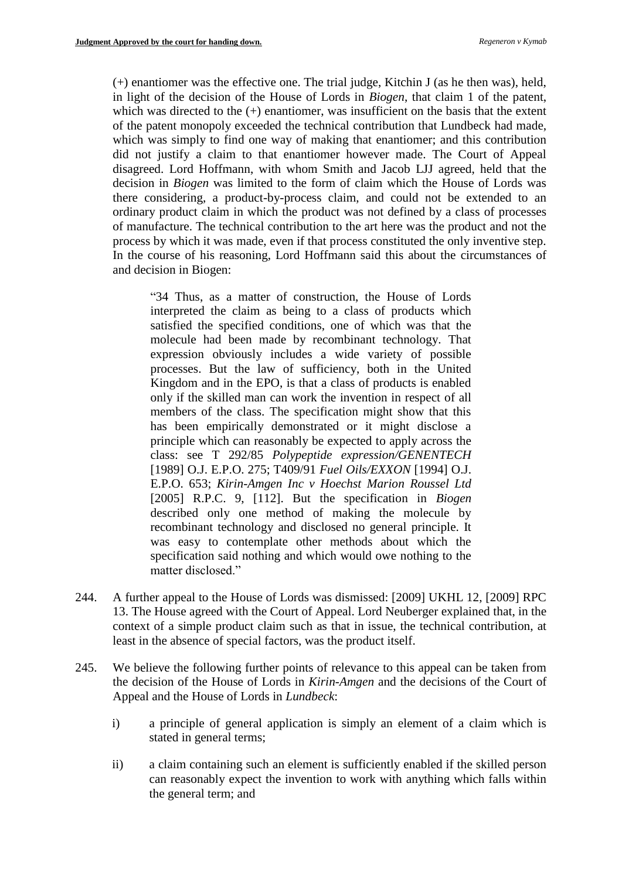(+) enantiomer was the effective one. The trial judge, Kitchin J (as he then was), held, in light of the decision of the House of Lords in *Biogen*, that claim 1 of the patent, which was directed to the  $(+)$  enantiomer, was insufficient on the basis that the extent of the patent monopoly exceeded the technical contribution that Lundbeck had made, which was simply to find one way of making that enantiomer; and this contribution did not justify a claim to that enantiomer however made. The Court of Appeal disagreed. Lord Hoffmann, with whom Smith and Jacob LJJ agreed, held that the decision in *Biogen* was limited to the form of claim which the House of Lords was there considering, a product-by-process claim, and could not be extended to an ordinary product claim in which the product was not defined by a class of processes of manufacture. The technical contribution to the art here was the product and not the process by which it was made, even if that process constituted the only inventive step. In the course of his reasoning, Lord Hoffmann said this about the circumstances of and decision in Biogen:

"34 Thus, as a matter of construction, the House of Lords interpreted the claim as being to a class of products which satisfied the specified conditions, one of which was that the molecule had been made by recombinant technology. That expression obviously includes a wide variety of possible processes. But the law of sufficiency, both in the United Kingdom and in the EPO, is that a class of products is enabled only if the skilled man can work the invention in respect of all members of the class. The specification might show that this has been empirically demonstrated or it might disclose a principle which can reasonably be expected to apply across the class: see T 292/85 *Polypeptide expression/GENENTECH*  [1989] O.J. E.P.O. 275; T409/91 *Fuel Oils/EXXON* [1994] O.J. E.P.O. 653; *Kirin-Amgen Inc v Hoechst Marion Roussel Ltd* [2005] R.P.C. 9, [112]. But the specification in *Biogen* described only one method of making the molecule by recombinant technology and disclosed no general principle. It was easy to contemplate other methods about which the specification said nothing and which would owe nothing to the matter disclosed."

- 244. A further appeal to the House of Lords was dismissed: [2009] UKHL 12, [2009] RPC 13. The House agreed with the Court of Appeal. Lord Neuberger explained that, in the context of a simple product claim such as that in issue, the technical contribution, at least in the absence of special factors, was the product itself.
- 245. We believe the following further points of relevance to this appeal can be taken from the decision of the House of Lords in *Kirin-Amgen* and the decisions of the Court of Appeal and the House of Lords in *Lundbeck*:
	- i) a principle of general application is simply an element of a claim which is stated in general terms;
	- ii) a claim containing such an element is sufficiently enabled if the skilled person can reasonably expect the invention to work with anything which falls within the general term; and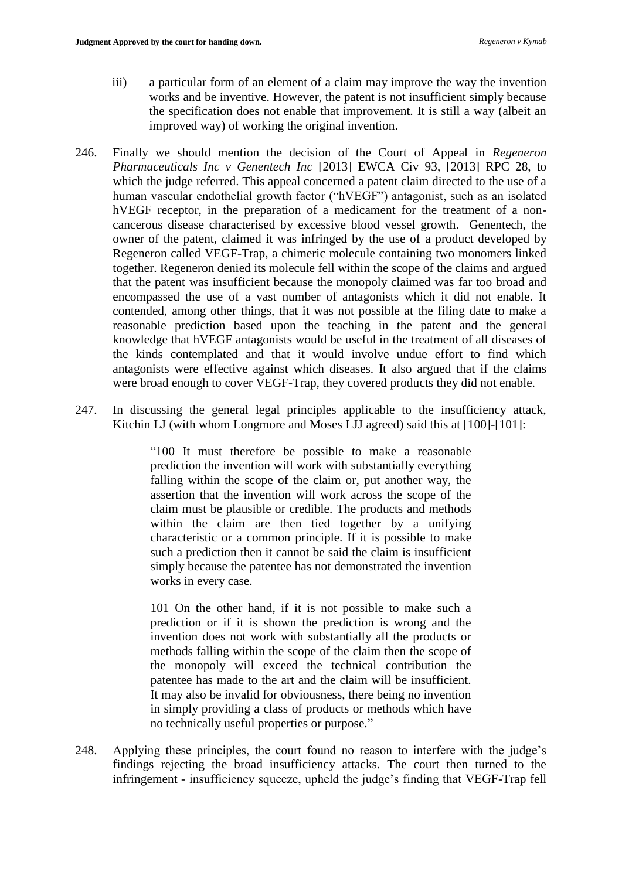- iii) a particular form of an element of a claim may improve the way the invention works and be inventive. However, the patent is not insufficient simply because the specification does not enable that improvement. It is still a way (albeit an improved way) of working the original invention.
- 246. Finally we should mention the decision of the Court of Appeal in *Regeneron Pharmaceuticals Inc v Genentech Inc* [2013] EWCA Civ 93, [2013] RPC 28, to which the judge referred. This appeal concerned a patent claim directed to the use of a human vascular endothelial growth factor ("hVEGF") antagonist, such as an isolated hVEGF receptor, in the preparation of a medicament for the treatment of a noncancerous disease characterised by excessive blood vessel growth. Genentech, the owner of the patent, claimed it was infringed by the use of a product developed by Regeneron called VEGF-Trap, a chimeric molecule containing two monomers linked together. Regeneron denied its molecule fell within the scope of the claims and argued that the patent was insufficient because the monopoly claimed was far too broad and encompassed the use of a vast number of antagonists which it did not enable. It contended, among other things, that it was not possible at the filing date to make a reasonable prediction based upon the teaching in the patent and the general knowledge that hVEGF antagonists would be useful in the treatment of all diseases of the kinds contemplated and that it would involve undue effort to find which antagonists were effective against which diseases. It also argued that if the claims were broad enough to cover VEGF-Trap, they covered products they did not enable.
- 247. In discussing the general legal principles applicable to the insufficiency attack, Kitchin LJ (with whom Longmore and Moses LJJ agreed) said this at [100]-[101]:

"100 It must therefore be possible to make a reasonable prediction the invention will work with substantially everything falling within the scope of the claim or, put another way, the assertion that the invention will work across the scope of the claim must be plausible or credible. The products and methods within the claim are then tied together by a unifying characteristic or a common principle. If it is possible to make such a prediction then it cannot be said the claim is insufficient simply because the patentee has not demonstrated the invention works in every case.

101 On the other hand, if it is not possible to make such a prediction or if it is shown the prediction is wrong and the invention does not work with substantially all the products or methods falling within the scope of the claim then the scope of the monopoly will exceed the technical contribution the patentee has made to the art and the claim will be insufficient. It may also be invalid for obviousness, there being no invention in simply providing a class of products or methods which have no technically useful properties or purpose."

248. Applying these principles, the court found no reason to interfere with the judge's findings rejecting the broad insufficiency attacks. The court then turned to the infringement - insufficiency squeeze, upheld the judge's finding that VEGF-Trap fell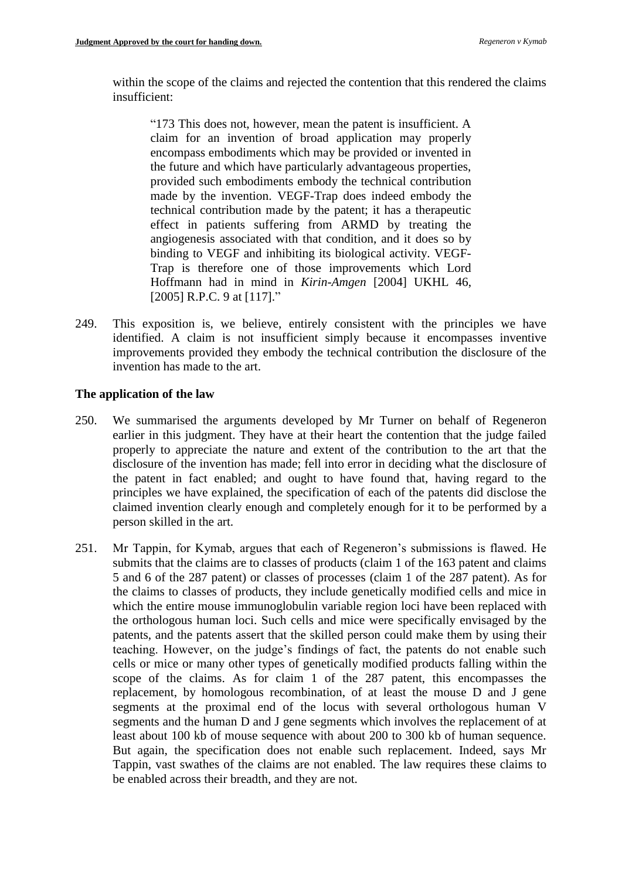within the scope of the claims and rejected the contention that this rendered the claims insufficient:

"173 This does not, however, mean the patent is insufficient. A claim for an invention of broad application may properly encompass embodiments which may be provided or invented in the future and which have particularly advantageous properties, provided such embodiments embody the technical contribution made by the invention. VEGF-Trap does indeed embody the technical contribution made by the patent; it has a therapeutic effect in patients suffering from ARMD by treating the angiogenesis associated with that condition, and it does so by binding to VEGF and inhibiting its biological activity. VEGF-Trap is therefore one of those improvements which Lord Hoffmann had in mind in *Kirin-Amgen* [2004] UKHL 46, [2005] R.P.C. 9 at [117]."

249. This exposition is, we believe, entirely consistent with the principles we have identified. A claim is not insufficient simply because it encompasses inventive improvements provided they embody the technical contribution the disclosure of the invention has made to the art.

### **The application of the law**

- 250. We summarised the arguments developed by Mr Turner on behalf of Regeneron earlier in this judgment. They have at their heart the contention that the judge failed properly to appreciate the nature and extent of the contribution to the art that the disclosure of the invention has made; fell into error in deciding what the disclosure of the patent in fact enabled; and ought to have found that, having regard to the principles we have explained, the specification of each of the patents did disclose the claimed invention clearly enough and completely enough for it to be performed by a person skilled in the art.
- 251. Mr Tappin, for Kymab, argues that each of Regeneron's submissions is flawed. He submits that the claims are to classes of products (claim 1 of the 163 patent and claims 5 and 6 of the 287 patent) or classes of processes (claim 1 of the 287 patent). As for the claims to classes of products, they include genetically modified cells and mice in which the entire mouse immunoglobulin variable region loci have been replaced with the orthologous human loci. Such cells and mice were specifically envisaged by the patents, and the patents assert that the skilled person could make them by using their teaching. However, on the judge's findings of fact, the patents do not enable such cells or mice or many other types of genetically modified products falling within the scope of the claims. As for claim 1 of the 287 patent, this encompasses the replacement, by homologous recombination, of at least the mouse D and J gene segments at the proximal end of the locus with several orthologous human V segments and the human D and J gene segments which involves the replacement of at least about 100 kb of mouse sequence with about 200 to 300 kb of human sequence. But again, the specification does not enable such replacement. Indeed, says Mr Tappin, vast swathes of the claims are not enabled. The law requires these claims to be enabled across their breadth, and they are not.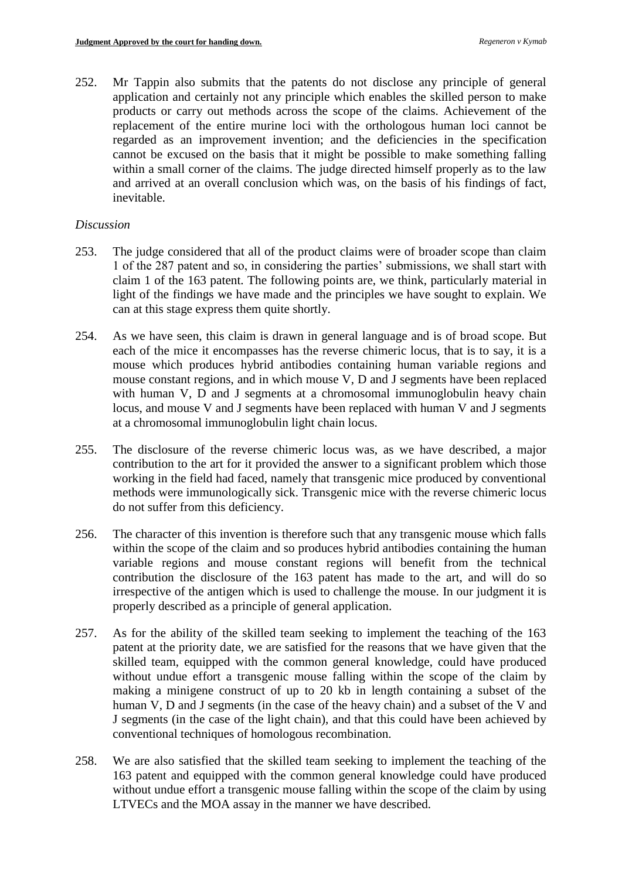252. Mr Tappin also submits that the patents do not disclose any principle of general application and certainly not any principle which enables the skilled person to make products or carry out methods across the scope of the claims. Achievement of the replacement of the entire murine loci with the orthologous human loci cannot be regarded as an improvement invention; and the deficiencies in the specification cannot be excused on the basis that it might be possible to make something falling within a small corner of the claims. The judge directed himself properly as to the law and arrived at an overall conclusion which was, on the basis of his findings of fact, inevitable.

### *Discussion*

- 253. The judge considered that all of the product claims were of broader scope than claim 1 of the 287 patent and so, in considering the parties' submissions, we shall start with claim 1 of the 163 patent. The following points are, we think, particularly material in light of the findings we have made and the principles we have sought to explain. We can at this stage express them quite shortly.
- 254. As we have seen, this claim is drawn in general language and is of broad scope. But each of the mice it encompasses has the reverse chimeric locus, that is to say, it is a mouse which produces hybrid antibodies containing human variable regions and mouse constant regions, and in which mouse V, D and J segments have been replaced with human V, D and J segments at a chromosomal immunoglobulin heavy chain locus, and mouse V and J segments have been replaced with human V and J segments at a chromosomal immunoglobulin light chain locus.
- 255. The disclosure of the reverse chimeric locus was, as we have described, a major contribution to the art for it provided the answer to a significant problem which those working in the field had faced, namely that transgenic mice produced by conventional methods were immunologically sick. Transgenic mice with the reverse chimeric locus do not suffer from this deficiency.
- 256. The character of this invention is therefore such that any transgenic mouse which falls within the scope of the claim and so produces hybrid antibodies containing the human variable regions and mouse constant regions will benefit from the technical contribution the disclosure of the 163 patent has made to the art, and will do so irrespective of the antigen which is used to challenge the mouse. In our judgment it is properly described as a principle of general application.
- 257. As for the ability of the skilled team seeking to implement the teaching of the 163 patent at the priority date, we are satisfied for the reasons that we have given that the skilled team, equipped with the common general knowledge, could have produced without undue effort a transgenic mouse falling within the scope of the claim by making a minigene construct of up to 20 kb in length containing a subset of the human V, D and J segments (in the case of the heavy chain) and a subset of the V and J segments (in the case of the light chain), and that this could have been achieved by conventional techniques of homologous recombination.
- 258. We are also satisfied that the skilled team seeking to implement the teaching of the 163 patent and equipped with the common general knowledge could have produced without undue effort a transgenic mouse falling within the scope of the claim by using LTVECs and the MOA assay in the manner we have described.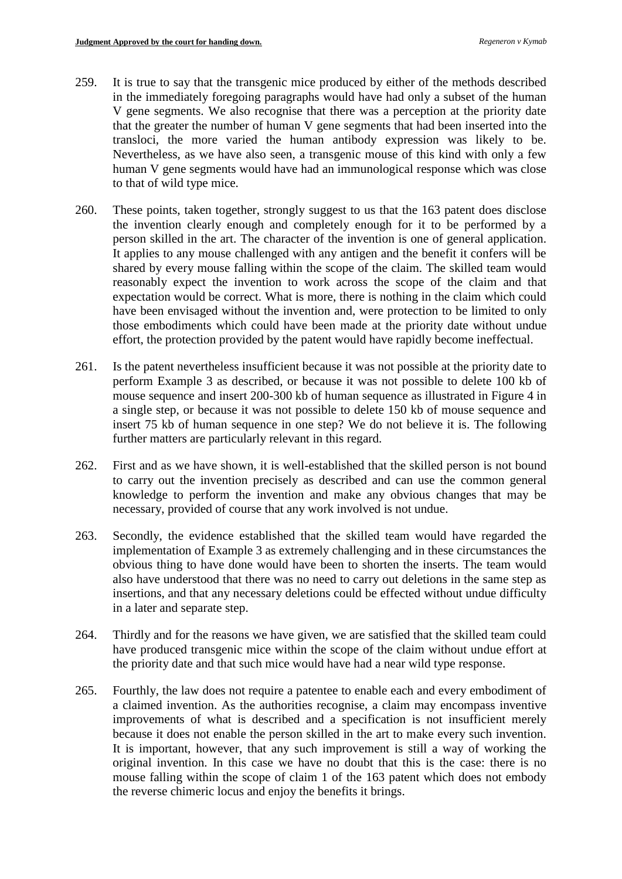- 259. It is true to say that the transgenic mice produced by either of the methods described in the immediately foregoing paragraphs would have had only a subset of the human V gene segments. We also recognise that there was a perception at the priority date that the greater the number of human V gene segments that had been inserted into the transloci, the more varied the human antibody expression was likely to be. Nevertheless, as we have also seen, a transgenic mouse of this kind with only a few human V gene segments would have had an immunological response which was close to that of wild type mice.
- 260. These points, taken together, strongly suggest to us that the 163 patent does disclose the invention clearly enough and completely enough for it to be performed by a person skilled in the art. The character of the invention is one of general application. It applies to any mouse challenged with any antigen and the benefit it confers will be shared by every mouse falling within the scope of the claim. The skilled team would reasonably expect the invention to work across the scope of the claim and that expectation would be correct. What is more, there is nothing in the claim which could have been envisaged without the invention and, were protection to be limited to only those embodiments which could have been made at the priority date without undue effort, the protection provided by the patent would have rapidly become ineffectual.
- 261. Is the patent nevertheless insufficient because it was not possible at the priority date to perform Example 3 as described, or because it was not possible to delete 100 kb of mouse sequence and insert 200-300 kb of human sequence as illustrated in Figure 4 in a single step, or because it was not possible to delete 150 kb of mouse sequence and insert 75 kb of human sequence in one step? We do not believe it is. The following further matters are particularly relevant in this regard.
- 262. First and as we have shown, it is well-established that the skilled person is not bound to carry out the invention precisely as described and can use the common general knowledge to perform the invention and make any obvious changes that may be necessary, provided of course that any work involved is not undue.
- 263. Secondly, the evidence established that the skilled team would have regarded the implementation of Example 3 as extremely challenging and in these circumstances the obvious thing to have done would have been to shorten the inserts. The team would also have understood that there was no need to carry out deletions in the same step as insertions, and that any necessary deletions could be effected without undue difficulty in a later and separate step.
- 264. Thirdly and for the reasons we have given, we are satisfied that the skilled team could have produced transgenic mice within the scope of the claim without undue effort at the priority date and that such mice would have had a near wild type response.
- 265. Fourthly, the law does not require a patentee to enable each and every embodiment of a claimed invention. As the authorities recognise, a claim may encompass inventive improvements of what is described and a specification is not insufficient merely because it does not enable the person skilled in the art to make every such invention. It is important, however, that any such improvement is still a way of working the original invention. In this case we have no doubt that this is the case: there is no mouse falling within the scope of claim 1 of the 163 patent which does not embody the reverse chimeric locus and enjoy the benefits it brings.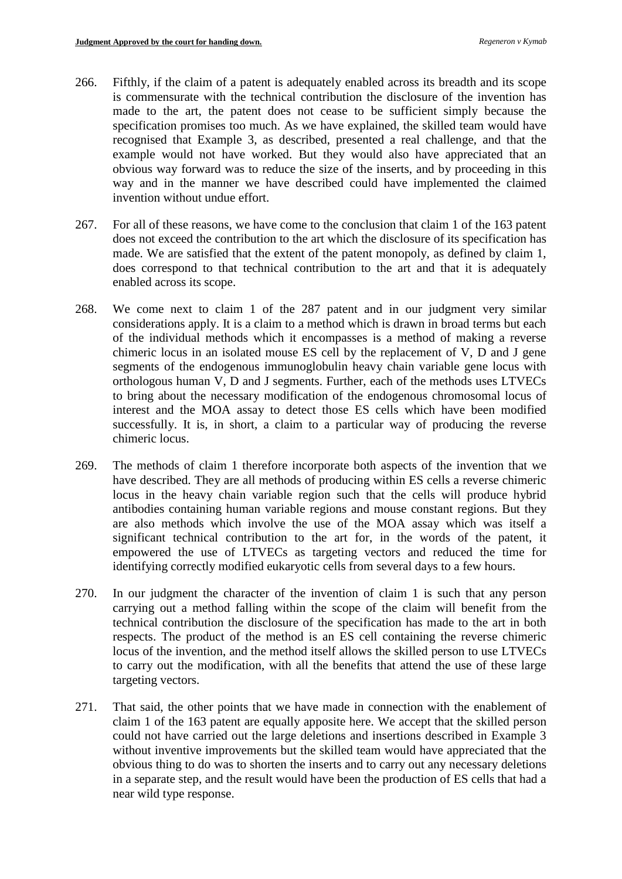- 266. Fifthly, if the claim of a patent is adequately enabled across its breadth and its scope is commensurate with the technical contribution the disclosure of the invention has made to the art, the patent does not cease to be sufficient simply because the specification promises too much. As we have explained, the skilled team would have recognised that Example 3, as described, presented a real challenge, and that the example would not have worked. But they would also have appreciated that an obvious way forward was to reduce the size of the inserts, and by proceeding in this way and in the manner we have described could have implemented the claimed invention without undue effort.
- 267. For all of these reasons, we have come to the conclusion that claim 1 of the 163 patent does not exceed the contribution to the art which the disclosure of its specification has made. We are satisfied that the extent of the patent monopoly, as defined by claim 1, does correspond to that technical contribution to the art and that it is adequately enabled across its scope.
- 268. We come next to claim 1 of the 287 patent and in our judgment very similar considerations apply. It is a claim to a method which is drawn in broad terms but each of the individual methods which it encompasses is a method of making a reverse chimeric locus in an isolated mouse ES cell by the replacement of V, D and J gene segments of the endogenous immunoglobulin heavy chain variable gene locus with orthologous human V, D and J segments. Further, each of the methods uses LTVECs to bring about the necessary modification of the endogenous chromosomal locus of interest and the MOA assay to detect those ES cells which have been modified successfully. It is, in short, a claim to a particular way of producing the reverse chimeric locus.
- 269. The methods of claim 1 therefore incorporate both aspects of the invention that we have described. They are all methods of producing within ES cells a reverse chimeric locus in the heavy chain variable region such that the cells will produce hybrid antibodies containing human variable regions and mouse constant regions. But they are also methods which involve the use of the MOA assay which was itself a significant technical contribution to the art for, in the words of the patent, it empowered the use of LTVECs as targeting vectors and reduced the time for identifying correctly modified eukaryotic cells from several days to a few hours.
- 270. In our judgment the character of the invention of claim 1 is such that any person carrying out a method falling within the scope of the claim will benefit from the technical contribution the disclosure of the specification has made to the art in both respects. The product of the method is an ES cell containing the reverse chimeric locus of the invention, and the method itself allows the skilled person to use LTVECs to carry out the modification, with all the benefits that attend the use of these large targeting vectors.
- 271. That said, the other points that we have made in connection with the enablement of claim 1 of the 163 patent are equally apposite here. We accept that the skilled person could not have carried out the large deletions and insertions described in Example 3 without inventive improvements but the skilled team would have appreciated that the obvious thing to do was to shorten the inserts and to carry out any necessary deletions in a separate step, and the result would have been the production of ES cells that had a near wild type response.